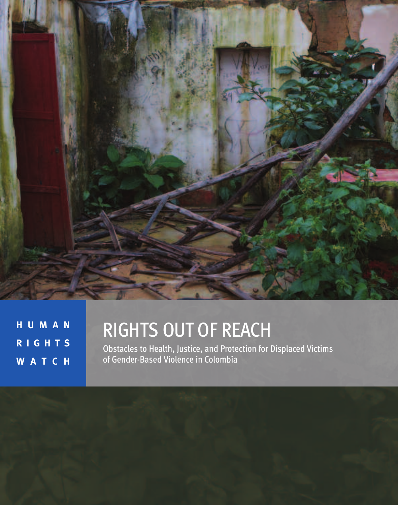

**H U M A N R I G H T S W A T C H**

# RIGHTS OUT OF REACH

Obstacles to Health, Justice, and Protection for Displaced Victims of Gender-Based Violence in Colombia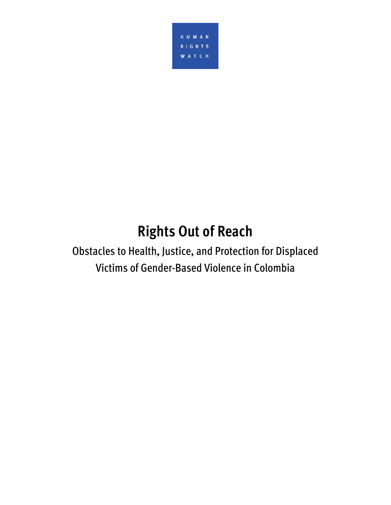

**Rights Operator**<br>Alth luctice and Drotection Obstacles to Health, Justice, and Protection for Displaced Victims of Gender-Based Violence in Colombia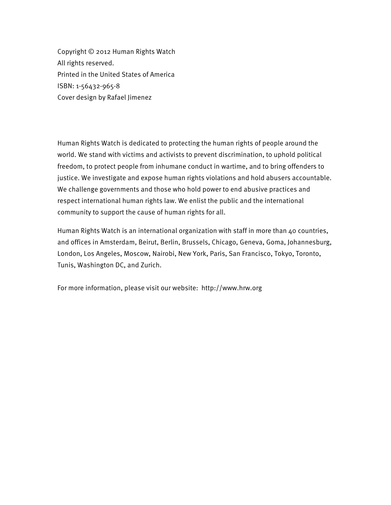Copyright © 2012 Human Rights Watch All rights reserved. Printed in the United States of America ISBN: 1-56432-965-8 Cover design by Rafael Jimenez

Human Rights Watch is dedicated to protecting the human rights of people around the world. We stand with victims and activists to prevent discrimination, to uphold political freedom, to protect people from inhumane conduct in wartime, and to bring offenders to justice. We investigate and expose human rights violations and hold abusers accountable. We challenge governments and those who hold power to end abusive practices and respect international human rights law. We enlist the public and the international community to support the cause of human rights for all.

Human Rights Watch is an international organization with staff in more than 40 countries, and offices in Amsterdam, Beirut, Berlin, Brussels, Chicago, Geneva, Goma, Johannesburg, London, Los Angeles, Moscow, Nairobi, New York, Paris, San Francisco, Tokyo, Toronto, Tunis, Washington DC, and Zurich.

For more information, please visit our website: http://www.hrw.org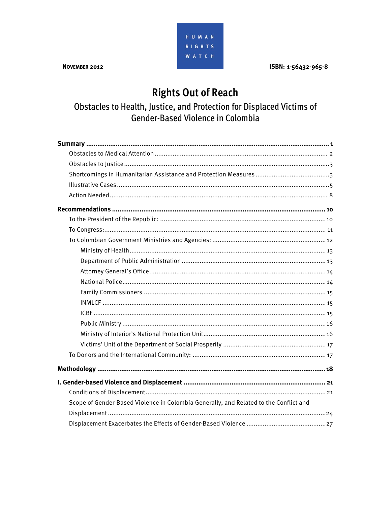ISBN: 1-56432-965-8

# **Rights Out of Reach**

HUMAN RIGHTS **WATCH** 

Obstacles to Health, Justice, and Protection for Displaced Victims of Gender-Based Violence in Colombia

| Scope of Gender-Based Violence in Colombia Generally, and Related to the Conflict and |
|---------------------------------------------------------------------------------------|
|                                                                                       |
|                                                                                       |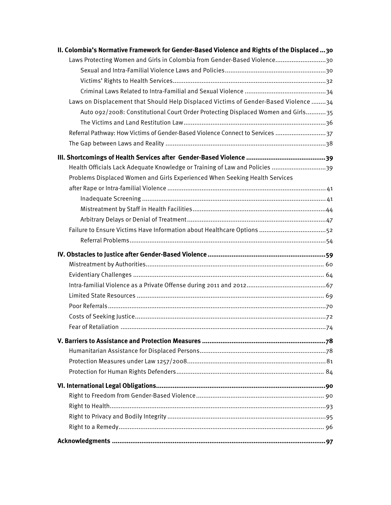| II. Colombia's Normative Framework for Gender-Based Violence and Rights of the Displaced30 |
|--------------------------------------------------------------------------------------------|
| Laws Protecting Women and Girls in Colombia from Gender-Based Violence30                   |
|                                                                                            |
|                                                                                            |
|                                                                                            |
| Laws on Displacement that Should Help Displaced Victims of Gender-Based Violence 34        |
| Auto 092/2008: Constitutional Court Order Protecting Displaced Women and Girls35           |
|                                                                                            |
| Referral Pathway: How Victims of Gender-Based Violence Connect to Services 37              |
|                                                                                            |
|                                                                                            |
| Health Officials Lack Adequate Knowledge or Training of Law and Policies 39                |
| Problems Displaced Women and Girls Experienced When Seeking Health Services                |
|                                                                                            |
|                                                                                            |
|                                                                                            |
|                                                                                            |
| Failure to Ensure Victims Have Information about Healthcare Options 52                     |
|                                                                                            |
|                                                                                            |
|                                                                                            |
|                                                                                            |
|                                                                                            |
|                                                                                            |
|                                                                                            |
|                                                                                            |
|                                                                                            |
|                                                                                            |
|                                                                                            |
|                                                                                            |
|                                                                                            |
|                                                                                            |
|                                                                                            |
|                                                                                            |
|                                                                                            |
|                                                                                            |
|                                                                                            |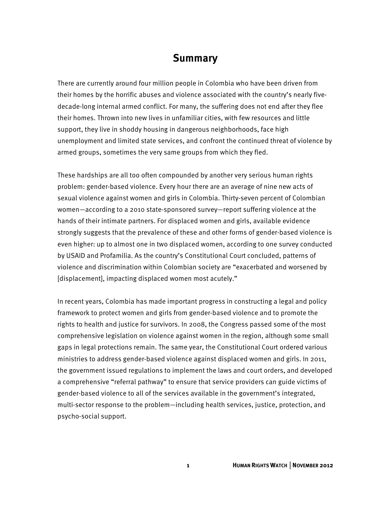# **Summary**

There are currently around four million people in Colombia who have been driven from their homes by the horrific abuses and violence associated with the country's nearly fivedecade-long internal armed conflict. For many, the suffering does not end after they flee their homes. Thrown into new lives in unfamiliar cities, with few resources and little support, they live in shoddy housing in dangerous neighborhoods, face high unemployment and limited state services, and confront the continued threat of violence by armed groups, sometimes the very same groups from which they fled.

These hardships are all too often compounded by another very serious human rights problem: gender-based violence. Every hour there are an average of nine new acts of sexual violence against women and girls in Colombia. Thirty-seven percent of Colombian women—according to a 2010 state-sponsored survey—report suffering violence at the hands of their intimate partners. For displaced women and girls, available evidence strongly suggests that the prevalence of these and other forms of gender-based violence is even higher: up to almost one in two displaced women, according to one survey conducted by USAID and Profamilia. As the country's Constitutional Court concluded, patterns of violence and discrimination within Colombian society are "exacerbated and worsened by [displacement], impacting displaced women most acutely."

In recent years, Colombia has made important progress in constructing a legal and policy framework to protect women and girls from gender-based violence and to promote the rights to health and justice for survivors. In 2008, the Congress passed some of the most comprehensive legislation on violence against women in the region, although some small gaps in legal protections remain. The same year, the Constitutional Court ordered various ministries to address gender-based violence against displaced women and girls. In 2011, the government issued regulations to implement the laws and court orders, and developed a comprehensive "referral pathway" to ensure that service providers can guide victims of gender-based violence to all of the services available in the government's integrated, multi-sector response to the problem—including health services, justice, protection, and psycho-social support.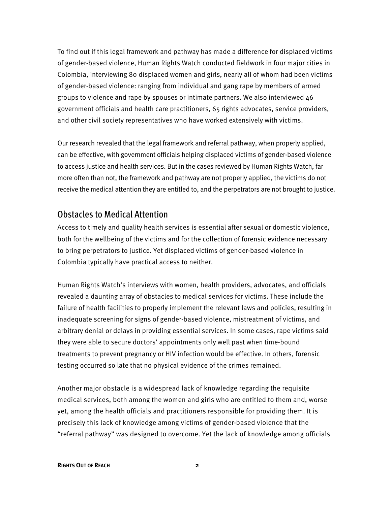To find out if this legal framework and pathway has made a difference for displaced victims of gender-based violence, Human Rights Watch conducted fieldwork in four major cities in Colombia, interviewing 80 displaced women and girls, nearly all of whom had been victims of gender-based violence: ranging from individual and gang rape by members of armed groups to violence and rape by spouses or intimate partners. We also interviewed 46 government officials and health care practitioners, 65 rights advocates, service providers, and other civil society representatives who have worked extensively with victims.

Our research revealed that the legal framework and referral pathway, when properly applied, can be effective, with government officials helping displaced victims of gender-based violence to access justice and health services. But in the cases reviewed by Human Rights Watch, far more often than not, the framework and pathway are not properly applied, the victims do not receive the medical attention they are entitled to, and the perpetrators are not brought to justice.

#### Obstacles to Medical Attention

Access to timely and quality health services is essential after sexual or domestic violence, both for the wellbeing of the victims and for the collection of forensic evidence necessary to bring perpetrators to justice. Yet displaced victims of gender-based violence in Colombia typically have practical access to neither.

Human Rights Watch's interviews with women, health providers, advocates, and officials revealed a daunting array of obstacles to medical services for victims. These include the failure of health facilities to properly implement the relevant laws and policies, resulting in inadequate screening for signs of gender-based violence, mistreatment of victims, and arbitrary denial or delays in providing essential services. In some cases, rape victims said they were able to secure doctors' appointments only well past when time-bound treatments to prevent pregnancy or HIV infection would be effective. In others, forensic testing occurred so late that no physical evidence of the crimes remained.

Another major obstacle is a widespread lack of knowledge regarding the requisite medical services, both among the women and girls who are entitled to them and, worse yet, among the health officials and practitioners responsible for providing them. It is precisely this lack of knowledge among victims of gender-based violence that the "referral pathway" was designed to overcome. Yet the lack of knowledge among officials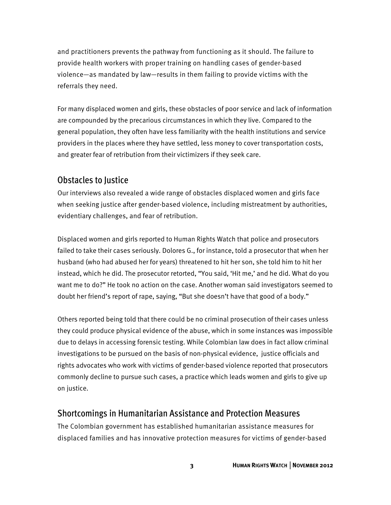and practitioners prevents the pathway from functioning as it should. The failure to provide health workers with proper training on handling cases of gender-based violence—as mandated by law—results in them failing to provide victims with the referrals they need.

For many displaced women and girls, these obstacles of poor service and lack of information are compounded by the precarious circumstances in which they live. Compared to the general population, they often have less familiarity with the health institutions and service providers in the places where they have settled, less money to cover transportation costs, and greater fear of retribution from their victimizers if they seek care.

#### Obstacles to Justice

Our interviews also revealed a wide range of obstacles displaced women and girls face when seeking justice after gender-based violence, including mistreatment by authorities, evidentiary challenges, and fear of retribution.

Displaced women and girls reported to Human Rights Watch that police and prosecutors failed to take their cases seriously. Dolores G., for instance, told a prosecutor that when her husband (who had abused her for years) threatened to hit her son, she told him to hit her instead, which he did. The prosecutor retorted, "You said, 'Hit me,' and he did. What do you want me to do?" He took no action on the case. Another woman said investigators seemed to doubt her friend's report of rape, saying, "But she doesn't have that good of a body."

Others reported being told that there could be no criminal prosecution of their cases unless they could produce physical evidence of the abuse, which in some instances was impossible due to delays in accessing forensic testing. While Colombian law does in fact allow criminal investigations to be pursued on the basis of non-physical evidence, justice officials and rights advocates who work with victims of gender-based violence reported that prosecutors commonly decline to pursue such cases, a practice which leads women and girls to give up on justice.

#### Shortcomings in Humanitarian Assistance and Protection Measures

The Colombian government has established humanitarian assistance measures for displaced families and has innovative protection measures for victims of gender-based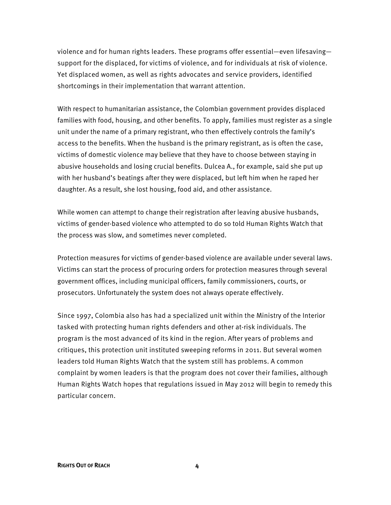violence and for human rights leaders. These programs offer essential—even lifesaving support for the displaced, for victims of violence, and for individuals at risk of violence. Yet displaced women, as well as rights advocates and service providers, identified shortcomings in their implementation that warrant attention.

With respect to humanitarian assistance, the Colombian government provides displaced families with food, housing, and other benefits. To apply, families must register as a single unit under the name of a primary registrant, who then effectively controls the family's access to the benefits. When the husband is the primary registrant, as is often the case, victims of domestic violence may believe that they have to choose between staying in abusive households and losing crucial benefits. Dulcea A., for example, said she put up with her husband's beatings after they were displaced, but left him when he raped her daughter. As a result, she lost housing, food aid, and other assistance.

While women can attempt to change their registration after leaving abusive husbands, victims of gender-based violence who attempted to do so told Human Rights Watch that the process was slow, and sometimes never completed.

Protection measures for victims of gender-based violence are available under several laws. Victims can start the process of procuring orders for protection measures through several government offices, including municipal officers, family commissioners, courts, or prosecutors. Unfortunately the system does not always operate effectively.

Since 1997, Colombia also has had a specialized unit within the Ministry of the Interior tasked with protecting human rights defenders and other at-risk individuals. The program is the most advanced of its kind in the region. After years of problems and critiques, this protection unit instituted sweeping reforms in 2011. But several women leaders told Human Rights Watch that the system still has problems. A common complaint by women leaders is that the program does not cover their families, although Human Rights Watch hopes that regulations issued in May 2012 will begin to remedy this particular concern.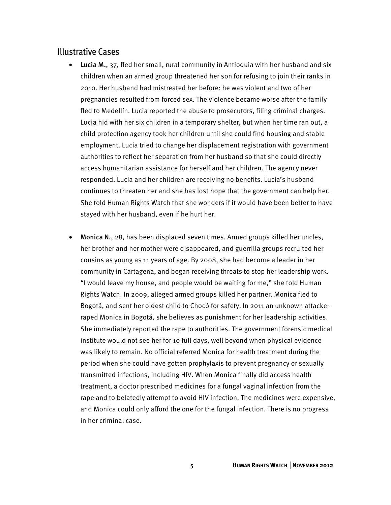#### Illustrative Cases

- Lucia M., 37, fled her small, rural community in Antioquia with her husband and six children when an armed group threatened her son for refusing to join their ranks in 2010. Her husband had mistreated her before: he was violent and two of her pregnancies resulted from forced sex. The violence became worse after the family fled to Medellín. Lucia reported the abuse to prosecutors, filing criminal charges. Lucia hid with her six children in a temporary shelter, but when her time ran out, a child protection agency took her children until she could find housing and stable employment. Lucia tried to change her displacement registration with government authorities to reflect her separation from her husband so that she could directly access humanitarian assistance for herself and her children. The agency never responded. Lucia and her children are receiving no benefits. Lucia's husband continues to threaten her and she has lost hope that the government can help her. She told Human Rights Watch that she wonders if it would have been better to have stayed with her husband, even if he hurt her.
- Monica N., 28, has been displaced seven times. Armed groups killed her uncles, her brother and her mother were disappeared, and guerrilla groups recruited her cousins as young as 11 years of age. By 2008, she had become a leader in her community in Cartagena, and began receiving threats to stop her leadership work. "I would leave my house, and people would be waiting for me," she told Human Rights Watch. In 2009, alleged armed groups killed her partner. Monica fled to Bogotá, and sent her oldest child to Chocó for safety. In 2011 an unknown attacker raped Monica in Bogotá, she believes as punishment for her leadership activities. She immediately reported the rape to authorities. The government forensic medical institute would not see her for 10 full days, well beyond when physical evidence was likely to remain. No official referred Monica for health treatment during the period when she could have gotten prophylaxis to prevent pregnancy or sexually transmitted infections, including HIV. When Monica finally did access health treatment, a doctor prescribed medicines for a fungal vaginal infection from the rape and to belatedly attempt to avoid HIV infection. The medicines were expensive, and Monica could only afford the one for the fungal infection. There is no progress in her criminal case.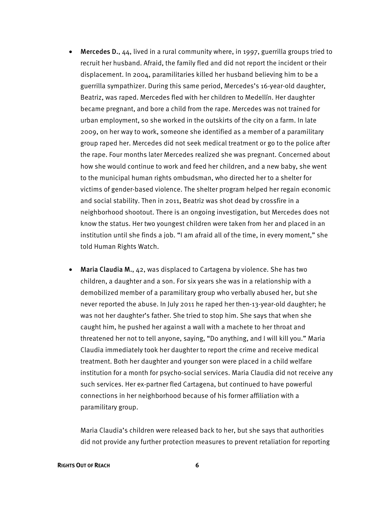- Mercedes D., 44, lived in a rural community where, in 1997, guerrilla groups tried to recruit her husband. Afraid, the family fled and did not report the incident or their displacement. In 2004, paramilitaries killed her husband believing him to be a guerrilla sympathizer. During this same period, Mercedes's 16-year-old daughter, Beatriz, was raped. Mercedes fled with her children to Medellín. Her daughter became pregnant, and bore a child from the rape. Mercedes was not trained for urban employment, so she worked in the outskirts of the city on a farm. In late 2009, on her way to work, someone she identified as a member of a paramilitary group raped her. Mercedes did not seek medical treatment or go to the police after the rape. Four months later Mercedes realized she was pregnant. Concerned about how she would continue to work and feed her children, and a new baby, she went to the municipal human rights ombudsman, who directed her to a shelter for victims of gender-based violence. The shelter program helped her regain economic and social stability. Then in 2011, Beatriz was shot dead by crossfire in a neighborhood shootout. There is an ongoing investigation, but Mercedes does not know the status. Her two youngest children were taken from her and placed in an institution until she finds a job. "I am afraid all of the time, in every moment," she told Human Rights Watch.
- Maria Claudia M., 42, was displaced to Cartagena by violence. She has two children, a daughter and a son. For six years she was in a relationship with a demobilized member of a paramilitary group who verbally abused her, but she never reported the abuse. In July 2011 he raped her then-13-year-old daughter; he was not her daughter's father. She tried to stop him. She says that when she caught him, he pushed her against a wall with a machete to her throat and threatened her not to tell anyone, saying, "Do anything, and I will kill you." Maria Claudia immediately took her daughter to report the crime and receive medical treatment. Both her daughter and younger son were placed in a child welfare institution for a month for psycho-social services. Maria Claudia did not receive any such services. Her ex-partner fled Cartagena, but continued to have powerful connections in her neighborhood because of his former affiliation with a paramilitary group.

Maria Claudia's children were released back to her, but she says that authorities did not provide any further protection measures to prevent retaliation for reporting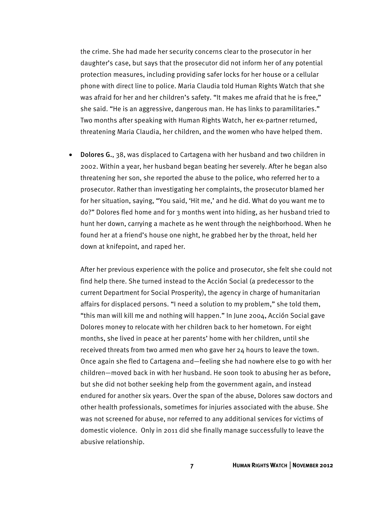the crime. She had made her security concerns clear to the prosecutor in her daughter's case, but says that the prosecutor did not inform her of any potential protection measures, including providing safer locks for her house or a cellular phone with direct line to police. Maria Claudia told Human Rights Watch that she was afraid for her and her children's safety. "It makes me afraid that he is free," she said. "He is an aggressive, dangerous man. He has links to paramilitaries." Two months after speaking with Human Rights Watch, her ex-partner returned, threatening Maria Claudia, her children, and the women who have helped them.

• Dolores G., 38, was displaced to Cartagena with her husband and two children in 2002. Within a year, her husband began beating her severely. After he began also threatening her son, she reported the abuse to the police, who referred her to a prosecutor. Rather than investigating her complaints, the prosecutor blamed her for her situation, saying, "You said, 'Hit me,' and he did. What do you want me to do?" Dolores fled home and for 3 months went into hiding, as her husband tried to hunt her down, carrying a machete as he went through the neighborhood. When he found her at a friend's house one night, he grabbed her by the throat, held her down at knifepoint, and raped her.

After her previous experience with the police and prosecutor, she felt she could not find help there. She turned instead to the Acción Social (a predecessor to the current Department for Social Prosperity), the agency in charge of humanitarian affairs for displaced persons. "I need a solution to my problem," she told them, "this man will kill me and nothing will happen." In June 2004, Acción Social gave Dolores money to relocate with her children back to her hometown. For eight months, she lived in peace at her parents' home with her children, until she received threats from two armed men who gave her 24 hours to leave the town. Once again she fled to Cartagena and—feeling she had nowhere else to go with her children—moved back in with her husband. He soon took to abusing her as before, but she did not bother seeking help from the government again, and instead endured for another six years. Over the span of the abuse, Dolores saw doctors and other health professionals, sometimes for injuries associated with the abuse. She was not screened for abuse, nor referred to any additional services for victims of domestic violence. Only in 2011 did she finally manage successfully to leave the abusive relationship.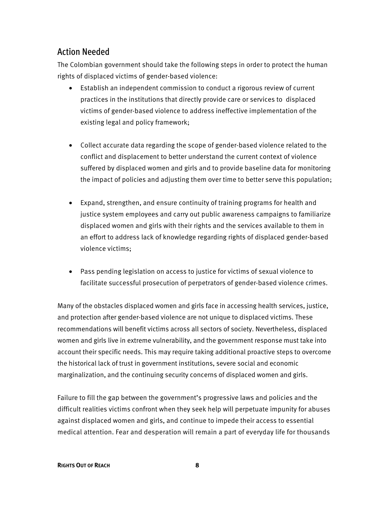# Action Needed

The Colombian government should take the following steps in order to protect the human rights of displaced victims of gender-based violence:

- Establish an independent commission to conduct a rigorous review of current practices in the institutions that directly provide care or services to displaced victims of gender-based violence to address ineffective implementation of the existing legal and policy framework;
- Collect accurate data regarding the scope of gender-based violence related to the conflict and displacement to better understand the current context of violence suffered by displaced women and girls and to provide baseline data for monitoring the impact of policies and adjusting them over time to better serve this population;
- Expand, strengthen, and ensure continuity of training programs for health and justice system employees and carry out public awareness campaigns to familiarize displaced women and girls with their rights and the services available to them in an effort to address lack of knowledge regarding rights of displaced gender-based violence victims;
- Pass pending legislation on access to justice for victims of sexual violence to facilitate successful prosecution of perpetrators of gender-based violence crimes.

Many of the obstacles displaced women and girls face in accessing health services, justice, and protection after gender-based violence are not unique to displaced victims. These recommendations will benefit victims across all sectors of society. Nevertheless, displaced women and girls live in extreme vulnerability, and the government response must take into account their specific needs. This may require taking additional proactive steps to overcome the historical lack of trust in government institutions, severe social and economic marginalization, and the continuing security concerns of displaced women and girls.

Failure to fill the gap between the government's progressive laws and policies and the difficult realities victims confront when they seek help will perpetuate impunity for abuses against displaced women and girls, and continue to impede their access to essential medical attention. Fear and desperation will remain a part of everyday life for thousands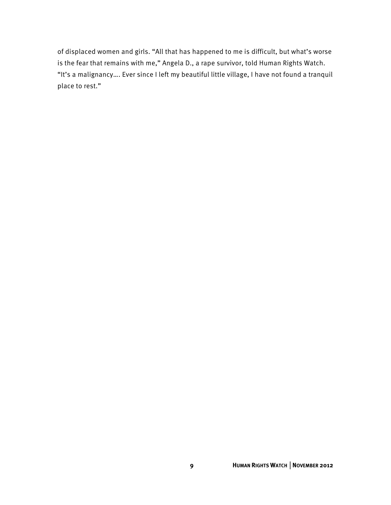of displaced women and girls. "All that has happened to me is difficult, but what's worse is the fear that remains with me," Angela D., a rape survivor, told Human Rights Watch. "It's a malignancy…. Ever since I left my beautiful little village, I have not found a tranquil place to rest."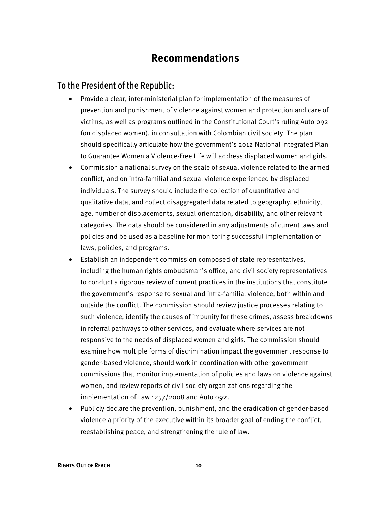# **Recommendations**

#### To the President of the Republic:

- Provide a clear, inter-ministerial plan for implementation of the measures of prevention and punishment of violence against women and protection and care of victims, as well as programs outlined in the Constitutional Court's ruling Auto 092 (on displaced women), in consultation with Colombian civil society. The plan should specifically articulate how the government's 2012 National Integrated Plan to Guarantee Women a Violence-Free Life will address displaced women and girls.
- Commission a national survey on the scale of sexual violence related to the armed conflict, and on intra-familial and sexual violence experienced by displaced individuals. The survey should include the collection of quantitative and qualitative data, and collect disaggregated data related to geography, ethnicity, age, number of displacements, sexual orientation, disability, and other relevant categories. The data should be considered in any adjustments of current laws and policies and be used as a baseline for monitoring successful implementation of laws, policies, and programs.
- Establish an independent commission composed of state representatives, including the human rights ombudsman's office, and civil society representatives to conduct a rigorous review of current practices in the institutions that constitute the government's response to sexual and intra-familial violence, both within and outside the conflict. The commission should review justice processes relating to such violence, identify the causes of impunity for these crimes, assess breakdowns in referral pathways to other services, and evaluate where services are not responsive to the needs of displaced women and girls. The commission should examine how multiple forms of discrimination impact the government response to gender-based violence, should work in coordination with other government commissions that monitor implementation of policies and laws on violence against women, and review reports of civil society organizations regarding the implementation of Law 1257/2008 and Auto 092.
- Publicly declare the prevention, punishment, and the eradication of gender-based violence a priority of the executive within its broader goal of ending the conflict, reestablishing peace, and strengthening the rule of law.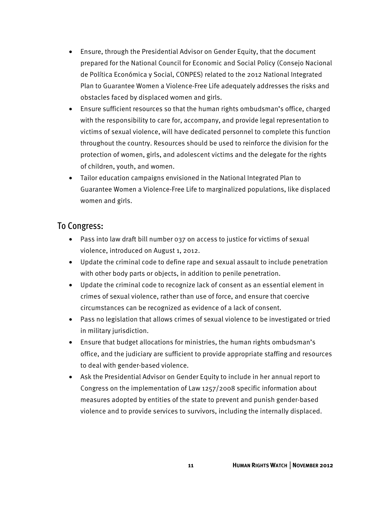- Ensure, through the Presidential Advisor on Gender Equity, that the document prepared for the National Council for Economic and Social Policy (Consejo Nacional de Política Económica y Social, CONPES) related to the 2012 National Integrated Plan to Guarantee Women a Violence-Free Life adequately addresses the risks and obstacles faced by displaced women and girls.
- Ensure sufficient resources so that the human rights ombudsman's office, charged with the responsibility to care for, accompany, and provide legal representation to victims of sexual violence, will have dedicated personnel to complete this function throughout the country. Resources should be used to reinforce the division for the protection of women, girls, and adolescent victims and the delegate for the rights of children, youth, and women.
- Tailor education campaigns envisioned in the National Integrated Plan to Guarantee Women a Violence-Free Life to marginalized populations, like displaced women and girls.

#### To Congress:

- Pass into law draft bill number 037 on access to justice for victims of sexual violence, introduced on August 1, 2012.
- Update the criminal code to define rape and sexual assault to include penetration with other body parts or objects, in addition to penile penetration.
- Update the criminal code to recognize lack of consent as an essential element in crimes of sexual violence, rather than use of force, and ensure that coercive circumstances can be recognized as evidence of a lack of consent.
- Pass no legislation that allows crimes of sexual violence to be investigated or tried in military jurisdiction.
- Ensure that budget allocations for ministries, the human rights ombudsman's office, and the judiciary are sufficient to provide appropriate staffing and resources to deal with gender-based violence.
- Ask the Presidential Advisor on Gender Equity to include in her annual report to Congress on the implementation of Law 1257/2008 specific information about measures adopted by entities of the state to prevent and punish gender-based violence and to provide services to survivors, including the internally displaced.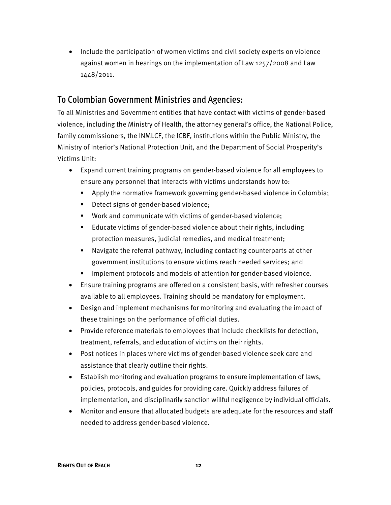• Include the participation of women victims and civil society experts on violence against women in hearings on the implementation of Law 1257/2008 and Law 1448/2011.

### To Colombian Government Ministries and Agencies:

To all Ministries and Government entities that have contact with victims of gender-based violence, including the Ministry of Health, the attorney general's office, the National Police, family commissioners, the INMLCF, the ICBF, institutions within the Public Ministry, the Ministry of Interior's National Protection Unit, and the Department of Social Prosperity's Victims Unit:

- Expand current training programs on gender-based violence for all employees to ensure any personnel that interacts with victims understands how to:
	- Apply the normative framework governing gender-based violence in Colombia;
	- Detect signs of gender-based violence;
	- Work and communicate with victims of gender-based violence;
	- Educate victims of gender-based violence about their rights, including protection measures, judicial remedies, and medical treatment;
	- Navigate the referral pathway, including contacting counterparts at other government institutions to ensure victims reach needed services; and
	- **IMPLEMENT FROM ADDET META** Implement protocols and models of attention for gender-based violence.
- Ensure training programs are offered on a consistent basis, with refresher courses available to all employees. Training should be mandatory for employment.
- Design and implement mechanisms for monitoring and evaluating the impact of these trainings on the performance of official duties.
- Provide reference materials to employees that include checklists for detection, treatment, referrals, and education of victims on their rights.
- Post notices in places where victims of gender-based violence seek care and assistance that clearly outline their rights.
- Establish monitoring and evaluation programs to ensure implementation of laws, policies, protocols, and guides for providing care. Quickly address failures of implementation, and disciplinarily sanction willful negligence by individual officials.
- Monitor and ensure that allocated budgets are adequate for the resources and staff needed to address gender-based violence.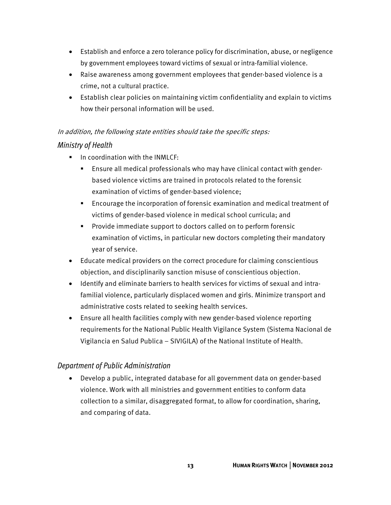- Establish and enforce a zero tolerance policy for discrimination, abuse, or negligence by government employees toward victims of sexual or intra-familial violence.
- Raise awareness among government employees that gender-based violence is a crime, not a cultural practice.
- Establish clear policies on maintaining victim confidentiality and explain to victims how their personal information will be used.

## In addition, the following state entities should take the specific steps: Ministry of Health

- **IF ALTA IN COOP** in coordination with the INMLCF:
	- Ensure all medical professionals who may have clinical contact with genderbased violence victims are trained in protocols related to the forensic examination of victims of gender-based violence;
	- Encourage the incorporation of forensic examination and medical treatment of victims of gender-based violence in medical school curricula; and
	- **Provide immediate support to doctors called on to perform forensic** examination of victims, in particular new doctors completing their mandatory year of service.
- Educate medical providers on the correct procedure for claiming conscientious objection, and disciplinarily sanction misuse of conscientious objection.
- Identify and eliminate barriers to health services for victims of sexual and intrafamilial violence, particularly displaced women and girls. Minimize transport and administrative costs related to seeking health services.
- Ensure all health facilities comply with new gender-based violence reporting requirements for the National Public Health Vigilance System (Sistema Nacional de Vigilancia en Salud Publica – SIVIGILA) of the National Institute of Health.

#### Department of Public Administration

• Develop a public, integrated database for all government data on gender-based violence. Work with all ministries and government entities to conform data collection to a similar, disaggregated format, to allow for coordination, sharing, and comparing of data.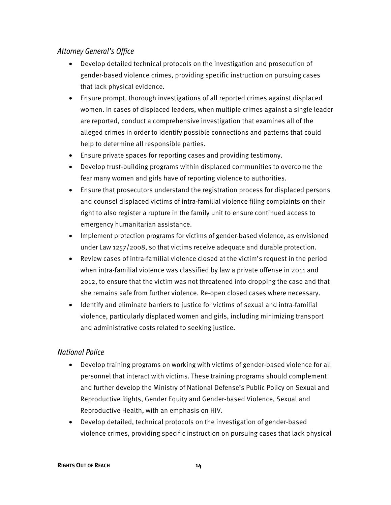#### Attorney General's Office

- Develop detailed technical protocols on the investigation and prosecution of gender-based violence crimes, providing specific instruction on pursuing cases that lack physical evidence.
- Ensure prompt, thorough investigations of all reported crimes against displaced women. In cases of displaced leaders, when multiple crimes against a single leader are reported, conduct a comprehensive investigation that examines all of the alleged crimes in order to identify possible connections and patterns that could help to determine all responsible parties.
- Ensure private spaces for reporting cases and providing testimony.
- Develop trust-building programs within displaced communities to overcome the fear many women and girls have of reporting violence to authorities.
- Ensure that prosecutors understand the registration process for displaced persons and counsel displaced victims of intra-familial violence filing complaints on their right to also register a rupture in the family unit to ensure continued access to emergency humanitarian assistance.
- Implement protection programs for victims of gender-based violence, as envisioned under Law 1257/2008, so that victims receive adequate and durable protection.
- Review cases of intra-familial violence closed at the victim's request in the period when intra-familial violence was classified by law a private offense in 2011 and 2012, to ensure that the victim was not threatened into dropping the case and that she remains safe from further violence. Re-open closed cases where necessary.
- Identify and eliminate barriers to justice for victims of sexual and intra-familial violence, particularly displaced women and girls, including minimizing transport and administrative costs related to seeking justice.

#### National Police

- Develop training programs on working with victims of gender-based violence for all personnel that interact with victims. These training programs should complement and further develop the Ministry of National Defense's Public Policy on Sexual and Reproductive Rights, Gender Equity and Gender-based Violence, Sexual and Reproductive Health, with an emphasis on HIV.
- Develop detailed, technical protocols on the investigation of gender-based violence crimes, providing specific instruction on pursuing cases that lack physical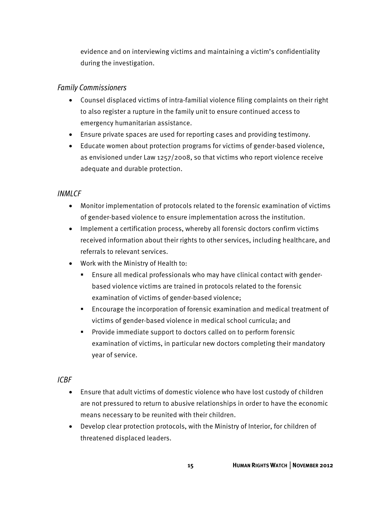evidence and on interviewing victims and maintaining a victim's confidentiality during the investigation.

#### Family Commissioners

- Counsel displaced victims of intra-familial violence filing complaints on their right to also register a rupture in the family unit to ensure continued access to emergency humanitarian assistance.
- Ensure private spaces are used for reporting cases and providing testimony.
- Educate women about protection programs for victims of gender-based violence, as envisioned under Law 1257/2008, so that victims who report violence receive adequate and durable protection.

#### INMI<sub>CF</sub>

- Monitor implementation of protocols related to the forensic examination of victims of gender-based violence to ensure implementation across the institution.
- Implement a certification process, whereby all forensic doctors confirm victims received information about their rights to other services, including healthcare, and referrals to relevant services.
- Work with the Ministry of Health to:
	- Ensure all medical professionals who may have clinical contact with genderbased violence victims are trained in protocols related to the forensic examination of victims of gender-based violence;
	- Encourage the incorporation of forensic examination and medical treatment of victims of gender-based violence in medical school curricula; and
	- **Provide immediate support to doctors called on to perform forensic** examination of victims, in particular new doctors completing their mandatory year of service.

#### ICBF

- Ensure that adult victims of domestic violence who have lost custody of children are not pressured to return to abusive relationships in order to have the economic means necessary to be reunited with their children.
- Develop clear protection protocols, with the Ministry of Interior, for children of threatened displaced leaders.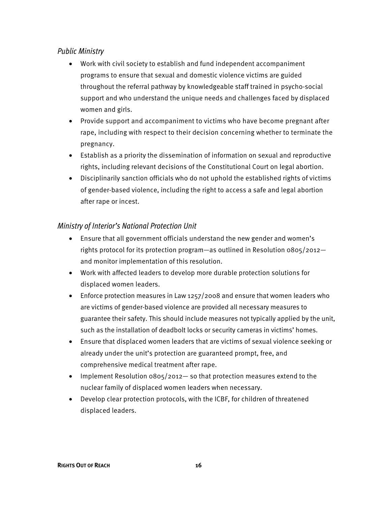#### Public Ministry

- Work with civil society to establish and fund independent accompaniment programs to ensure that sexual and domestic violence victims are guided throughout the referral pathway by knowledgeable staff trained in psycho-social support and who understand the unique needs and challenges faced by displaced women and girls.
- Provide support and accompaniment to victims who have become pregnant after rape, including with respect to their decision concerning whether to terminate the pregnancy.
- Establish as a priority the dissemination of information on sexual and reproductive rights, including relevant decisions of the Constitutional Court on legal abortion.
- Disciplinarily sanction officials who do not uphold the established rights of victims of gender-based violence, including the right to access a safe and legal abortion after rape or incest.

#### Ministry of Interior's National Protection Unit

- Ensure that all government officials understand the new gender and women's rights protocol for its protection program—as outlined in Resolution 0805/2012 and monitor implementation of this resolution.
- Work with affected leaders to develop more durable protection solutions for displaced women leaders.
- Enforce protection measures in Law 1257/2008 and ensure that women leaders who are victims of gender-based violence are provided all necessary measures to guarantee their safety. This should include measures not typically applied by the unit, such as the installation of deadbolt locks or security cameras in victims' homes.
- Ensure that displaced women leaders that are victims of sexual violence seeking or already under the unit's protection are guaranteed prompt, free, and comprehensive medical treatment after rape.
- Implement Resolution 0805/2012— so that protection measures extend to the nuclear family of displaced women leaders when necessary.
- Develop clear protection protocols, with the ICBF, for children of threatened displaced leaders.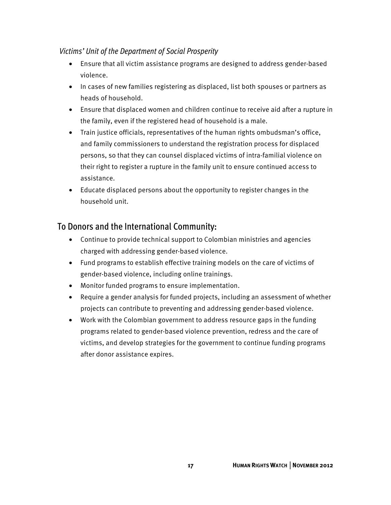#### Victims' Unit of the Department of Social Prosperity

- Ensure that all victim assistance programs are designed to address gender-based violence.
- In cases of new families registering as displaced, list both spouses or partners as heads of household.
- Ensure that displaced women and children continue to receive aid after a rupture in the family, even if the registered head of household is a male.
- Train justice officials, representatives of the human rights ombudsman's office, and family commissioners to understand the registration process for displaced persons, so that they can counsel displaced victims of intra-familial violence on their right to register a rupture in the family unit to ensure continued access to assistance.
- Educate displaced persons about the opportunity to register changes in the household unit.

# To Donors and the International Community:

- Continue to provide technical support to Colombian ministries and agencies charged with addressing gender-based violence.
- Fund programs to establish effective training models on the care of victims of gender-based violence, including online trainings.
- Monitor funded programs to ensure implementation.
- Require a gender analysis for funded projects, including an assessment of whether projects can contribute to preventing and addressing gender-based violence.
- Work with the Colombian government to address resource gaps in the funding programs related to gender-based violence prevention, redress and the care of victims, and develop strategies for the government to continue funding programs after donor assistance expires.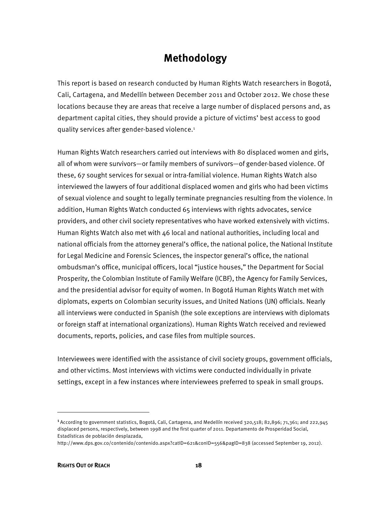# **Methodology**

This report is based on research conducted by Human Rights Watch researchers in Bogotá, Cali, Cartagena, and Medellín between December 2011 and October 2012. We chose these locations because they are areas that receive a large number of displaced persons and, as department capital cities, they should provide a picture of victims' best access to good quality services after gender-based violence.1

Human Rights Watch researchers carried out interviews with 80 displaced women and girls, all of whom were survivors—or family members of survivors—of gender-based violence. Of these, 67 sought services for sexual or intra-familial violence. Human Rights Watch also interviewed the lawyers of four additional displaced women and girls who had been victims of sexual violence and sought to legally terminate pregnancies resulting from the violence. In addition, Human Rights Watch conducted 65 interviews with rights advocates, service providers, and other civil society representatives who have worked extensively with victims. Human Rights Watch also met with 46 local and national authorities, including local and national officials from the attorney general's office, the national police, the National Institute for Legal Medicine and Forensic Sciences, the inspector general's office, the national ombudsman's office, municipal officers, local "justice houses," the Department for Social Prosperity, the Colombian Institute of Family Welfare (ICBF), the Agency for Family Services, and the presidential advisor for equity of women. In Bogotá Human Rights Watch met with diplomats, experts on Colombian security issues, and United Nations (UN) officials. Nearly all interviews were conducted in Spanish (the sole exceptions are interviews with diplomats or foreign staff at international organizations). Human Rights Watch received and reviewed documents, reports, policies, and case files from multiple sources.

Interviewees were identified with the assistance of civil society groups, government officials, and other victims. Most interviews with victims were conducted individually in private settings, except in a few instances where interviewees preferred to speak in small groups.

<sup>1</sup>According to government statistics, Bogotá, Cali, Cartagena, and Medellín received 320,518; 82,896; 71,361; and 222,945 displaced persons, respectively, between 1998 and the first quarter of 2011. Departamento de Prosperidad Social, Estadísticas de población desplazada,

http://www.dps.gov.co/contenido/contenido.aspx?catID=621&conID=556&pagID=838 (accessed September 19, 2012).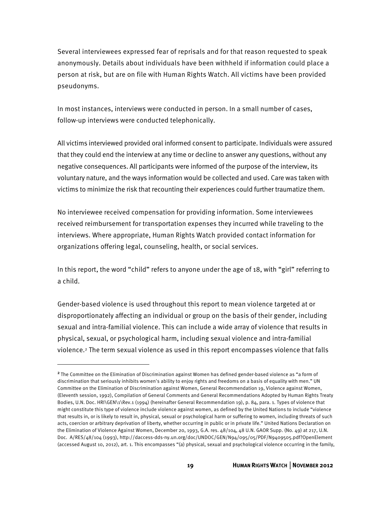Several interviewees expressed fear of reprisals and for that reason requested to speak anonymously. Details about individuals have been withheld if information could place a person at risk, but are on file with Human Rights Watch. All victims have been provided pseudonyms.

In most instances, interviews were conducted in person. In a small number of cases, follow-up interviews were conducted telephonically.

All victims interviewed provided oral informed consent to participate. Individuals were assured that they could end the interview at any time or decline to answer any questions, without any negative consequences. All participants were informed of the purpose of the interview, its voluntary nature, and the ways information would be collected and used. Care was taken with victims to minimize the risk that recounting their experiences could further traumatize them.

No interviewee received compensation for providing information. Some interviewees received reimbursement for transportation expenses they incurred while traveling to the interviews. Where appropriate, Human Rights Watch provided contact information for organizations offering legal, counseling, health, or social services.

In this report, the word "child" refers to anyone under the age of 18, with "girl" referring to a child.

Gender-based violence is used throughout this report to mean violence targeted at or disproportionately affecting an individual or group on the basis of their gender, including sexual and intra-familial violence. This can include a wide array of violence that results in physical, sexual, or psychological harm, including sexual violence and intra-familial violence.2 The term sexual violence as used in this report encompasses violence that falls

<sup>2</sup>The Committee on the Elimination of Discrimination against Women has defined gender-based violence as "a form of discrimination that seriously inhibits women's ability to enjoy rights and freedoms on a basis of equality with men." UN Committee on the Elimination of Discrimination against Women, General Recommendation 19, Violence against Women, (Eleventh session, 1992), Compilation of General Comments and General Recommendations Adopted by Human Rights Treaty Bodies, U.N. Doc. HRI\GEN\1\Rev.1 (1994) (hereinafter General Recommendation 19), p. 84, para. 1. Types of violence that might constitute this type of violence include violence against women, as defined by the United Nations to include "violence that results in, or is likely to result in, physical, sexual or psychological harm or suffering to women, including threats of such acts, coercion or arbitrary deprivation of liberty, whether occurring in public or in private life." United Nations Declaration on the Elimination of Violence Against Women, December 20, 1993, G.A. res. 48/104, 48 U.N. GAOR Supp. (No. 49) at 217, U.N. Doc. A/RES/48/104 (1993), http://daccess-dds-ny.un.org/doc/UNDOC/GEN/N94/095/05/PDF/N9409505.pdf?OpenElement (accessed August 10, 2012), art. 1. This encompasses "(a) physical, sexual and psychological violence occurring in the family,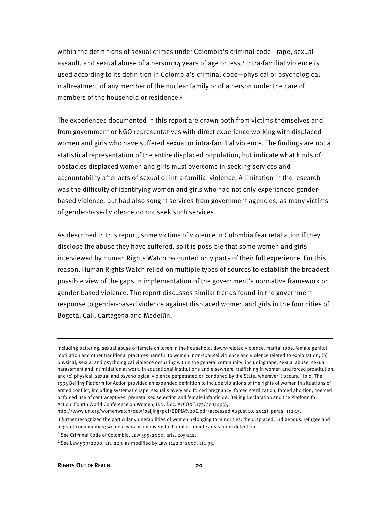within the definitions of sexual crimes under Colombia's criminal code—rape, sexual assault, and sexual abuse of a person 14 years of age or less.<sup>3</sup> Intra-familial violence is used according to its definition in Colombia's criminal code—physical or psychological maltreatment of any member of the nuclear family or of a person under the care of members of the household or residence.4

The experiences documented in this report are drawn both from victims themselves and from government or NGO representatives with direct experience working with displaced women and girls who have suffered sexual or intra-familial violence. The findings are not a statistical representation of the entire displaced population, but indicate what kinds of obstacles displaced women and girls must overcome in seeking services and accountability after acts of sexual or intra-familial violence. A limitation in the research was the difficulty of identifying women and girls who had not only experienced genderbased violence, but had also sought services from government agencies, as many victims of gender-based violence do not seek such services.

As described in this report, some victims of violence in Colombia fear retaliation if they disclose the abuse they have suffered, so it is possible that some women and girls interviewed by Human Rights Watch recounted only parts of their full experience. For this reason, Human Rights Watch relied on multiple types of sources to establish the broadest possible view of the gaps in implementation of the government's normative framework on gender-based violence. The report discusses similar trends found in the government response to gender-based violence against displaced women and girls in the four cities of Bogotá, Cali, Cartagena and Medellín.

including battering, sexual abuse of female children in the household, dowry-related violence, marital rape, female genital mutilation and other traditional practices harmful to women, non-spousal violence and violence related to exploitation; (b) physical, sexual and psychological violence occurring within the general community, including rape, sexual abuse, sexual harassment and intimidation at work, in educational institutions and elsewhere, trafficking in women and forced prostitution; and (c) physical, sexual and psychological violence perpetrated or condoned by the State, wherever it occurs." Ibid. The 1995 Beijing Platform for Action provided an expanded definition to include violations of the rights of women in situations of armed conflict, including systematic rape, sexual slavery and forced pregnancy; forced sterilization, forced abortion, coerced or forced use of contraceptives; prenatal sex selection and female infanticide. Beijing Declaration and the Platform for Action: Fourth World Conference on Women, U.N. Doc. A/CONF.177/20 (1995),

http://www.un.org/womenwatch/daw/beijing/pdf/BDPfA%20E.pdf (accessed August 10, 2012), paras. 112-17.

It further recognized the particular vulnerabilities of women belonging to minorities: the displaced; indigenous, refugee and migrant communities; women living in impoverished rural or remote areas, or in detention.

<sup>3</sup>See Criminal Code of Colombia, Law 599/2000, arts. 205-212.

<sup>4</sup>See Law 599/2000, art. 229, as modified by Law 1142 of 2007, art. 33.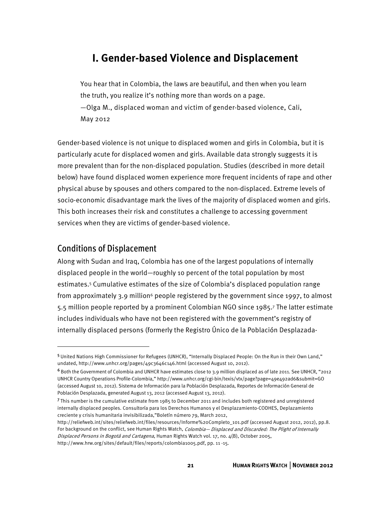# **I. Gender-based Violence and Displacement**

You hear that in Colombia, the laws are beautiful, and then when you learn the truth, you realize it's nothing more than words on a page. —Olga M., displaced woman and victim of gender-based violence, Cali, May 2012

Gender-based violence is not unique to displaced women and girls in Colombia, but it is particularly acute for displaced women and girls. Available data strongly suggests it is more prevalent than for the non-displaced population. Studies (described in more detail below) have found displaced women experience more frequent incidents of rape and other physical abuse by spouses and others compared to the non-displaced. Extreme levels of socio-economic disadvantage mark the lives of the majority of displaced women and girls. This both increases their risk and constitutes a challenge to accessing government services when they are victims of gender-based violence.

#### Conditions of Displacement

-

Along with Sudan and Iraq, Colombia has one of the largest populations of internally displaced people in the world—roughly 10 percent of the total population by most estimates.5 Cumulative estimates of the size of Colombia's displaced population range from approximately 3.9 million<sup>6</sup> people registered by the government since 1997, to almost 5.5 million people reported by a prominent Colombian NGO since 1985.7 The latter estimate includes individuals who have not been registered with the government's registry of internally displaced persons (formerly the Registro Único de la Población Desplazada-

http://www.hrw.org/sites/default/files/reports/colombia1005.pdf, pp. 11 -15.

<sup>5</sup>United Nations High Commissioner for Refugees (UNHCR), "Internally Displaced People: On the Run in their Own Land," undated, http://www.unhcr.org/pages/49c3646c146.html (accessed August 10, 2012).

 $6$  Both the Government of Colombia and UNHCR have estimates close to 3.9 million displaced as of late 2011. See UNHCR, "2012 UNHCR Country Operations Profile-Colombia," http://www.unhcr.org/cgi-bin/texis/vtx/page?page=49e492ad6&submit=GO (accessed August 10, 2012). Sistema de Información para la Población Desplazada, Reportes de Información General de Población Desplazada, generated August 13, 2012 (accessed August 13, 2012).

<sup>7</sup>This number is the cumulative estimate from 1985 to December 2011 and includes both registered and unregistered internally displaced peoples. Consultoría para los Derechos Humanos y el Desplazamiento-CODHES, Deplazamiento creciente y crisis humanitaria invisibilizada,"Boletín número 79, March 2012,

http://reliefweb.int/sites/reliefweb.int/files/resources/Informe%20Completo\_101.pdf (accessed August 2012, 2012), pp.8. For background on the conflict, see Human Rights Watch, Colombia- Displaced and Discarded: The Plight of Internally Displaced Persons in Bogotá and Cartagena, Human Rights Watch vol. 17, no. 4(B), October 2005,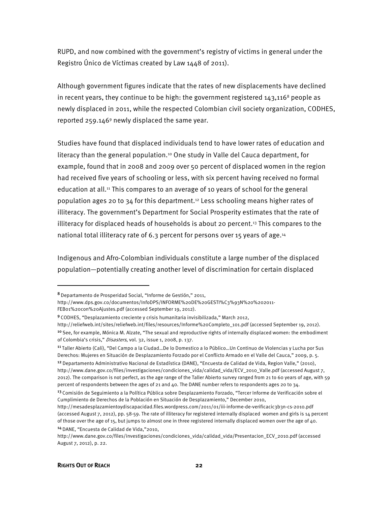RUPD, and now combined with the government's registry of victims in general under the Registro Único de Víctimas created by Law 1448 of 2011).

Although government figures indicate that the rates of new displacements have declined in recent years, they continue to be high: the government registered  $143,116^8$  people as newly displaced in 2011, while the respected Colombian civil society organization, CODHES, reported  $259.1469$  newly displaced the same year.

Studies have found that displaced individuals tend to have lower rates of education and literacy than the general population.<sup>10</sup> One study in Valle del Cauca department, for example, found that in 2008 and 2009 over 50 percent of displaced women in the region had received five years of schooling or less, with six percent having received no formal education at all.<sup>11</sup> This compares to an average of 10 years of school for the general population ages 20 to 34 for this department.<sup>12</sup> Less schooling means higher rates of illiteracy. The government's Department for Social Prosperity estimates that the rate of illiteracy for displaced heads of households is about 20 percent.13 This compares to the national total illiteracy rate of 6.3 percent for persons over 15 years of age.<sup>14</sup>

Indigenous and Afro-Colombian individuals constitute a large number of the displaced population—potentially creating another level of discrimination for certain displaced

http://reliefweb.int/sites/reliefweb.int/files/resources/Informe%20Completo\_101.pdf (accessed September 19, 2012).

<sup>8</sup>Departamento de Prosperidad Social, "Informe de Gestión," 2011,

http://www.dps.gov.co/documentos/InfoDPS/INFORME%20DE%20GESTI%C3%93N%20%202011- FEB01%20con%20Ajustes.pdf (accessed September 19, 2012).

<sup>9</sup>CODHES, "Desplazamiento creciente y crisis humanitaria invisibilizada," March 2012,

<sup>&</sup>lt;sup>10</sup> See, for example, Mónica M. Alzate, "The sexual and reproductive rights of internally displaced women: the embodiment of Colombia's crisis," Disasters, vol. 32, issue 1, 2008, p. 137.

<sup>11</sup>Taller Abierto (Cali), "Del Campo a la Ciudad…De lo Domestico a lo Público…Un Continuo de Violencias y Lucha por Sus Derechos: Mujeres en Situación de Desplazamiento Forzado por el Conflicto Armado en el Valle del Cauca," 2009, p. 5.

<sup>&</sup>lt;sup>12</sup> Departamento Administrativo Nacional de Estadística (DANE), "Encuesta de Calidad de Vida, Region Valle," (2010), http://www.dane.gov.co/files/investigaciones/condiciones\_vida/calidad\_vida/ECV\_2010\_Valle.pdf (accessed August 7, 2012). The comparison is not perfect, as the age range of the Taller Abierto survey ranged from 21 to 60 years of age, with 59 percent of respondents between the ages of 21 and 40. The DANE number refers to respondents ages 20 to 34.

<sup>13</sup> Comisión de Seguimiento a la Política Pública sobre Desplazamiento Forzado, "Tercer Informe de Verificación sobre el Cumplimiento de Derechos de la Población en Situación de Desplazamiento," December 2010,

http://mesadesplazamientoydiscapacidad.files.wordpress.com/2011/01/iii-informe-de-verificacic3b3n-cs-2010.pdf (accessed August 7, 2012), pp. 58-59. The rate of illiteracy for registered internally displaced women and girls is 14 percent of those over the age of 15, but jumps to almost one in three registered internally displaced women over the age of 40. 14 DANE, "Encuesta de Calidad de Vida,"2010,

http://www.dane.gov.co/files/investigaciones/condiciones\_vida/calidad\_vida/Presentacion\_ECV\_2010.pdf (accessed August 7, 2012), p. 22.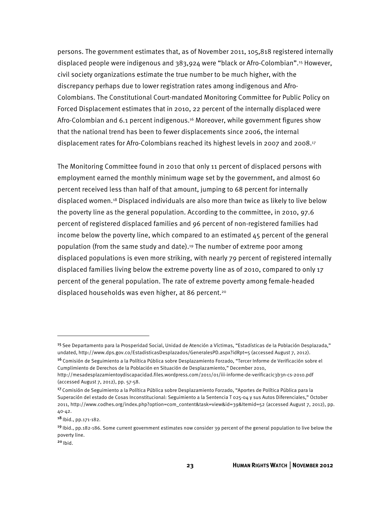persons. The government estimates that, as of November 2011, 105,818 registered internally displaced people were indigenous and 383,924 were "black or Afro-Colombian".15 However, civil society organizations estimate the true number to be much higher, with the discrepancy perhaps due to lower registration rates among indigenous and Afro-Colombians. The Constitutional Court-mandated Monitoring Committee for Public Policy on Forced Displacement estimates that in 2010, 22 percent of the internally displaced were Afro-Colombian and 6.1 percent indigenous.16 Moreover, while government figures show that the national trend has been to fewer displacements since 2006, the internal displacement rates for Afro-Colombians reached its highest levels in 2007 and 2008.17

The Monitoring Committee found in 2010 that only 11 percent of displaced persons with employment earned the monthly minimum wage set by the government, and almost 60 percent received less than half of that amount, jumping to 68 percent for internally displaced women.18 Displaced individuals are also more than twice as likely to live below the poverty line as the general population. According to the committee, in 2010, 97.6 percent of registered displaced families and 96 percent of non-registered families had income below the poverty line, which compared to an estimated  $45$  percent of the general population (from the same study and date).19 The number of extreme poor among displaced populations is even more striking, with nearly 79 percent of registered internally displaced families living below the extreme poverty line as of 2010, compared to only 17 percent of the general population. The rate of extreme poverty among female-headed displaced households was even higher, at 86 percent.<sup>20</sup>

 $\overline{a}$ 

<sup>15</sup>See Departamento para la Prosperidad Social, Unidad de Atención a Víctimas, "Estadísticas de la Población Desplazada," undated, http://www.dps.gov.co/EstadisticasDesplazados/GeneralesPD.aspx?idRpt=5 (accessed August 7, 2012).

<sup>&</sup>lt;sup>16</sup> Comisión de Seguimiento a la Política Pública sobre Desplazamiento Forzado, "Tercer Informe de Verificación sobre el Cumplimiento de Derechos de la Población en Situación de Desplazamiento," December 2010, http://mesadesplazamientoydiscapacidad.files.wordpress.com/2011/01/iii-informe-de-verificacic3b3n-cs-2010.pdf

<sup>(</sup>accessed August 7, 2012), pp. 57-58.

<sup>17</sup> Comisión de Seguimiento a la Política Pública sobre Desplazamiento Forzado, "Aportes de Política Pública para la Superación del estado de Cosas Inconstitucional: Seguimiento a la Sentencia T 025-04 y sus Autos Diferenciales," October 2011, http://www.codhes.org/index.php?option=com\_content&task=view&id=39&Itemid=52 (accessed August 7, 2012), pp. 40-42.

<sup>18</sup> Ibid., pp.171-182.

<sup>&</sup>lt;sup>19</sup> Ibid., pp.182-186. Some current government estimates now consider 39 percent of the general population to live below the poverty line.

 $20$  Ibid.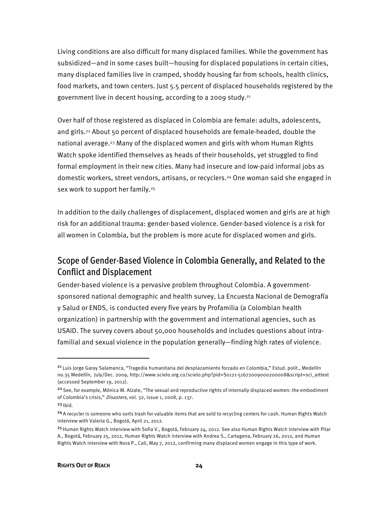Living conditions are also difficult for many displaced families. While the government has subsidized—and in some cases built—housing for displaced populations in certain cities, many displaced families live in cramped, shoddy housing far from schools, health clinics, food markets, and town centers. Just 5.5 percent of displaced households registered by the government live in decent housing, according to a 2009 study.21

Over half of those registered as displaced in Colombia are female: adults, adolescents, and girls.22 About 50 percent of displaced households are female-headed, double the national average.23 Many of the displaced women and girls with whom Human Rights Watch spoke identified themselves as heads of their households, yet struggled to find formal employment in their new cities. Many had insecure and low-paid informal jobs as domestic workers, street vendors, artisans, or recyclers.24 One woman said she engaged in sex work to support her family.<sup>25</sup>

In addition to the daily challenges of displacement, displaced women and girls are at high risk for an additional trauma: gender-based violence. Gender-based violence is a risk for all women in Colombia, but the problem is more acute for displaced women and girls.

## Scope of Gender-Based Violence in Colombia Generally, and Related to the Conflict and Displacement

Gender-based violence is a pervasive problem throughout Colombia. A governmentsponsored national demographic and health survey, La Encuesta Nacional de Demografía y Salud or ENDS, is conducted every five years by Profamilia (a Colombian health organization) in partnership with the government and international agencies, such as USAID. The survey covers about 50,000 households and includes questions about intrafamilial and sexual violence in the population generally—finding high rates of violence.

j

<sup>&</sup>lt;sup>21</sup> Luis Jorge Garay Salamanca, "Tragedia humanitaria del desplazamiento forzado en Colombia," Estud. polit., Medellín no.35 Medellín, July/Dec. 2009, http://www.scielo.org.co/scielo.php?pid=S0121-51672009000200008&script=sci\_arttext (accessed September 19, 2012).

<sup>&</sup>lt;sup>22</sup> See, for example, Mónica M. Alzate, "The sexual and reproductive rights of internally displaced women: the embodiment of Colombia's crisis," Disasters, vol. 32, issue 1, 2008, p. 137.

 $23$  Ibid.

<sup>&</sup>lt;sup>24</sup> A recycler is someone who sorts trash for valuable items that are sold to recycling centers for cash. Human Rights Watch interview with Valeria G., Bogotá, April 21, 2012.

<sup>&</sup>lt;sup>25</sup> Human Rights Watch interview with Sofia V., Bogotá, February 24, 2012. See also Human Rights Watch interview with Pilar A., Bogotá, February 25, 2012, Human Rights Watch interview with Andrea S., Cartagena, February 26, 2012, and Human Rights Watch interview with Nora P., Cali, May 7, 2012, confirming many displaced women engage in this type of work.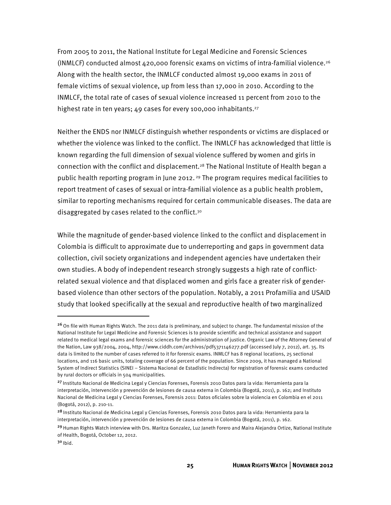From 2005 to 2011, the National Institute for Legal Medicine and Forensic Sciences (INMLCF) conducted almost 420,000 forensic exams on victims of intra-familial violence.26 Along with the health sector, the INMLCF conducted almost 19,000 exams in 2011 of female victims of sexual violence, up from less than 17,000 in 2010. According to the INMLCF, the total rate of cases of sexual violence increased 11 percent from 2010 to the highest rate in ten years; 49 cases for every 100,000 inhabitants.<sup>27</sup>

Neither the ENDS nor INMLCF distinguish whether respondents or victims are displaced or whether the violence was linked to the conflict. The INMLCF has acknowledged that little is known regarding the full dimension of sexual violence suffered by women and girls in connection with the conflict and displacement.<sup>28</sup> The National Institute of Health began a public health reporting program in June 2012. 29 The program requires medical facilities to report treatment of cases of sexual or intra-familial violence as a public health problem, similar to reporting mechanisms required for certain communicable diseases. The data are disaggregated by cases related to the conflict.30

While the magnitude of gender-based violence linked to the conflict and displacement in Colombia is difficult to approximate due to underreporting and gaps in government data collection, civil society organizations and independent agencies have undertaken their own studies. A body of independent research strongly suggests a high rate of conflictrelated sexual violence and that displaced women and girls face a greater risk of genderbased violence than other sectors of the population. Notably, a 2011 Profamilia and USAID study that looked specifically at the sexual and reproductive health of two marginalized

<sup>&</sup>lt;sup>26</sup> On file with Human Rights Watch. The 2011 data is preliminary, and subject to change. The fundamental mission of the National Institute for Legal Medicine and Forensic Sciences is to provide scientific and technical assistance and support related to medical legal exams and forensic sciences for the administration of justice. Organic Law of the Attorney General of the Nation, Law 938/2004, 2004, http://www.ciddh.com/archivos/pdf5371146277.pdf (accessed July 7, 2012), art. 35. Its data is limited to the number of cases referred to it for forensic exams. INMLCF has 8 regional locations, 25 sectional locations, and 116 basic units, totaling coverage of 66 percent of the population. Since 2009, it has managed a National System of Indirect Statistics (SINEI – Sistema Nacional de Estadístic Indirecta) for registration of forensic exams conducted by rural doctors or officials in 504 municipalities.

<sup>&</sup>lt;sup>27</sup> Instituto Nacional de Medicina Legal y Ciencias Forenses, Forensis 2010 Datos para la vida: Herramienta para la interpretación, intervención y prevención de lesiones de causa externa in Colombia (Bogotá, 2011), p. 162; and Instituto Nacional de Medicina Legal y Ciencias Forenses, Forensis 2011: Datos oficiales sobre la violencia en Colombia en el 2011 (Bogotá, 2012), p. 210-11.

<sup>28</sup> Instituto Nacional de Medicina Legal y Ciencias Forenses, Forensis 2010 Datos para la vida: Herramienta para la interpretación, intervención y prevención de lesiones de causa externa in Colombia (Bogotá, 2011), p. 162.

<sup>&</sup>lt;sup>29</sup> Human Rights Watch interview with Drs. Maritza Gonzalez, Luz Janeth Forero and Maira Alejandra Ortize, National Institute of Health, Bogotá, October 12, 2012.

 $30$  Ibid.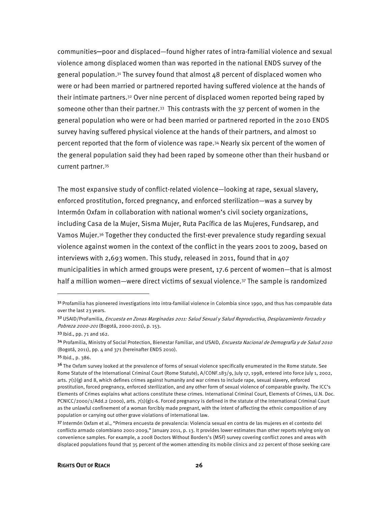communities─poor and displaced—found higher rates of intra-familial violence and sexual violence among displaced women than was reported in the national ENDS survey of the general population.<sup>31</sup> The survey found that almost  $48$  percent of displaced women who were or had been married or partnered reported having suffered violence at the hands of their intimate partners.32 Over nine percent of displaced women reported being raped by someone other than their partner.<sup>33</sup> This contrasts with the  $37$  percent of women in the general population who were or had been married or partnered reported in the 2010 ENDS survey having suffered physical violence at the hands of their partners, and almost 10 percent reported that the form of violence was rape.34 Nearly six percent of the women of the general population said they had been raped by someone other than their husband or current partner.35

The most expansive study of conflict-related violence—looking at rape, sexual slavery, enforced prostitution, forced pregnancy, and enforced sterilization—was a survey by Intermón Oxfam in collaboration with national women's civil society organizations, including Casa de la Mujer, Sisma Mujer, Ruta Pacífica de las Mujeres, Fundsarep, and Vamos Mujer.36 Together they conducted the first-ever prevalence study regarding sexual violence against women in the context of the conflict in the years 2001 to 2009, based on interviews with 2,693 women. This study, released in 2011, found that in 407 municipalities in which armed groups were present, 17.6 percent of women—that is almost half a million women—were direct victims of sexual violence.37 The sample is randomized

 $\overline{a}$ 

<sup>&</sup>lt;sup>31</sup> Profamilia has pioneered investigations into intra-familial violence in Colombia since 1990, and thus has comparable data over the last 23 years.

<sup>3&</sup>lt;sup>2</sup> USAID/ProFamilia, Encuesta en Zonas Marginadas 2011: Salud Sexual y Salud Reproductiva, Desplazamiento Forzado y Pobreza 2000-201 (Bogotá, 2000-2011), p. 153.

<sup>33</sup> Ibid., pp. 71 and 162.

<sup>34</sup> Profamilia, Ministry of Social Protection, Bienestar Familiar, and USAID, Encuesta Nacional de Demografía y de Salud 2010 (Bogotá, 2011), pp. 4 and 371 (hereinafter ENDS 2010).

<sup>35</sup> Ibid., p. 386.

<sup>&</sup>lt;sup>36</sup> The Oxfam survey looked at the prevalence of forms of sexual violence specifically enumerated in the Rome statute. See Rome Statute of the International Criminal Court (Rome Statute), A/CONF.183/9, July 17, 1998, entered into force July 1, 2002, arts.  $7(1)(g)$  and 8, which defines crimes against humanity and war crimes to include rape, sexual slavery, enforced prostitution, forced pregnancy, enforced sterilization, and any other form of sexual violence of comparable gravity. The ICC's Elements of Crimes explains what actions constitute these crimes. International Criminal Court, Elements of Crimes, U.N. Doc. PCNICC/2000/1/Add.2 (2000), arts. 7(1)(g)1-6. Forced pregnancy is defined in the statute of the International Criminal Court as the unlawful confinement of a woman forcibly made pregnant, with the intent of affecting the ethnic composition of any population or carrying out other grave violations of international law.

<sup>37</sup> Intermón Oxfam et al., "Primera encuesta de prevalencia: Violencia sexual en contra de las mujeres en el contexto del conflicto armado colombiano 2001-2009," January 2011, p. 13. It provides lower estimates than other reports relying only on convenience samples. For example, a 2008 Doctors Without Borders's (MSF) survey covering conflict zones and areas with displaced populations found that 35 percent of the women attending its mobile clinics and 22 percent of those seeking care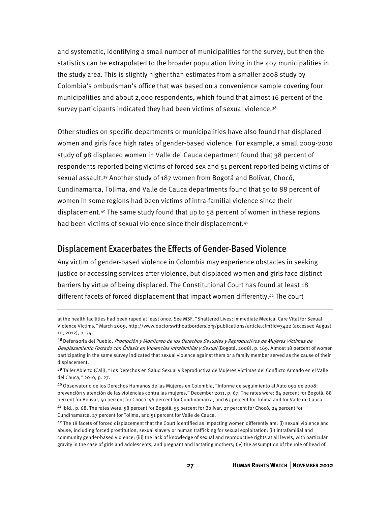and systematic, identifying a small number of municipalities for the survey, but then the statistics can be extrapolated to the broader population living in the 407 municipalities in the study area. This is slightly higher than estimates from a smaller 2008 study by Colombia's ombudsman's office that was based on a convenience sample covering four municipalities and about 2,000 respondents, which found that almost 16 percent of the survey participants indicated they had been victims of sexual violence.<sup>38</sup>

Other studies on specific departments or municipalities have also found that displaced women and girls face high rates of gender-based violence. For example, a small 2009-2010 study of 98 displaced women in Valle del Cauca department found that 38 percent of respondents reported being victims of forced sex and 51 percent reported being victims of sexual assault.39 Another study of 187 women from Bogotá and Bolívar, Chocó, Cundinamarca, Tolima, and Valle de Cauca departments found that 50 to 88 percent of women in some regions had been victims of intra-familial violence since their displacement.40 The same study found that up to 58 percent of women in these regions had been victims of sexual violence since their displacement.<sup>41</sup>

#### Displacement Exacerbates the Effects of Gender-Based Violence

 $\overline{a}$ 

Any victim of gender-based violence in Colombia may experience obstacles in seeking justice or accessing services after violence, but displaced women and girls face distinct barriers by virtue of being displaced. The Constitutional Court has found at least 18 different facets of forced displacement that impact women differently.42 The court

at the health facilities had been raped at least once. See MSF, "Shattered Lives: Immediate Medical Care Vital for Sexual Violence Victims," March 2009, http://www.doctorswithoutborders.org/publications/article.cfm?id=3422 (accessed August 10, 2012), p. 34.

<sup>38</sup> Defensoría del Pueblo, Promoción y Monitoreo de los Derechos Sexuales y Reproductivos de Mujeres Víctimas de Desplazamiento Forzado con Énfasis en Violencias Intrafamiliar y Sexual (Bogotá, 2008), p. 169. Almost 18 percent of women participating in the same survey indicated that sexual violence against them or a family member served as the cause of their displacement.

<sup>39</sup> Taller Abierto (Cali), "Los Derechos en Salud Sexual y Reproductiva de Mujeres Victimas del Conflicto Armado en el Valle del Cauca," 2010, p. 27.

<sup>40</sup>Observatorio de los Derechos Humanos de las Mujeres en Colombia, "Informe de seguimiento al Auto 092 de 2008: prevención y atención de las violencias contra las mujeres," December 2011, p. 67. The rates were: 84 percent for Bogotá, 88 percent for Bolívar, 50 percent for Chocó, 56 percent for Cundinamarca, and 63 percent for Tolima and for Valle de Cauca. 41 Ibid., p. 68. The rates were: 58 percent for Bogotá, 55 percent for Bolívar, 27 percent for Chocó, 24 percent for Cundinamarca, 27 percent for Tolima, and 51 percent for Valle de Cauca.

<sup>42</sup> The 18 facets of forced displacement that the Court identified as impacting women differently are: (i) sexual violence and abuse, including forced prostitution, sexual slavery or human trafficking for sexual exploitation: (ii) intrafamilial and community gender-based violence; (iii) the lack of knowledge of sexual and reproductive rights at all levels, with particular gravity in the case of girls and adolescents, and pregnant and lactating mothers; (iv) the assumption of the role of head of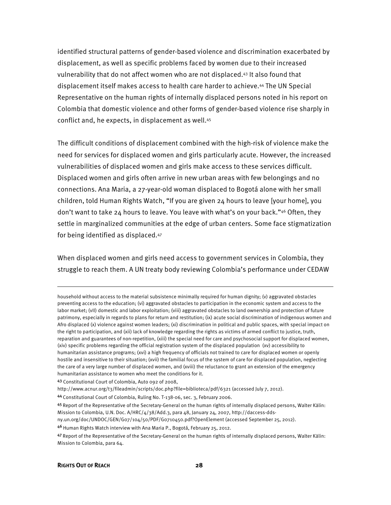identified structural patterns of gender-based violence and discrimination exacerbated by displacement, as well as specific problems faced by women due to their increased vulnerability that do not affect women who are not displaced.43 It also found that displacement itself makes access to health care harder to achieve.44 The UN Special Representative on the human rights of internally displaced persons noted in his report on Colombia that domestic violence and other forms of gender-based violence rise sharply in conflict and, he expects, in displacement as well.45

The difficult conditions of displacement combined with the high-risk of violence make the need for services for displaced women and girls particularly acute. However, the increased vulnerabilities of displaced women and girls make access to these services difficult. Displaced women and girls often arrive in new urban areas with few belongings and no connections. Ana Maria, a 27-year-old woman displaced to Bogotá alone with her small children, told Human Rights Watch, "If you are given 24 hours to leave [your home], you don't want to take 24 hours to leave. You leave with what's on your back."46 Often, they settle in marginalized communities at the edge of urban centers. Some face stigmatization for being identified as displaced.47

When displaced women and girls need access to government services in Colombia, they struggle to reach them. A UN treaty body reviewing Colombia's performance under CEDAW

1

household without access to the material subsistence minimally required for human dignity; (v) aggravated obstacles preventing access to the education; (vi) aggravated obstacles to participation in the economic system and access to the labor market; (vII) domestic and labor exploitation; (viii) aggravated obstacles to land ownership and protection of future patrimony, especially in regards to plans for return and restitution; (ix) acute social discrimination of indigenous women and Afro displaced (x) violence against women leaders; (xi) discrimination in political and public spaces, with special impact on the right to participation, and (xii) lack of knowledge regarding the rights as victims of armed conflict to justice, truth, reparation and guarantees of non-repetition, (xiii) the special need for care and psychosocial support for displaced women, (xiv) specific problems regarding the official registration system of the displaced population (xv) accessibility to humanitarian assistance programs; (xvi) a high frequency of officials not trained to care for displaced women or openly hostile and insensitive to their situation; (xvii) the familial focus of the system of care for displaced population, neglecting the care of a very large number of displaced women, and (xviii) the reluctance to grant an extension of the emergency humanitarian assistance to women who meet the conditions for it.

<sup>43</sup> Constitutional Court of Colombia, Auto 092 of 2008,

http://www.acnur.org/t3/fileadmin/scripts/doc.php?file=biblioteca/pdf/6321 (accessed July 7, 2012).

<sup>44</sup>Constitutional Court of Colombia, Ruling No. T-138-06, sec. 3, February 2006.

<sup>45</sup> Report of the Representative of the Secretary-General on the human rights of internally displaced persons, Walter Kälin: Mission to Colombia, U.N. Doc. A/HRC/4/38/Add.3, para 48, January 24, 2007, http://daccess-dds-

ny.un.org/doc/UNDOC/GEN/G07/104/50/PDF/G0710450.pdf?OpenElement (accessed September 25, 2012).

<sup>46</sup> Human Rights Watch interview with Ana Maria P., Bogotá, February 25, 2012.

<sup>47</sup> Report of the Representative of the Secretary-General on the human rights of internally displaced persons, Walter Kälin: Mission to Colombia, para 64.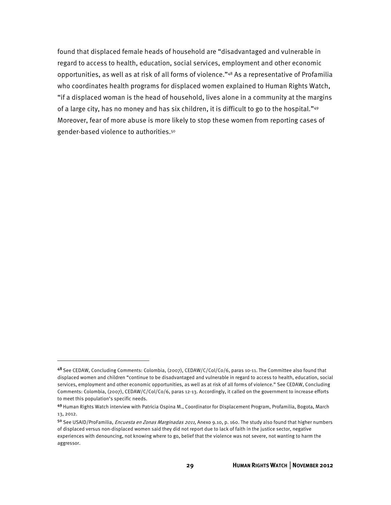found that displaced female heads of household are "disadvantaged and vulnerable in regard to access to health, education, social services, employment and other economic opportunities, as well as at risk of all forms of violence."48 As a representative of Profamilia who coordinates health programs for displaced women explained to Human Rights Watch, "if a displaced woman is the head of household, lives alone in a community at the margins of a large city, has no money and has six children, it is difficult to go to the hospital."49 Moreover, fear of more abuse is more likely to stop these women from reporting cases of gender-based violence to authorities.50

<sup>48</sup> See CEDAW, Concluding Comments: Colombia, (2007), CEDAW/C/Col/Co/6, paras 10-11. The Committee also found that displaced women and children "continue to be disadvantaged and vulnerable in regard to access to health, education, social services, employment and other economic opportunities, as well as at risk of all forms of violence." See CEDAW, Concluding Comments: Colombia, (2007), CEDAW/C/Col/Co/6, paras 12-13. Accordingly, it called on the government to increase efforts to meet this population's specific needs.

<sup>49</sup> Human Rights Watch interview with Patricia Ospina M., Coordinator for Displacement Program, Profamilia, Bogota, March 13, 2012.

<sup>50</sup> See USAID/ProFamilia, *Encuesta en Zonas Marginadas 2011*, Anexo 9.10, p. 160. The study also found that higher numbers of displaced versus non-displaced women said they did not report due to lack of faith in the justice sector, negative experiences with denouncing, not knowing where to go, belief that the violence was not severe, not wanting to harm the aggressor.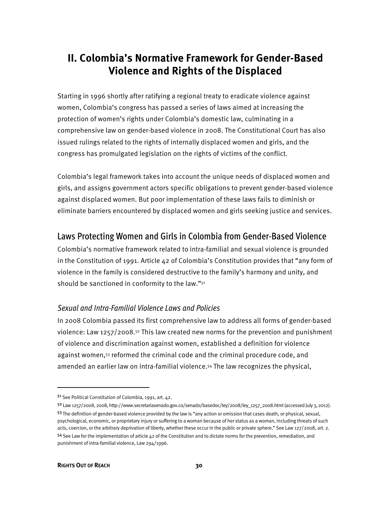# **II. Colombia's Normative Framework for Gender-Based Violence and Rights of the Displaced**

Starting in 1996 shortly after ratifying a regional treaty to eradicate violence against women, Colombia's congress has passed a series of laws aimed at increasing the protection of women's rights under Colombia's domestic law, culminating in a comprehensive law on gender-based violence in 2008. The Constitutional Court has also issued rulings related to the rights of internally displaced women and girls, and the congress has promulgated legislation on the rights of victims of the conflict.

Colombia's legal framework takes into account the unique needs of displaced women and girls, and assigns government actors specific obligations to prevent gender-based violence against displaced women. But poor implementation of these laws fails to diminish or eliminate barriers encountered by displaced women and girls seeking justice and services.

# Laws Protecting Women and Girls in Colombia from Gender-Based Violence

Colombia's normative framework related to intra-familial and sexual violence is grounded in the Constitution of 1991. Article 42 of Colombia's Constitution provides that "any form of violence in the family is considered destructive to the family's harmony and unity, and should be sanctioned in conformity to the law."51

#### Sexual and Intra-Familial Violence Laws and Policies

In 2008 Colombia passed its first comprehensive law to address all forms of gender-based violence: Law 1257/2008.52 This law created new norms for the prevention and punishment of violence and discrimination against women, established a definition for violence against women,53 reformed the criminal code and the criminal procedure code, and amended an earlier law on intra-familial violence.54 The law recognizes the physical,

 $\overline{a}$ 

<sup>5&</sup>lt;sup>1</sup> See Political Constitution of Colombia, 1991, art. 42.

<sup>52</sup>Law 1257/2008, 2008, http://www.secretariasenado.gov.co/senado/basedoc/ley/2008/ley\_1257\_2008.html (accessed July 3, 2012). 53 The definition of gender-based violence provided by the law is "any action or omission that cases death, or physical, sexual, psychological, economic, or proprietary injury or suffering to a woman because of her status as a woman, including threats of such acts, coercion, or the arbitrary deprivation of liberty, whether these occur in the public or private sphere." See Law 127/2008, art. 2.

 $54$  See Law for the implementation of article  $42$  of the Constitution and to dictate norms for the prevention, remediation, and punishment of intra-familial violence, Law 294/1996.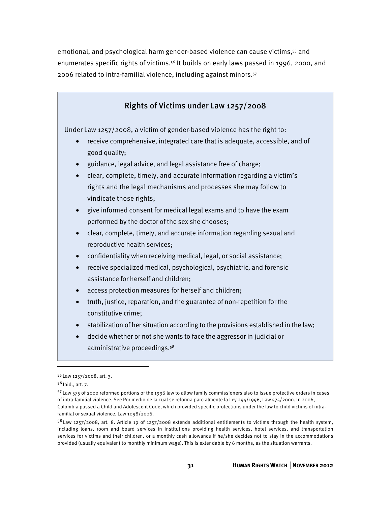emotional, and psychological harm gender-based violence can cause victims,55 and enumerates specific rights of victims.<sup>56</sup> It builds on early laws passed in 1996, 2000, and 2006 related to intra-familial violence, including against minors.57

#### Rights of Victims under Law 1257/2008

Under Law 1257/2008, a victim of gender-based violence has the right to:

- receive comprehensive, integrated care that is adequate, accessible, and of good quality;
- guidance, legal advice, and legal assistance free of charge;
- clear, complete, timely, and accurate information regarding a victim's rights and the legal mechanisms and processes she may follow to vindicate those rights;
- give informed consent for medical legal exams and to have the exam performed by the doctor of the sex she chooses;
- clear, complete, timely, and accurate information regarding sexual and reproductive health services;
- confidentiality when receiving medical, legal, or social assistance;
- receive specialized medical, psychological, psychiatric, and forensic assistance for herself and children;
- access protection measures for herself and children;
- truth, justice, reparation, and the guarantee of non-repetition for the constitutive crime;
- stabilization of her situation according to the provisions established in the law;
- decide whether or not she wants to face the aggressor in judicial or administrative proceedings.<sup>58</sup>

 $\overline{a}$ 

<sup>55</sup>Law 1257/2008, art. 3.

<sup>56</sup> Ibid., art. 7.

<sup>57</sup>Law 575 of 2000 reformed portions of the 1996 law to allow family commissioners also to issue protective orders in cases of intra-familial violence. See Por medio de la cual se reforma parcialmente la Ley 294/1996, Law 575/2000. In 2006, Colombia passed a Child and Adolescent Code, which provided specific protections under the law to child victims of intrafamilial or sexual violence. Law 1098/2006.

<sup>58</sup> Law 1257/2008, art. 8. Article 19 of 1257/2008 extends additional entitlements to victims through the health system, including loans, room and board services in institutions providing health services, hotel services, and transportation services for victims and their children, or a monthly cash allowance if he/she decides not to stay in the accommodations provided (usually equivalent to monthly minimum wage). This is extendable by 6 months, as the situation warrants.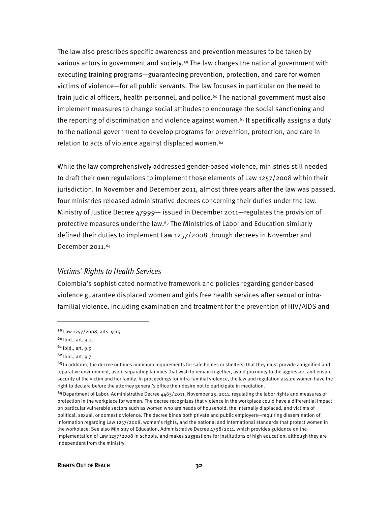The law also prescribes specific awareness and prevention measures to be taken by various actors in government and society.<sup>59</sup> The law charges the national government with executing training programs—guaranteeing prevention, protection, and care for women victims of violence—for all public servants. The law focuses in particular on the need to train judicial officers, health personnel, and police.<sup>60</sup> The national government must also implement measures to change social attitudes to encourage the social sanctioning and the reporting of discrimination and violence against women.<sup>61</sup> It specifically assigns a duty to the national government to develop programs for prevention, protection, and care in relation to acts of violence against displaced women.62

While the law comprehensively addressed gender-based violence, ministries still needed to draft their own regulations to implement those elements of Law 1257/2008 within their jurisdiction. In November and December 2011, almost three years after the law was passed, four ministries released administrative decrees concerning their duties under the law. Ministry of Justice Decree 47999— issued in December 2011—regulates the provision of protective measures under the law.63 The Ministries of Labor and Education similarly defined their duties to implement Law 1257/2008 through decrees in November and December 2011.64

#### Victims' Rights to Health Services

Colombia's sophisticated normative framework and policies regarding gender-based violence guarantee displaced women and girls free health services after sexual or intrafamilial violence, including examination and treatment for the prevention of HIV/AIDS and

j

<sup>59</sup> Law 1257/2008, arts. 9-15.

<sup>60</sup> Ibid., art. 9.2.

<sup>61</sup> Ibid., art. 9.9

<sup>62</sup> Ibid., art. 9.7.

<sup>&</sup>lt;sup>63</sup> In addition, the decree outlines minimum requirements for safe homes or shelters: that they must provide a dignified and reparative environment, avoid separating families that wish to remain together, avoid proximity to the aggressor, and ensure security of the victim and her family. In proceedings for intra-familial violence, the law and regulation assure women have the right to declare before the attorney general's office their desire not to participate in mediation.

 $64$  Department of Labor, Administrative Decree 4463/2011, November 25, 2011, regulating the labor rights and measures of protection in the workplace for women. The decree recognizes that violence in the workplace could have a differential impact on particular vulnerable sectors such as women who are heads of household, the internally displaced, and victims of political, sexual, or domestic violence. The decree binds both private and public employers—requiring dissemination of information regarding Law 1257/2008, women's rights, and the national and international standards that protect women in the workplace. See also Ministry of Education, Administrative Decree 4798/2011, which provides guidance on the implementation of Law 1257/2008 in schools, and makes suggestions for institutions of high education, although they are independent from the ministry.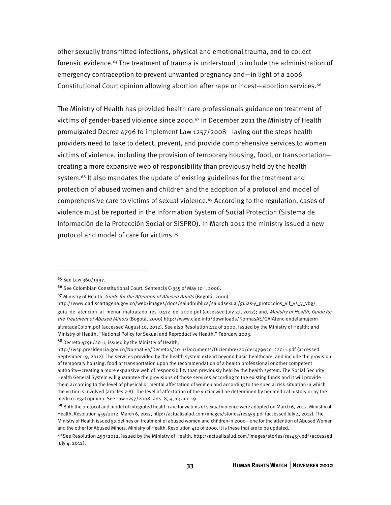other sexually transmitted infections, physical and emotional trauma, and to collect forensic evidence.<sup>65</sup> The treatment of trauma is understood to include the administration of emergency contraception to prevent unwanted pregnancy and—in light of a 2006 Constitutional Court opinion allowing abortion after rape or incest—abortion services.<sup>66</sup>

The Ministry of Health has provided health care professionals guidance on treatment of victims of gender-based violence since 2000.<sup>67</sup> In December 2011 the Ministry of Health promulgated Decree 4796 to implement Law 1257/2008—laying out the steps health providers need to take to detect, prevent, and provide comprehensive services to women victims of violence, including the provision of temporary housing, food, or transportation creating a more expansive web of responsibility than previously held by the health system.68 It also mandates the update of existing guidelines for the treatment and protection of abused women and children and the adoption of a protocol and model of comprehensive care to victims of sexual violence.<sup>69</sup> According to the regulation, cases of violence must be reported in the Information System of Social Protection (Sistema de Información de la Protección Social or SISPRO). In March 2012 the ministry issued a new protocol and model of care for victims.70

-

68 Decreto 4796/2011, issued by the Ministry of Health,

<sup>65</sup> See Law 360/1997.

<sup>66</sup> See Colombian Constitutional Court, Sentencia C-355 of May 10th, 2006.

<sup>&</sup>lt;sup>67</sup> Ministry of Health, Guide for the Attention of Abused Adults (Bogotá, 2000)

http://www.dadiscartagena.gov.co/web/images/docs/saludpublica/saludsexual/guias-y\_protocolos\_vif\_vs\_y\_vbg/ guia\_de\_atencion\_al\_menor\_maltratado\_res\_0412\_de\_2000.pdf (accessed July 27, 2012); and, Ministry of Health, Guide for the Treatment of Abused Minors (Bogotá, 2000) http://www.clae.info/downloads/NormasAE/GAIAtenciondelamujerm

altratadaColom.pdf (accessed August 10, 2012). See also Resolution 412 of 2000, issued by the Ministry of Health; and Ministry of Health, "National Policy for Sexual and Reproductive Health," February 2003.

http://wsp.presidencia.gov.co/Normativa/Decretos/2011/Documents/Diciembre/20/dec479620122011.pdf (accessed September 19, 2012). The services provided by the health system extend beyond basic healthcare, and include the provision of temporary housing, food or transportation upon the recommendation of a health professional or other competent authority—creating a more expansive web of responsibility than previously held by the health system. The Social Security Health General System will guarantee the provisions of those services according to the existing funds and it will provide them according to the level of physical or mental affectation of women and according to the special risk situation in which the victim is involved (articles 7-8). The level of affectation of the victim will be determined by her medical history or by the medico-legal opinion. See Law 1257/2008, arts. 8, 9, 13 and 19.

<sup>69</sup> Both the protocol and model of integrated health care for victims of sexual violence were adopted on March 6, 2012. Ministry of Health, Resolution 459/2012, March 6, 2012, http://actualisalud.com/images/stories/res459.pdf (accessed July 4, 2012). The Ministry of Health issued guidelines on treatment of abused women and children in 2000—one for the attention of Abused Women and the other for Abused Minors. Ministry of Health, Resolution 412 of 2000. It is these that are to be updated.

<sup>70</sup>See Resolution 459/2012, issued by the Ministry of Health, http://actualisalud.com/images/stories/res459.pdf (accessed July 4, 2012).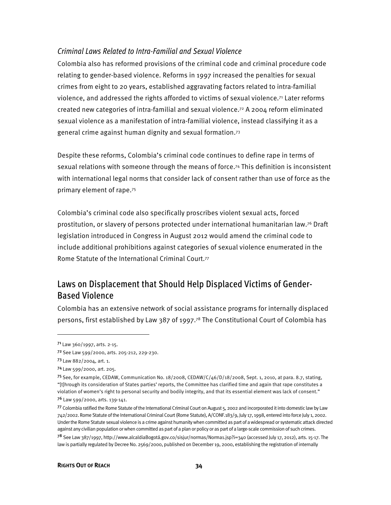#### Criminal Laws Related to Intra-Familial and Sexual Violence

Colombia also has reformed provisions of the criminal code and criminal procedure code relating to gender-based violence. Reforms in 1997 increased the penalties for sexual crimes from eight to 20 years, established aggravating factors related to intra-familial violence, and addressed the rights afforded to victims of sexual violence.<sup>71</sup> Later reforms created new categories of intra-familial and sexual violence.72 A 2004 reform eliminated sexual violence as a manifestation of intra-familial violence, instead classifying it as a general crime against human dignity and sexual formation.73

Despite these reforms, Colombia's criminal code continues to define rape in terms of sexual relations with someone through the means of force.74 This definition is inconsistent with international legal norms that consider lack of consent rather than use of force as the primary element of rape.75

Colombia's criminal code also specifically proscribes violent sexual acts, forced prostitution, or slavery of persons protected under international humanitarian law.76 Draft legislation introduced in Congress in August 2012 would amend the criminal code to include additional prohibitions against categories of sexual violence enumerated in the Rome Statute of the International Criminal Court.77

# Laws on Displacement that Should Help Displaced Victims of Gender-Based Violence

Colombia has an extensive network of social assistance programs for internally displaced persons, first established by Law 387 of 1997.78 The Constitutional Court of Colombia has

<sup>71</sup>Law 360/1997, arts. 2-15.

<sup>7&</sup>lt;sup>2</sup> See Law 599/2000, arts. 205-212, 229-230.

<sup>73</sup>Law 882/2004, art. 1.

<sup>74</sup>Law 599/2000, art. 205.

<sup>75</sup>See, for example, CEDAW, Communication No. 18/2008, CEDAW/C/46/D/18/2008, Sept. 1, 2010, at para. 8.7, stating, "[t]hrough its consideration of States parties' reports, the Committee has clarified time and again that rape constitutes a violation of women's right to personal security and bodily integrity, and that its essential element was lack of consent."

<sup>76</sup> Law 599/2000, arts. 139-141.

<sup>77</sup>Colombia ratified the Rome Statute of the International Criminal Court on August 5, 2002 and incorporated it into domestic law by Law 742/2002. Rome Statute of the International Criminal Court (Rome Statute), A/CONF.183/9, July 17, 1998, entered into force July 1, 2002. Under the Rome Statute sexual violence is a crime against humanity when committed as part of a widespread or systematic attack directed against any civilian population or when committed as part of a plan or policy or as part of a large-scale commission of such crimes. <sup>78</sup> See Law 387/1997, http://www.alcaldiaBogotá.gov.co/sisjur/normas/Norma1.jsp?i=340 (accessed July 17, 2012), arts. 15-17. The law is partially regulated by Decree No. 2569/2000, published on December 19, 2000, establishing the registration of internally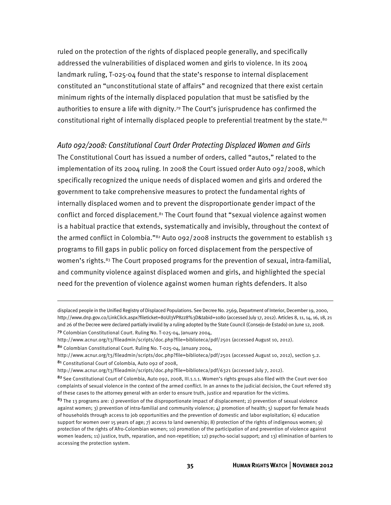ruled on the protection of the rights of displaced people generally, and specifically addressed the vulnerabilities of displaced women and girls to violence. In its 2004 landmark ruling, T-025-04 found that the state's response to internal displacement constituted an "unconstitutional state of affairs" and recognized that there exist certain minimum rights of the internally displaced population that must be satisfied by the authorities to ensure a life with dignity.79 The Court's jurisprudence has confirmed the constitutional right of internally displaced people to preferential treatment by the state.<sup>80</sup>

#### Auto 092/2008: Constitutional Court Order Protecting Displaced Women and Girls

The Constitutional Court has issued a number of orders, called "autos," related to the implementation of its 2004 ruling. In 2008 the Court issued order Auto 092/2008, which specifically recognized the unique needs of displaced women and girls and ordered the government to take comprehensive measures to protect the fundamental rights of internally displaced women and to prevent the disproportionate gender impact of the conflict and forced displacement.81 The Court found that "sexual violence against women is a habitual practice that extends, systematically and invisibly, throughout the context of the armed conflict in Colombia." $82$  Auto 092/2008 instructs the government to establish 13 programs to fill gaps in public policy on forced displacement from the perspective of women's rights.<sup>83</sup> The Court proposed programs for the prevention of sexual, intra-familial, and community violence against displaced women and girls, and highlighted the special need for the prevention of violence against women human rights defenders. It also

<sup>81</sup> Constitutional Court of Colombia, Auto 092 of 2008,

j

http://www.acnur.org/t3/fileadmin/scripts/doc.php?file=biblioteca/pdf/6321 (accessed July 7, 2012).

displaced people in the Unified Registry of Displaced Populations. See Decree No. 2569, Department of Interior, December 19, 2000, http://www.dnp.gov.co/LinkClick.aspx?fileticket=80Ul3VP8zz8%3D&tabid=1080 (accessed July 17, 2012). Articles 8, 11, 14, 16, 18, 21 and 26 of the Decree were declared partially invalid by a ruling adopted by the State Council (Consejo de Estado) on June 12, 2008.

<sup>79</sup> Colombian Constitutional Court. Ruling No. T-025-04, January 2004,

http://www.acnur.org/t3/fileadmin/scripts/doc.php?file=biblioteca/pdf/2501 (accessed August 10, 2012).

<sup>80</sup> Colombian Constitutional Court. Ruling No. T-025-04, January 2004,

http://www.acnur.org/t3/fileadmin/scripts/doc.php?file=biblioteca/pdf/2501 (accessed August 10, 2012), section 5.2.

<sup>82</sup> See Constitutional Court of Colombia, Auto 092, 2008, III.1.1.1. Women's rights groups also filed with the Court over 600 complaints of sexual violence in the context of the armed conflict. In an annex to the judicial decision, the Court referred 183 of these cases to the attorney general with an order to ensure truth, justice and reparation for the victims.

<sup>&</sup>lt;sup>83</sup> The 13 programs are: 1) prevention of the disproportionate impact of displacement; 2) prevention of sexual violence against women; 3) prevention of intra-familial and community violence;  $4$ ) promotion of health;  $5$ ) support for female heads of households through access to job opportunities and the prevention of domestic and labor exploitation; 6) education support for women over 15 years of age; 7) access to land ownership; 8) protection of the rights of indigenous women; 9) protection of the rights of Afro-Colombian women; 10) promotion of the participation of and prevention of violence against women leaders; 11) justice, truth, reparation, and non-repetition; 12) psycho-social support; and 13) elimination of barriers to accessing the protection system.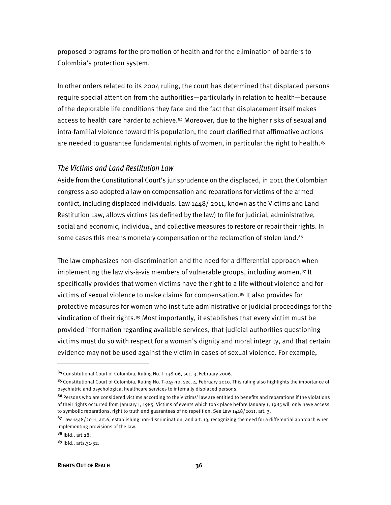proposed programs for the promotion of health and for the elimination of barriers to Colombia's protection system.

In other orders related to its 2004 ruling, the court has determined that displaced persons require special attention from the authorities—particularly in relation to health—because of the deplorable life conditions they face and the fact that displacement itself makes access to health care harder to achieve.84 Moreover, due to the higher risks of sexual and intra-familial violence toward this population, the court clarified that affirmative actions are needed to guarantee fundamental rights of women, in particular the right to health.<sup>85</sup>

#### The Victims and Land Restitution Law

Aside from the Constitutional Court's jurisprudence on the displaced, in 2011 the Colombian congress also adopted a law on compensation and reparations for victims of the armed conflict, including displaced individuals. Law 1448/ 2011, known as the Victims and Land Restitution Law, allows victims (as defined by the law) to file for judicial, administrative, social and economic, individual, and collective measures to restore or repair their rights. In some cases this means monetary compensation or the reclamation of stolen land.<sup>86</sup>

The law emphasizes non-discrimination and the need for a differential approach when implementing the law vis-à-vis members of vulnerable groups, including women.<sup>87</sup> It specifically provides that women victims have the right to a life without violence and for victims of sexual violence to make claims for compensation.88 It also provides for protective measures for women who institute administrative or judicial proceedings for the vindication of their rights.<sup>89</sup> Most importantly, it establishes that every victim must be provided information regarding available services, that judicial authorities questioning victims must do so with respect for a woman's dignity and moral integrity, and that certain evidence may not be used against the victim in cases of sexual violence. For example,

<sup>84</sup>Constitutional Court of Colombia, Ruling No. T-138-06, sec. 3, February 2006.

<sup>85</sup> Constitutional Court of Colombia, Ruling No. T-045-10, sec. 4, February 2010. This ruling also highlights the importance of psychiatric and psychological healthcare services to internally displaced persons.

<sup>86</sup> Persons who are considered victims according to the Victims' law are entitled to benefits and reparations if the violations of their rights occurred from January 1, 1985. Victims of events which took place before January 1, 1985 will only have access to symbolic reparations, right to truth and guarantees of no repetition. See Law 1448/2011, art. 3.

 $87$  Law 1448/2011, art.6, establishing non-discrimination, and art. 13, recognizing the need for a differential approach when implementing provisions of the law.

<sup>88</sup> Ibid., art.28.

<sup>89</sup> Ibid., arts.31-32.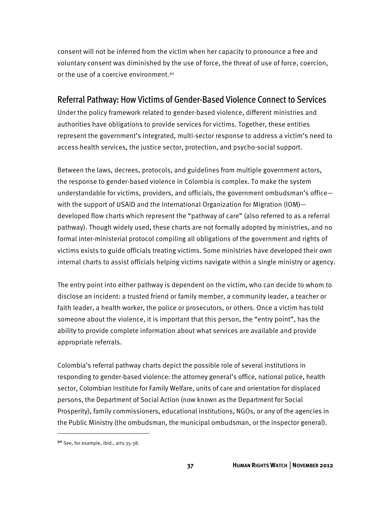consent will not be inferred from the victim when her capacity to pronounce a free and voluntary consent was diminished by the use of force, the threat of use of force, coercion, or the use of a coercive environment.<sup>90</sup>

# Referral Pathway: How Victims of Gender-Based Violence Connect to Services

Under the policy framework related to gender-based violence, different ministries and authorities have obligations to provide services for victims. Together, these entities represent the government's integrated, multi-sector response to address a victim's need to access health services, the justice sector, protection, and psycho-social support.

Between the laws, decrees, protocols, and guidelines from multiple government actors, the response to gender-based violence in Colombia is complex. To make the system understandable for victims, providers, and officials, the government ombudsman's office with the support of USAID and the International Organization for Migration (IOM) developed flow charts which represent the "pathway of care" (also referred to as a referral pathway). Though widely used, these charts are not formally adopted by ministries, and no formal inter-ministerial protocol compiling all obligations of the government and rights of victims exists to guide officials treating victims. Some ministries have developed their own internal charts to assist officials helping victims navigate within a single ministry or agency.

The entry point into either pathway is dependent on the victim, who can decide to whom to disclose an incident: a trusted friend or family member, a community leader, a teacher or faith leader, a health worker, the police or prosecutors, or others. Once a victim has told someone about the violence, it is important that this person, the "entry point", has the ability to provide complete information about what services are available and provide appropriate referrals.

Colombia's referral pathway charts depict the possible role of several institutions in responding to gender-based violence: the attorney general's office, national police, health sector, Colombian Institute for Family Welfare, units of care and orientation for displaced persons, the Department of Social Action (now known as the Department for Social Prosperity), family commissioners, educational institutions, NGOs, or any of the agencies in the Public Ministry (the ombudsman, the municipal ombudsman, or the inspector general).

<sup>90</sup> See, for example, ibid., arts.35-38.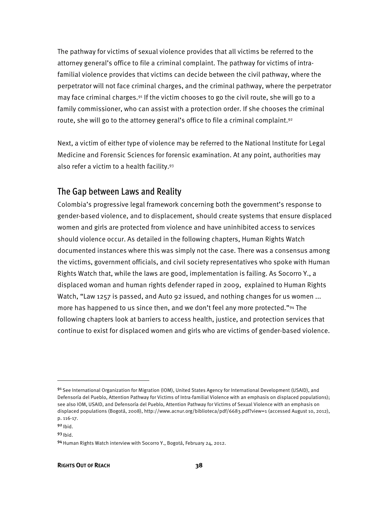The pathway for victims of sexual violence provides that all victims be referred to the attorney general's office to file a criminal complaint. The pathway for victims of intrafamilial violence provides that victims can decide between the civil pathway, where the perpetrator will not face criminal charges, and the criminal pathway, where the perpetrator may face criminal charges.91 If the victim chooses to go the civil route, she will go to a family commissioner, who can assist with a protection order. If she chooses the criminal route, she will go to the attorney general's office to file a criminal complaint.<sup>92</sup>

Next, a victim of either type of violence may be referred to the National Institute for Legal Medicine and Forensic Sciences for forensic examination. At any point, authorities may also refer a victim to a health facility.93

## The Gap between Laws and Reality

Colombia's progressive legal framework concerning both the government's response to gender-based violence, and to displacement, should create systems that ensure displaced women and girls are protected from violence and have uninhibited access to services should violence occur. As detailed in the following chapters, Human Rights Watch documented instances where this was simply not the case. There was a consensus among the victims, government officials, and civil society representatives who spoke with Human Rights Watch that, while the laws are good, implementation is failing. As Socorro Y., a displaced woman and human rights defender raped in 2009, explained to Human Rights Watch, "Law 1257 is passed, and Auto 92 issued, and nothing changes for us women ... more has happened to us since then, and we don't feel any more protected."<sup>94</sup> The following chapters look at barriers to access health, justice, and protection services that continue to exist for displaced women and girls who are victims of gender-based violence.

1

<sup>91</sup> See International Organization for Migration (IOM), United States Agency for International Development (USAID), and Defensoría del Pueblo, Attention Pathway for Victims of Intra-familial Violence with an emphasis on displaced populations); see also IOM, USAID, and Defensoría del Pueblo, Attention Pathway for Victims of Sexual Violence with an emphasis on displaced populations (Bogotá, 2008), http://www.acnur.org/biblioteca/pdf/6683.pdf?view=1 (accessed August 10, 2012), p. 116-17.

 $92$  Ibid.

 $93$  Ibid.

<sup>94</sup> Human Rights Watch interview with Socorro Y., Bogotá, February 24, 2012.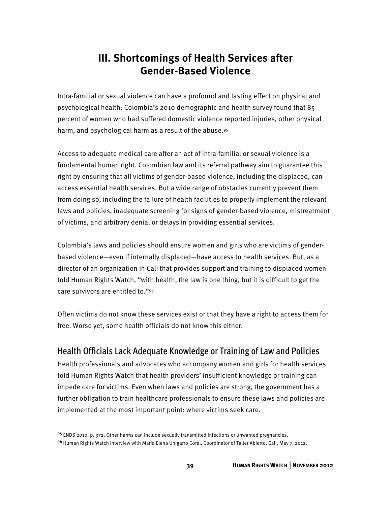# **III. Shortcomings of Health Services after Gender-Based Violence**

Intra-familial or sexual violence can have a profound and lasting effect on physical and psychological health: Colombia's 2010 demographic and health survey found that 85 percent of women who had suffered domestic violence reported injuries, other physical harm, and psychological harm as a result of the abuse.<sup>95</sup>

Access to adequate medical care after an act of intra-familial or sexual violence is a fundamental human right. Colombian law and its referral pathway aim to guarantee this right by ensuring that all victims of gender-based violence, including the displaced, can access essential health services. But a wide range of obstacles currently prevent them from doing so, including the failure of health facilities to properly implement the relevant laws and policies, inadequate screening for signs of gender-based violence, mistreatment of victims, and arbitrary denial or delays in providing essential services.

Colombia's laws and policies should ensure women and girls who are victims of genderbased violence—even if internally displaced—have access to health services. But, as a director of an organization in Cali that provides support and training to displaced women told Human Rights Watch, "with health, the law is one thing, but it is difficult to get the care survivors are entitled to."96

Often victims do not know these services exist or that they have a right to access them for free. Worse yet, some health officials do not know this either.

# Health Officials Lack Adequate Knowledge or Training of Law and Policies

Health professionals and advocates who accompany women and girls for health services told Human Rights Watch that health providers' insufficient knowledge or training can impede care for victims. Even when laws and policies are strong, the government has a further obligation to train healthcare professionals to ensure these laws and policies are implemented at the most important point: where victims seek care.

j

<sup>95</sup> ENDS 2010, p. 372. Other harms can include sexually transmitted infections or unwanted pregnancies.

<sup>9&</sup>lt;sup>6</sup> Human Rights Watch interview with Maria Elena Unigarro Coral, Coordinator of Taller Abierto, Cali, May 7, 2012.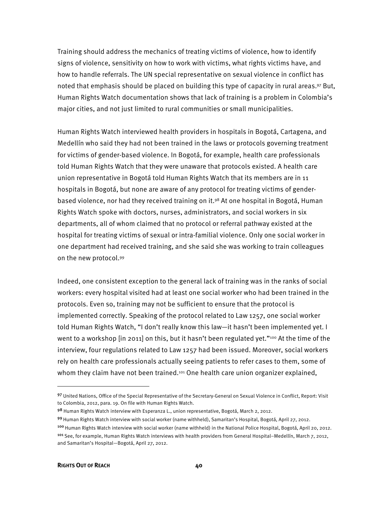Training should address the mechanics of treating victims of violence, how to identify signs of violence, sensitivity on how to work with victims, what rights victims have, and how to handle referrals. The UN special representative on sexual violence in conflict has noted that emphasis should be placed on building this type of capacity in rural areas.<sup>97</sup> But, Human Rights Watch documentation shows that lack of training is a problem in Colombia's major cities, and not just limited to rural communities or small municipalities.

Human Rights Watch interviewed health providers in hospitals in Bogotá, Cartagena, and Medellín who said they had not been trained in the laws or protocols governing treatment for victims of gender-based violence. In Bogotá, for example, health care professionals told Human Rights Watch that they were unaware that protocols existed. A health care union representative in Bogotá told Human Rights Watch that its members are in 11 hospitals in Bogotá, but none are aware of any protocol for treating victims of genderbased violence, nor had they received training on it.98 At one hospital in Bogotá, Human Rights Watch spoke with doctors, nurses, administrators, and social workers in six departments, all of whom claimed that no protocol or referral pathway existed at the hospital for treating victims of sexual or intra-familial violence. Only one social worker in one department had received training, and she said she was working to train colleagues on the new protocol.99

Indeed, one consistent exception to the general lack of training was in the ranks of social workers: every hospital visited had at least one social worker who had been trained in the protocols. Even so, training may not be sufficient to ensure that the protocol is implemented correctly. Speaking of the protocol related to Law 1257, one social worker told Human Rights Watch, "I don't really know this law—it hasn't been implemented yet. I went to a workshop [in 2011] on this, but it hasn't been regulated yet."<sup>100</sup> At the time of the interview, four regulations related to Law 1257 had been issued. Moreover, social workers rely on health care professionals actually seeing patients to refer cases to them, some of whom they claim have not been trained.<sup>101</sup> One health care union organizer explained,

and Samaritan's Hospital—Bogotá, April 27, 2012.

1

<sup>97</sup> United Nations, Office of the Special Representative of the Secretary-General on Sexual Violence in Conflict, Report: Visit to Colombia, 2012, para. 19. On file with Human Rights Watch.

<sup>98</sup> Human Rights Watch interview with Esperanza L., union representative, Bogotá, March 2, 2012.

<sup>99</sup> Human Rights Watch interview with social worker (name withheld), Samaritan's Hospital, Bogotá, April 27, 2012. <sup>100</sup>Human Rights Watch interview with social worker (name withheld) in the National Police Hospital, Bogotá, April 20, 2012. <sup>101</sup> See, for example, Human Rights Watch interviews with health providers from General Hospital–Medellín, March 7, 2012,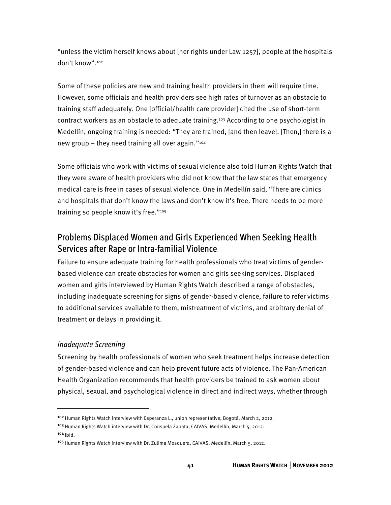"unless the victim herself knows about [her rights under Law 1257], people at the hospitals don't know".102

Some of these policies are new and training health providers in them will require time. However, some officials and health providers see high rates of turnover as an obstacle to training staff adequately. One [official/health care provider] cited the use of short-term contract workers as an obstacle to adequate training.<sup>103</sup> According to one psychologist in Medellín, ongoing training is needed: "They are trained, [and then leave]. [Then,] there is a new group – they need training all over again."104

Some officials who work with victims of sexual violence also told Human Rights Watch that they were aware of health providers who did not know that the law states that emergency medical care is free in cases of sexual violence. One in Medellín said, "There are clinics and hospitals that don't know the laws and don't know it's free. There needs to be more training so people know it's free."105

# Problems Displaced Women and Girls Experienced When Seeking Health Services after Rape or Intra-familial Violence

Failure to ensure adequate training for health professionals who treat victims of genderbased violence can create obstacles for women and girls seeking services. Displaced women and girls interviewed by Human Rights Watch described a range of obstacles, including inadequate screening for signs of gender-based violence, failure to refer victims to additional services available to them, mistreatment of victims, and arbitrary denial of treatment or delays in providing it.

#### Inadequate Screening

 $\overline{a}$ 

Screening by health professionals of women who seek treatment helps increase detection of gender-based violence and can help prevent future acts of violence. The Pan-American Health Organization recommends that health providers be trained to ask women about physical, sexual, and psychological violence in direct and indirect ways, whether through

<sup>&</sup>lt;sup>102</sup> Human Rights Watch interview with Esperanza L., union representative, Bogotá, March 2, 2012.

<sup>103</sup> Human Rights Watch interview with Dr. Consuela Zapata, CAIVAS, Medellín, March 5, 2012.  $104$  Ibid.

<sup>&</sup>lt;sup>105</sup> Human Rights Watch interview with Dr. Zulima Mosquera, CAIVAS, Medellín, March 5, 2012.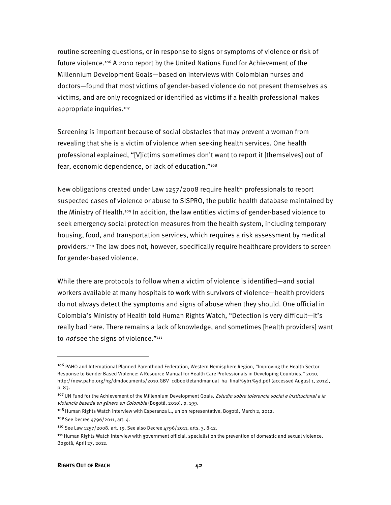routine screening questions, or in response to signs or symptoms of violence or risk of future violence.106 A 2010 report by the United Nations Fund for Achievement of the Millennium Development Goals—based on interviews with Colombian nurses and doctors—found that most victims of gender-based violence do not present themselves as victims, and are only recognized or identified as victims if a health professional makes appropriate inquiries.107

Screening is important because of social obstacles that may prevent a woman from revealing that she is a victim of violence when seeking health services. One health professional explained, "[V]ictims sometimes don't want to report it [themselves] out of fear, economic dependence, or lack of education."108

New obligations created under Law 1257/2008 require health professionals to report suspected cases of violence or abuse to SISPRO, the public health database maintained by the Ministry of Health.109 In addition, the law entitles victims of gender-based violence to seek emergency social protection measures from the health system, including temporary housing, food, and transportation services, which requires a risk assessment by medical providers.110 The law does not, however, specifically require healthcare providers to screen for gender-based violence.

While there are protocols to follow when a victim of violence is identified—and social workers available at many hospitals to work with survivors of violence—health providers do not always detect the symptoms and signs of abuse when they should. One official in Colombia's Ministry of Health told Human Rights Watch, "Detection is very difficult—it's really bad here. There remains a lack of knowledge, and sometimes [health providers] want to *not* see the signs of violence."<sup>111</sup>

<sup>106</sup> PAHO and International Planned Parenthood Federation, Western Hemisphere Region, "Improving the Health Sector Response to Gender Based Violence: A Resource Manual for Health Care Professionals in Developing Countries," 2010, http://new.paho.org/hg/dmdocuments/2010.GBV\_cdbookletandmanual\_ha\_final%5b1%5d.pdf (accessed August 1, 2012), p. 83.

<sup>&</sup>lt;sup>107</sup> UN Fund for the Achievement of the Millennium Development Goals, *Estudio sobre tolerencia social e institucional a la* violencia basada en género en Colombia (Bogotá, 2010), p. 199.

<sup>&</sup>lt;sup>108</sup> Human Rights Watch interview with Esperanza L., union representative, Bogotá, March 2, 2012.

<sup>109</sup> See Decree 4796/2011, art. 4.

<sup>110</sup> See Law 1257/2008, art. 19. See also Decree 4796/2011, arts. 3, 8-12.

<sup>111</sup> Human Rights Watch interview with government official, specialist on the prevention of domestic and sexual violence, Bogotá, April 27, 2012.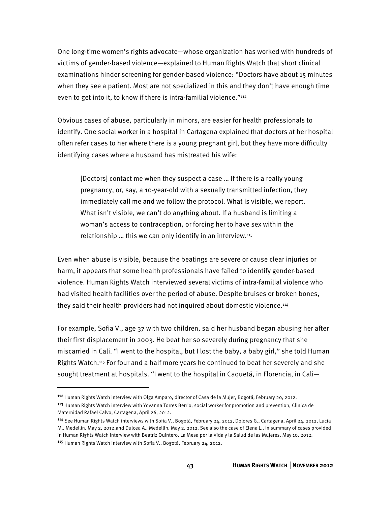One long-time women's rights advocate—whose organization has worked with hundreds of victims of gender-based violence—explained to Human Rights Watch that short clinical examinations hinder screening for gender-based violence: "Doctors have about 15 minutes when they see a patient. Most are not specialized in this and they don't have enough time even to get into it, to know if there is intra-familial violence." $112$ 

Obvious cases of abuse, particularly in minors, are easier for health professionals to identify. One social worker in a hospital in Cartagena explained that doctors at her hospital often refer cases to her where there is a young pregnant girl, but they have more difficulty identifying cases where a husband has mistreated his wife:

[Doctors] contact me when they suspect a case … If there is a really young pregnancy, or, say, a 10-year-old with a sexually transmitted infection, they immediately call me and we follow the protocol. What is visible, we report. What isn't visible, we can't do anything about. If a husband is limiting a woman's access to contraception, or forcing her to have sex within the relationship ... this we can only identify in an interview. $113$ 

Even when abuse is visible, because the beatings are severe or cause clear injuries or harm, it appears that some health professionals have failed to identify gender-based violence. Human Rights Watch interviewed several victims of intra-familial violence who had visited health facilities over the period of abuse. Despite bruises or broken bones, they said their health providers had not inquired about domestic violence.<sup>114</sup>

For example, Sofia V., age 37 with two children, said her husband began abusing her after their first displacement in 2003. He beat her so severely during pregnancy that she miscarried in Cali. "I went to the hospital, but I lost the baby, a baby girl," she told Human Rights Watch.115 For four and a half more years he continued to beat her severely and she sought treatment at hospitals. "I went to the hospital in Caquetá, in Florencia, in Cali—

<sup>112</sup> Human Rights Watch interview with Olga Amparo, director of Casa de la Mujer, Bogotá, February 20, 2012.

<sup>&</sup>lt;sup>113</sup> Human Rights Watch interview with Yovanna Torres Berrio, social worker for promotion and prevention, Clinica de Maternidad Rafael Calvo, Cartagena, April 26, 2012.

<sup>114</sup> See Human Rights Watch interviews with Sofia V., Bogotá, February 24, 2012, Dolores G., Cartagena, April 24, 2012, Lucia M., Medellín, May 2, 2012,and Dulcea A., Medellín, May 2, 2012. See also the case of Elena L., in summary of cases provided in Human Rights Watch interview with Beatriz Quintero, La Mesa por la Vida y la Salud de las Mujeres, May 10, 2012. <sup>115</sup> Human Rights Watch interview with Sofia V., Bogotá, February 24, 2012.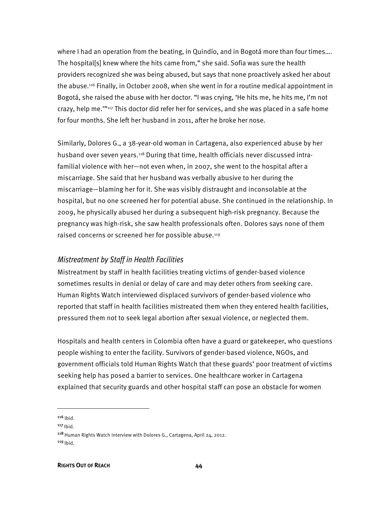where I had an operation from the beating, in Quindío, and in Bogotá more than four times…. The hospital[s] knew where the hits came from," she said. Sofia was sure the health providers recognized she was being abused, but says that none proactively asked her about the abuse.116 Finally, in October 2008, when she went in for a routine medical appointment in Bogotá, she raised the abuse with her doctor. "I was crying, 'He hits me, he hits me, I'm not crazy, help me.'"117 This doctor did refer her for services, and she was placed in a safe home for four months. She left her husband in 2011, after he broke her nose.

Similarly, Dolores G., a 38-year-old woman in Cartagena, also experienced abuse by her husband over seven years.118 During that time, health officials never discussed intrafamilial violence with her—not even when, in 2007, she went to the hospital after a miscarriage. She said that her husband was verbally abusive to her during the miscarriage—blaming her for it. She was visibly distraught and inconsolable at the hospital, but no one screened her for potential abuse. She continued in the relationship. In 2009, he physically abused her during a subsequent high-risk pregnancy. Because the pregnancy was high-risk, she saw health professionals often. Dolores says none of them raised concerns or screened her for possible abuse.<sup>119</sup>

#### Mistreatment by Staff in Health Facilities

Mistreatment by staff in health facilities treating victims of gender-based violence sometimes results in denial or delay of care and may deter others from seeking care. Human Rights Watch interviewed displaced survivors of gender-based violence who reported that staff in health facilities mistreated them when they entered health facilities, pressured them not to seek legal abortion after sexual violence, or neglected them.

Hospitals and health centers in Colombia often have a guard or gatekeeper, who questions people wishing to enter the facility. Survivors of gender-based violence, NGOs, and government officials told Human Rights Watch that these guards' poor treatment of victims seeking help has posed a barrier to services. One healthcare worker in Cartagena explained that security guards and other hospital staff can pose an obstacle for women

 $116$  Ibid.

 $\overline{a}$ 

 $117$  Ibid.

<sup>&</sup>lt;sup>118</sup> Human Rights Watch interview with Dolores G., Cartagena, April 24, 2012.  $119$  Ibid.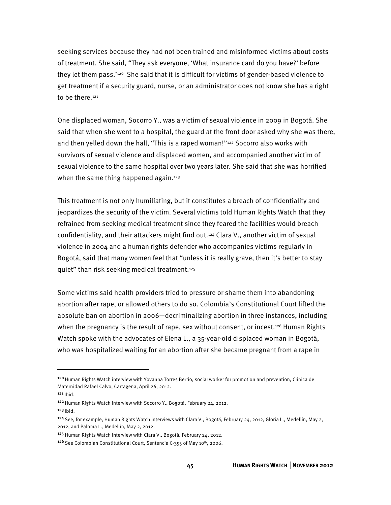seeking services because they had not been trained and misinformed victims about costs of treatment. She said, "They ask everyone, 'What insurance card do you have?' before they let them pass."120 She said that it is difficult for victims of gender-based violence to get treatment if a security guard, nurse, or an administrator does not know she has a right to be there.<sup>121</sup>

One displaced woman, Socorro Y., was a victim of sexual violence in 2009 in Bogotá. She said that when she went to a hospital, the guard at the front door asked why she was there, and then yelled down the hall, "This is a raped woman!"<sup>122</sup> Socorro also works with survivors of sexual violence and displaced women, and accompanied another victim of sexual violence to the same hospital over two years later. She said that she was horrified when the same thing happened again.<sup>123</sup>

This treatment is not only humiliating, but it constitutes a breach of confidentiality and jeopardizes the security of the victim. Several victims told Human Rights Watch that they refrained from seeking medical treatment since they feared the facilities would breach confidentiality, and their attackers might find out.124 Clara V., another victim of sexual violence in 2004 and a human rights defender who accompanies victims regularly in Bogotá, said that many women feel that "unless it is really grave, then it's better to stay quiet" than risk seeking medical treatment.125

Some victims said health providers tried to pressure or shame them into abandoning abortion after rape, or allowed others to do so. Colombia's Constitutional Court lifted the absolute ban on abortion in 2006—decriminalizing abortion in three instances, including when the pregnancy is the result of rape, sex without consent, or incest.<sup>126</sup> Human Rights Watch spoke with the advocates of Elena L., a 35-year-old displaced woman in Bogotá, who was hospitalized waiting for an abortion after she became pregnant from a rape in

j

<sup>120</sup> Human Rights Watch interview with Yovanna Torres Berrio, social worker for promotion and prevention, Clinica de Maternidad Rafael Calvo, Cartagena, April 26, 2012.

 $121$  Ibid.

<sup>&</sup>lt;sup>122</sup> Human Rights Watch interview with Socorro Y., Bogotá, February 24, 2012.

 $123$  lbid.

<sup>124</sup>See, for example, Human Rights Watch interviews with Clara V., Bogotá, February 24, 2012, Gloria L., Medellín, May 2, 2012, and Paloma L., Medellín, May 2, 2012.

<sup>&</sup>lt;sup>125</sup> Human Rights Watch interview with Clara V., Bogotá, February 24, 2012.

<sup>&</sup>lt;sup>126</sup> See Colombian Constitutional Court, Sentencia C-355 of May 10<sup>th</sup>, 2006.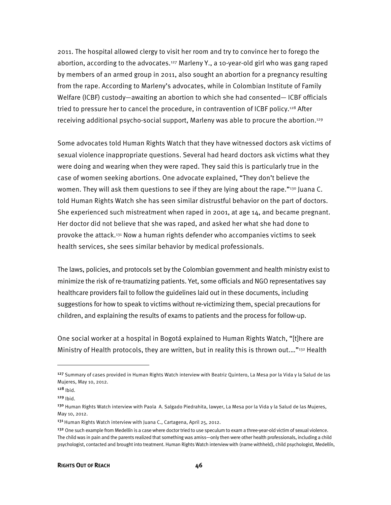2011. The hospital allowed clergy to visit her room and try to convince her to forego the abortion, according to the advocates.<sup>127</sup> Marleny Y., a 10-year-old girl who was gang raped by members of an armed group in 2011, also sought an abortion for a pregnancy resulting from the rape. According to Marleny's advocates, while in Colombian Institute of Family Welfare (ICBF) custody—awaiting an abortion to which she had consented— ICBF officials tried to pressure her to cancel the procedure, in contravention of ICBF policy.<sup>128</sup> After receiving additional psycho-social support, Marleny was able to procure the abortion.129

Some advocates told Human Rights Watch that they have witnessed doctors ask victims of sexual violence inappropriate questions. Several had heard doctors ask victims what they were doing and wearing when they were raped. They said this is particularly true in the case of women seeking abortions. One advocate explained, "They don't believe the women. They will ask them questions to see if they are lying about the rape."<sup>130</sup> Juana C. told Human Rights Watch she has seen similar distrustful behavior on the part of doctors. She experienced such mistreatment when raped in 2001, at age 14, and became pregnant. Her doctor did not believe that she was raped, and asked her what she had done to provoke the attack.131 Now a human rights defender who accompanies victims to seek health services, she sees similar behavior by medical professionals.

The laws, policies, and protocols set by the Colombian government and health ministry exist to minimize the risk of re-traumatizing patients. Yet, some officials and NGO representatives say healthcare providers fail to follow the guidelines laid out in these documents, including suggestions for how to speak to victims without re-victimizing them, special precautions for children, and explaining the results of exams to patients and the process for follow-up.

One social worker at a hospital in Bogotá explained to Human Rights Watch, "[t]here are Ministry of Health protocols, they are written, but in reality this is thrown out...."<sup>132</sup> Health

<sup>&</sup>lt;sup>127</sup> Summary of cases provided in Human Rights Watch interview with Beatriz Quintero, La Mesa por la Vida y la Salud de las Mujeres, May 10, 2012.

<sup>128</sup> Ibid.

<sup>129</sup> Ibid.

<sup>&</sup>lt;sup>130</sup> Human Rights Watch interview with Paola A. Salgado Piedrahita, lawyer, La Mesa por la Vida y la Salud de las Mujeres, May 10, 2012.

<sup>131</sup> Human Rights Watch interview with Juana C., Cartagena, April 25, 2012.

<sup>&</sup>lt;sup>132</sup> One such example from Medellín is a case where doctor tried to use speculum to exam a three-year-old victim of sexual violence. The child was in pain and the parents realized that something was amiss—only then were other health professionals, including a child psychologist, contacted and brought into treatment. Human Rights Watch interview with (name withheld), child psychologist, Medellín,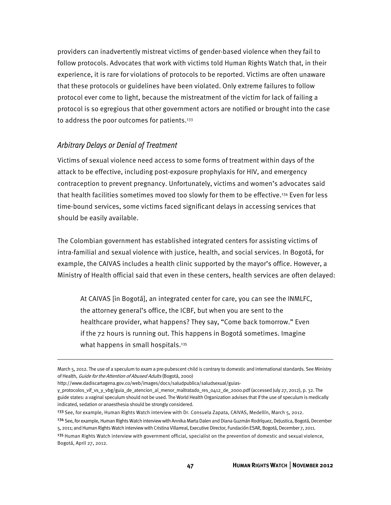providers can inadvertently mistreat victims of gender-based violence when they fail to follow protocols. Advocates that work with victims told Human Rights Watch that, in their experience, it is rare for violations of protocols to be reported. Victims are often unaware that these protocols or guidelines have been violated. Only extreme failures to follow protocol ever come to light, because the mistreatment of the victim for lack of failing a protocol is so egregious that other government actors are notified or brought into the case to address the poor outcomes for patients.<sup>133</sup>

#### Arbitrary Delays or Denial of Treatment

Victims of sexual violence need access to some forms of treatment within days of the attack to be effective, including post-exposure prophylaxis for HIV, and emergency contraception to prevent pregnancy. Unfortunately, victims and women's advocates said that health facilities sometimes moved too slowly for them to be effective.134 Even for less time-bound services, some victims faced significant delays in accessing services that should be easily available.

The Colombian government has established integrated centers for assisting victims of intra-familial and sexual violence with justice, health, and social services. In Bogotá, for example, the CAIVAS includes a health clinic supported by the mayor's office. However, a Ministry of Health official said that even in these centers, health services are often delayed:

At CAIVAS [in Bogotá], an integrated center for care, you can see the INMLFC, the attorney general's office, the ICBF, but when you are sent to the healthcare provider, what happens? They say, "Come back tomorrow." Even if the 72 hours is running out. This happens in Bogotá sometimes. Imagine what happens in small hospitals.<sup>135</sup>

March 5, 2012. The use of a speculum to exam a pre-pubescent child is contrary to domestic and international standards. See Ministry of Health, Guide for the Attention of Abused Adults (Bogotá, 2000)

http://www.dadiscartagena.gov.co/web/images/docs/saludpublica/saludsexual/guias-

y\_protocolos\_vif\_vs\_y\_vbg/guia\_de\_atencion\_al\_menor\_maltratado\_res\_0412\_de\_2000.pdf (accessed July 27, 2012), p. 32. The guide states: a vaginal speculum should not be used. The World Health Organization advises that if the use of speculum is medically indicated, sedation or anaesthesia should be strongly considered.

<sup>&</sup>lt;sup>133</sup> See, for example, Human Rights Watch interview with Dr. Consuela Zapata, CAIVAS, Medellín, March 5, 2012.

<sup>134</sup> See, for example, Human Rights Watch interview with Annika Marta Dalen and Diana Guzmán Rodríquez, DeJustica, Bogotá, December 5, 2011; and Human Rights Watch interview with Cristina Villarreal, Executive Director, Fundación ESAR, Bogotá, December 7, 2011.

<sup>&</sup>lt;sup>135</sup> Human Rights Watch interview with government official, specialist on the prevention of domestic and sexual violence, Bogotá, April 27, 2012.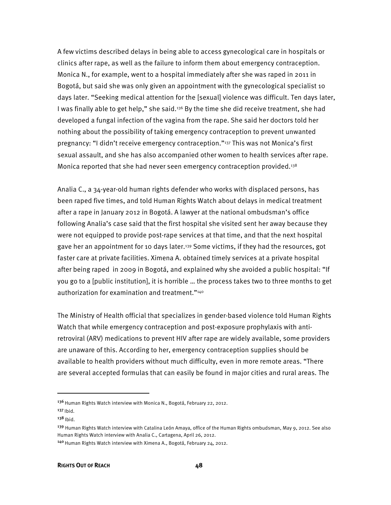A few victims described delays in being able to access gynecological care in hospitals or clinics after rape, as well as the failure to inform them about emergency contraception. Monica N., for example, went to a hospital immediately after she was raped in 2011 in Bogotá, but said she was only given an appointment with the gynecological specialist 10 days later. "Seeking medical attention for the [sexual] violence was difficult. Ten days later, I was finally able to get help," she said.<sup>136</sup> By the time she did receive treatment, she had developed a fungal infection of the vagina from the rape. She said her doctors told her nothing about the possibility of taking emergency contraception to prevent unwanted pregnancy: "I didn't receive emergency contraception."137 This was not Monica's first sexual assault, and she has also accompanied other women to health services after rape. Monica reported that she had never seen emergency contraception provided.<sup>138</sup>

Analia C., a 34-year-old human rights defender who works with displaced persons, has been raped five times, and told Human Rights Watch about delays in medical treatment after a rape in January 2012 in Bogotá. A lawyer at the national ombudsman's office following Analia's case said that the first hospital she visited sent her away because they were not equipped to provide post-rape services at that time, and that the next hospital gave her an appointment for 10 days later.139 Some victims, if they had the resources, got faster care at private facilities. Ximena A. obtained timely services at a private hospital after being raped in 2009 in Bogotá, and explained why she avoided a public hospital: "If you go to a [public institution], it is horrible … the process takes two to three months to get authorization for examination and treatment."140

The Ministry of Health official that specializes in gender-based violence told Human Rights Watch that while emergency contraception and post-exposure prophylaxis with antiretroviral (ARV) medications to prevent HIV after rape are widely available, some providers are unaware of this. According to her, emergency contraception supplies should be available to health providers without much difficulty, even in more remote areas. "There are several accepted formulas that can easily be found in major cities and rural areas. The

<sup>&</sup>lt;sup>136</sup> Human Rights Watch interview with Monica N., Bogotá, February 22, 2012.

 $137$  Ibid.

 $138$  Ibid.

<sup>&</sup>lt;sup>139</sup> Human Rights Watch interview with Catalina León Amaya, office of the Human Rights ombudsman, May 9, 2012. See also Human Rights Watch interview with Analia C., Cartagena, April 26, 2012.

<sup>&</sup>lt;sup>140</sup> Human Rights Watch interview with Ximena A., Bogotá, February 24, 2012.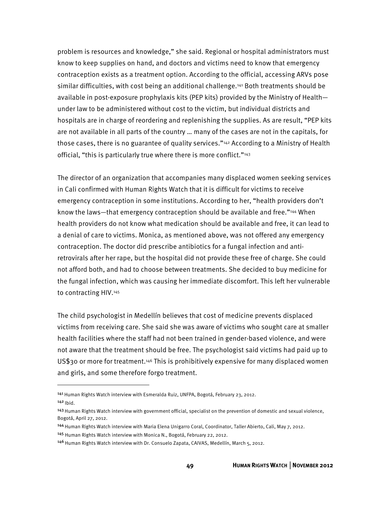problem is resources and knowledge," she said. Regional or hospital administrators must know to keep supplies on hand, and doctors and victims need to know that emergency contraception exists as a treatment option. According to the official, accessing ARVs pose similar difficulties, with cost being an additional challenge.141 Both treatments should be available in post-exposure prophylaxis kits (PEP kits) provided by the Ministry of Health under law to be administered without cost to the victim, but individual districts and hospitals are in charge of reordering and replenishing the supplies. As are result, "PEP kits are not available in all parts of the country … many of the cases are not in the capitals, for those cases, there is no guarantee of quality services."<sup>142</sup> According to a Ministry of Health official, "this is particularly true where there is more conflict."<sup>143</sup>

The director of an organization that accompanies many displaced women seeking services in Cali confirmed with Human Rights Watch that it is difficult for victims to receive emergency contraception in some institutions. According to her, "health providers don't know the laws—that emergency contraception should be available and free."144 When health providers do not know what medication should be available and free, it can lead to a denial of care to victims. Monica, as mentioned above, was not offered any emergency contraception. The doctor did prescribe antibiotics for a fungal infection and antiretrovirals after her rape, but the hospital did not provide these free of charge. She could not afford both, and had to choose between treatments. She decided to buy medicine for the fungal infection, which was causing her immediate discomfort. This left her vulnerable to contracting HIV.145

The child psychologist in Medellín believes that cost of medicine prevents displaced victims from receiving care. She said she was aware of victims who sought care at smaller health facilities where the staff had not been trained in gender-based violence, and were not aware that the treatment should be free. The psychologist said victims had paid up to US\$30 or more for treatment.146 This is prohibitively expensive for many displaced women and girls, and some therefore forgo treatment.

j

<sup>141</sup> Human Rights Watch interview with Esmeralda Ruiz, UNFPA, Bogotá, February 23, 2012.  $142$  Ibid.

<sup>&</sup>lt;sup>143</sup> Human Rights Watch interview with government official, specialist on the prevention of domestic and sexual violence, Bogotá, April 27, 2012.

<sup>144</sup>Human Rights Watch interview with Maria Elena Unigarro Coral, Coordinator, Taller Abierto, Cali, May 7, 2012.

<sup>145</sup> Human Rights Watch interview with Monica N., Bogotá, February 22, 2012.

<sup>146</sup> Human Rights Watch interview with Dr. Consuelo Zapata, CAIVAS, Medellín, March 5, 2012.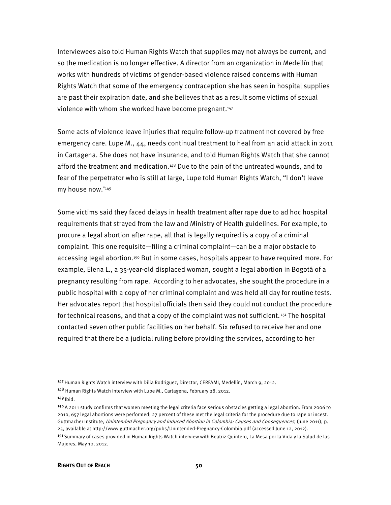Interviewees also told Human Rights Watch that supplies may not always be current, and so the medication is no longer effective. A director from an organization in Medellín that works with hundreds of victims of gender-based violence raised concerns with Human Rights Watch that some of the emergency contraception she has seen in hospital supplies are past their expiration date, and she believes that as a result some victims of sexual violence with whom she worked have become pregnant.<sup>147</sup>

Some acts of violence leave injuries that require follow-up treatment not covered by free emergency care. Lupe M., 44, needs continual treatment to heal from an acid attack in 2011 in Cartagena. She does not have insurance, and told Human Rights Watch that she cannot afford the treatment and medication.148 Due to the pain of the untreated wounds, and to fear of the perpetrator who is still at large, Lupe told Human Rights Watch, "I don't leave my house now."149

Some victims said they faced delays in health treatment after rape due to ad hoc hospital requirements that strayed from the law and Ministry of Health guidelines. For example, to procure a legal abortion after rape, all that is legally required is a copy of a criminal complaint. This one requisite—filing a criminal complaint—can be a major obstacle to accessing legal abortion.<sup>150</sup> But in some cases, hospitals appear to have required more. For example, Elena L., a 35-year-old displaced woman, sought a legal abortion in Bogotá of a pregnancy resulting from rape. According to her advocates, she sought the procedure in a public hospital with a copy of her criminal complaint and was held all day for routine tests. Her advocates report that hospital officials then said they could not conduct the procedure for technical reasons, and that a copy of the complaint was not sufficient.<sup>151</sup> The hospital contacted seven other public facilities on her behalf. Six refused to receive her and one required that there be a judicial ruling before providing the services, according to her

<sup>147</sup> Human Rights Watch interview with Dilia Rodriguez, Director, CERFAMI, Medellín, March 9, 2012.

<sup>&</sup>lt;sup>148</sup> Human Rights Watch interview with Lupe M., Cartagena, February 28, 2012.

 $149$  Ibid.

<sup>150</sup>A 2011 study confirms that women meeting the legal criteria face serious obstacles getting a legal abortion. From 2006 to 2010, 657 legal abortions were performed; 27 percent of these met the legal criteria for the procedure due to rape or incest. Guttmacher Institute, Unintended Pregnancy and Induced Abortion in Colombia: Causes and Consequences, (June 2011), p. 25, available at http://www.guttmacher.org/pubs/Unintended-Pregnancy-Colombia.pdf (accessed June 12, 2012).

<sup>&</sup>lt;sup>151</sup> Summary of cases provided in Human Rights Watch interview with Beatriz Quintero, La Mesa por la Vida y la Salud de las Mujeres, May 10, 2012.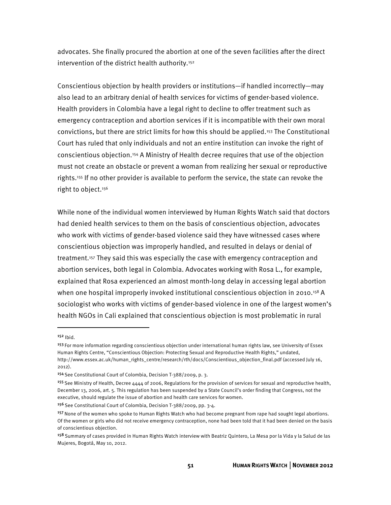advocates. She finally procured the abortion at one of the seven facilities after the direct intervention of the district health authority.<sup>152</sup>

Conscientious objection by health providers or institutions—if handled incorrectly—may also lead to an arbitrary denial of health services for victims of gender-based violence. Health providers in Colombia have a legal right to decline to offer treatment such as emergency contraception and abortion services if it is incompatible with their own moral convictions, but there are strict limits for how this should be applied.153 The Constitutional Court has ruled that only individuals and not an entire institution can invoke the right of conscientious objection.154 A Ministry of Health decree requires that use of the objection must not create an obstacle or prevent a woman from realizing her sexual or reproductive rights.155 If no other provider is available to perform the service, the state can revoke the right to object.<sup>156</sup>

While none of the individual women interviewed by Human Rights Watch said that doctors had denied health services to them on the basis of conscientious objection, advocates who work with victims of gender-based violence said they have witnessed cases where conscientious objection was improperly handled, and resulted in delays or denial of treatment.157 They said this was especially the case with emergency contraception and abortion services, both legal in Colombia. Advocates working with Rosa L., for example, explained that Rosa experienced an almost month-long delay in accessing legal abortion when one hospital improperly invoked institutional conscientious objection in 2010.<sup>158</sup> A sociologist who works with victims of gender-based violence in one of the largest women's health NGOs in Cali explained that conscientious objection is most problematic in rural

 $152$  Ibid.

<sup>153</sup>For more information regarding conscientious objection under international human rights law, see University of Essex Human Rights Centre, "Conscientious Objection: Protecting Sexual and Reproductive Health Rights," undated, http://www.essex.ac.uk/human\_rights\_centre/research/rth/docs/Conscientious\_objection\_final.pdf (accessed July 16, 2012).

<sup>154</sup> See Constitutional Court of Colombia, Decision T-388/2009, p. 3.

<sup>155</sup> See Ministry of Health, Decree 4444 of 2006, Regulations for the provision of services for sexual and reproductive health, December 13, 2006, art. 5. This regulation has been suspended by a State Council's order finding that Congress, not the executive, should regulate the issue of abortion and health care services for women.

<sup>&</sup>lt;sup>156</sup> See Constitutional Court of Colombia, Decision T-388/2009, pp. 3-4.

<sup>157</sup> None of the women who spoke to Human Rights Watch who had become pregnant from rape had sought legal abortions. Of the women or girls who did not receive emergency contraception, none had been told that it had been denied on the basis of conscientious objection.

<sup>158</sup> Summary of cases provided in Human Rights Watch interview with Beatriz Quintero, La Mesa por la Vida y la Salud de las Mujeres, Bogotá, May 10, 2012.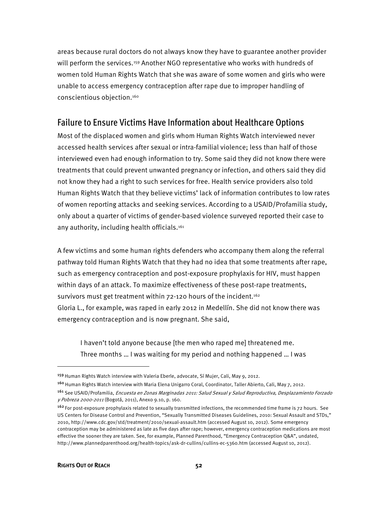areas because rural doctors do not always know they have to guarantee another provider will perform the services.<sup>159</sup> Another NGO representative who works with hundreds of women told Human Rights Watch that she was aware of some women and girls who were unable to access emergency contraception after rape due to improper handling of conscientious objection.160

### Failure to Ensure Victims Have Information about Healthcare Options

Most of the displaced women and girls whom Human Rights Watch interviewed never accessed health services after sexual or intra-familial violence; less than half of those interviewed even had enough information to try. Some said they did not know there were treatments that could prevent unwanted pregnancy or infection, and others said they did not know they had a right to such services for free. Health service providers also told Human Rights Watch that they believe victims' lack of information contributes to low rates of women reporting attacks and seeking services. According to a USAID/Profamilia study, only about a quarter of victims of gender-based violence surveyed reported their case to any authority, including health officials.<sup>161</sup>

A few victims and some human rights defenders who accompany them along the referral pathway told Human Rights Watch that they had no idea that some treatments after rape, such as emergency contraception and post-exposure prophylaxis for HIV, must happen within days of an attack. To maximize effectiveness of these post-rape treatments, survivors must get treatment within 72-120 hours of the incident.<sup>162</sup> Gloria L., for example, was raped in early 2012 in Medellín. She did not know there was emergency contraception and is now pregnant. She said,

I haven't told anyone because [the men who raped me] threatened me. Three months … I was waiting for my period and nothing happened … I was

<sup>&</sup>lt;sup>159</sup> Human Rights Watch interview with Valeria Eberle, advocate, Sí Mujer, Cali, May 9, 2012.

<sup>&</sup>lt;sup>160</sup> Human Rights Watch interview with Maria Elena Unigarro Coral, Coordinator, Taller Abierto, Cali, May 7, 2012.

<sup>&</sup>lt;sup>161</sup> See USAID/Profamilia, *Encuesta en Zonas Marginadas 2011: Salud Sexual y Salud Reproductiva, Desplazamiento Forzado* y Pobreza 2000-2011 (Bogotá, 2011), Anexo 9.10, p. 160.

<sup>&</sup>lt;sup>162</sup> For post-exposure prophylaxis related to sexually transmitted infections, the recommended time frame is 72 hours. See US Centers for Disease Control and Prevention, "Sexually Transmitted Diseases Guidelines, 2010: Sexual Assault and STDs," 2010, http://www.cdc.gov/std/treatment/2010/sexual-assault.htm (accessed August 10, 2012). Some emergency contraception may be administered as late as five days after rape; however, emergency contraception medications are most effective the sooner they are taken. See, for example, Planned Parenthood, "Emergency Contraception Q&A", undated, http://www.plannedparenthood.org/health-topics/ask-dr-cullins/cullins-ec-5360.htm (accessed August 10, 2012).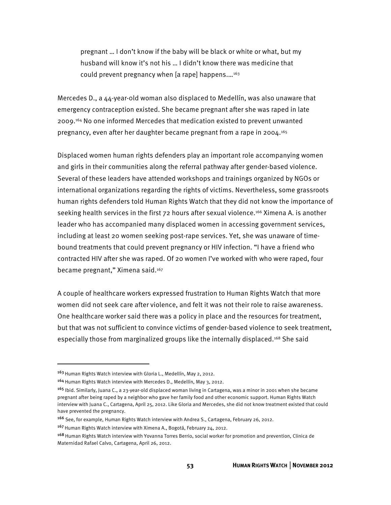pregnant … I don't know if the baby will be black or white or what, but my husband will know it's not his … I didn't know there was medicine that could prevent pregnancy when [a rape] happens.…163

Mercedes D., a 44-year-0ld woman also displaced to Medellín, was also unaware that emergency contraception existed. She became pregnant after she was raped in late 2009.164 No one informed Mercedes that medication existed to prevent unwanted pregnancy, even after her daughter became pregnant from a rape in 2004.165

Displaced women human rights defenders play an important role accompanying women and girls in their communities along the referral pathway after gender-based violence. Several of these leaders have attended workshops and trainings organized by NGOs or international organizations regarding the rights of victims. Nevertheless, some grassroots human rights defenders told Human Rights Watch that they did not know the importance of seeking health services in the first 72 hours after sexual violence.166 Ximena A. is another leader who has accompanied many displaced women in accessing government services, including at least 20 women seeking post-rape services. Yet, she was unaware of timebound treatments that could prevent pregnancy or HIV infection. "I have a friend who contracted HIV after she was raped. Of 20 women I've worked with who were raped, four became pregnant," Ximena said.167

A couple of healthcare workers expressed frustration to Human Rights Watch that more women did not seek care after violence, and felt it was not their role to raise awareness. One healthcare worker said there was a policy in place and the resources for treatment, but that was not sufficient to convince victims of gender-based violence to seek treatment, especially those from marginalized groups like the internally displaced.<sup>168</sup> She said

j

<sup>&</sup>lt;sup>163</sup> Human Rights Watch interview with Gloria L., Medellín, May 2, 2012.

<sup>&</sup>lt;sup>164</sup> Human Rights Watch interview with Mercedes D., Medellín, May 3, 2012.

<sup>&</sup>lt;sup>165</sup> Ibid. Similarly, Juana C., a 23-year-old displaced woman living in Cartagena, was a minor in 2001 when she became pregnant after being raped by a neighbor who gave her family food and other economic support. Human Rights Watch interview with Juana C., Cartagena, April 25, 2012. Like Gloria and Mercedes, she did not know treatment existed that could have prevented the pregnancy.

<sup>166</sup> See, for example, Human Rights Watch interview with Andrea S., Cartagena, February 26, 2012.

<sup>&</sup>lt;sup>167</sup> Human Rights Watch interview with Ximena A., Bogotá, February 24, 2012.

<sup>&</sup>lt;sup>168</sup> Human Rights Watch interview with Yovanna Torres Berrio, social worker for promotion and prevention, Clinica de Maternidad Rafael Calvo, Cartagena, April 26, 2012.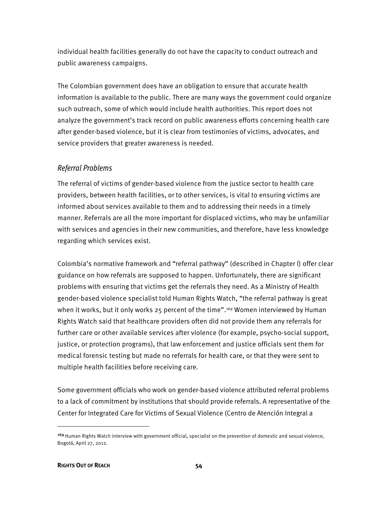individual health facilities generally do not have the capacity to conduct outreach and public awareness campaigns.

The Colombian government does have an obligation to ensure that accurate health information is available to the public. There are many ways the government could organize such outreach, some of which would include health authorities. This report does not analyze the government's track record on public awareness efforts concerning health care after gender-based violence, but it is clear from testimonies of victims, advocates, and service providers that greater awareness is needed.

#### Referral Problems

The referral of victims of gender-based violence from the justice sector to health care providers, between health facilities, or to other services, is vital to ensuring victims are informed about services available to them and to addressing their needs in a timely manner. Referrals are all the more important for displaced victims, who may be unfamiliar with services and agencies in their new communities, and therefore, have less knowledge regarding which services exist.

Colombia's normative framework and "referral pathway" (described in Chapter I) offer clear guidance on how referrals are supposed to happen. Unfortunately, there are significant problems with ensuring that victims get the referrals they need. As a Ministry of Health gender-based violence specialist told Human Rights Watch, "the referral pathway is great when it works, but it only works 25 percent of the time".<sup>169</sup> Women interviewed by Human Rights Watch said that healthcare providers often did not provide them any referrals for further care or other available services after violence (for example, psycho-social support, justice, or protection programs), that law enforcement and justice officials sent them for medical forensic testing but made no referrals for health care, or that they were sent to multiple health facilities before receiving care.

Some government officials who work on gender-based violence attributed referral problems to a lack of commitment by institutions that should provide referrals. A representative of the Center for Integrated Care for Victims of Sexual Violence (Centro de Atención Integral a

<sup>&</sup>lt;sup>169</sup> Human Rights Watch interview with government official, specialist on the prevention of domestic and sexual violence, Bogotá, April 27, 2012.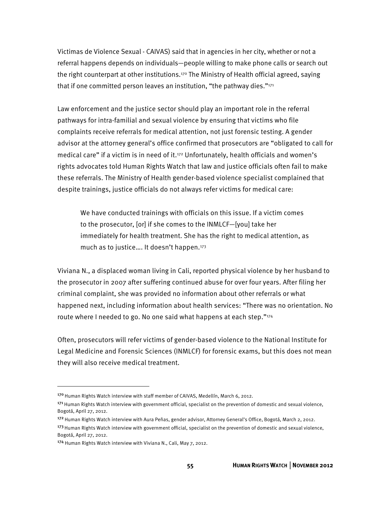Victimas de Violence Sexual - CAIVAS) said that in agencies in her city, whether or not a referral happens depends on individuals—people willing to make phone calls or search out the right counterpart at other institutions.<sup>170</sup> The Ministry of Health official agreed, saying that if one committed person leaves an institution, "the pathway dies." $171$ 

Law enforcement and the justice sector should play an important role in the referral pathways for intra-familial and sexual violence by ensuring that victims who file complaints receive referrals for medical attention, not just forensic testing. A gender advisor at the attorney general's office confirmed that prosecutors are "obligated to call for medical care" if a victim is in need of it.172 Unfortunately, health officials and women's rights advocates told Human Rights Watch that law and justice officials often fail to make these referrals. The Ministry of Health gender-based violence specialist complained that despite trainings, justice officials do not always refer victims for medical care:

We have conducted trainings with officials on this issue. If a victim comes to the prosecutor, [or] if she comes to the INMLCF—[you] take her immediately for health treatment. She has the right to medical attention, as much as to justice.... It doesn't happen.<sup>173</sup>

Viviana N., a displaced woman living in Cali, reported physical violence by her husband to the prosecutor in 2007 after suffering continued abuse for over four years. After filing her criminal complaint, she was provided no information about other referrals or what happened next, including information about health services: "There was no orientation. No route where I needed to go. No one said what happens at each step."174

Often, prosecutors will refer victims of gender-based violence to the National Institute for Legal Medicine and Forensic Sciences (INMLCF) for forensic exams, but this does not mean they will also receive medical treatment.

<sup>17</sup>º Human Rights Watch interview with staff member of CAIVAS, Medellín, March 6, 2012.

<sup>171</sup> Human Rights Watch interview with government official, specialist on the prevention of domestic and sexual violence, Bogotá, April 27, 2012.

<sup>172</sup> Human Rights Watch interview with Aura Peñas, gender advisor, Attorney General's Office, Bogotá, March 2, 2012. <sup>173</sup> Human Rights Watch interview with government official, specialist on the prevention of domestic and sexual violence, Bogotá, April 27, 2012.

<sup>174</sup> Human Rights Watch interview with Viviana N., Cali, May 7, 2012.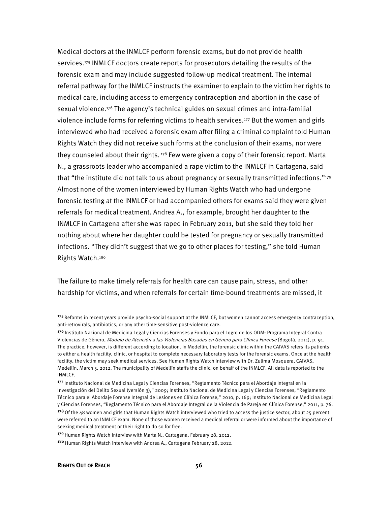Medical doctors at the INMLCF perform forensic exams, but do not provide health services.<sup>175</sup> INMLCF doctors create reports for prosecutors detailing the results of the forensic exam and may include suggested follow-up medical treatment. The internal referral pathway for the INMLCF instructs the examiner to explain to the victim her rights to medical care, including access to emergency contraception and abortion in the case of sexual violence.176 The agency's technical guides on sexual crimes and intra-familial violence include forms for referring victims to health services.177 But the women and girls interviewed who had received a forensic exam after filing a criminal complaint told Human Rights Watch they did not receive such forms at the conclusion of their exams, nor were they counseled about their rights.  $178$  Few were given a copy of their forensic report. Marta N., a grassroots leader who accompanied a rape victim to the INMLCF in Cartagena, said that "the institute did not talk to us about pregnancy or sexually transmitted infections."179 Almost none of the women interviewed by Human Rights Watch who had undergone forensic testing at the INMLCF or had accompanied others for exams said they were given referrals for medical treatment. Andrea A., for example, brought her daughter to the INMLCF in Cartagena after she was raped in February 2011, but she said they told her nothing about where her daughter could be tested for pregnancy or sexually transmitted infections. "They didn't suggest that we go to other places for testing," she told Human Rights Watch.180

The failure to make timely referrals for health care can cause pain, stress, and other hardship for victims, and when referrals for certain time-bound treatments are missed, it

<sup>&</sup>lt;sup>175</sup> Reforms in recent years provide psycho-social support at the INMLCF, but women cannot access emergency contraception, anti-retrovirals, antibiotics, or any other time-sensitive post-violence care.

<sup>176</sup> Instituto Nacional de Medicina Legal y Ciencias Forenses y Fondo para el Logro de los ODM: Programa Integral Contra Violencias de Género, Modelo de Atención a las Violencias Basadas en Género para Clínica Forense (Bogotá, 2011), p. 91. The practice, however, is different according to location. In Medellín, the forensic clinic within the CAIVAS refers its patients to either a health facility, clinic, or hospital to complete necessary laboratory tests for the forensic exams. Once at the health facility, the victim may seek medical services. See Human Rights Watch interview with Dr. Zulima Mosquera, CAIVAS, Medellín, March 5, 2012. The municipality of Medellín staffs the clinic, on behalf of the INMLCF. All data is reported to the INMLCF.

<sup>177</sup> Instituto Nacional de Medicina Legal y Ciencias Forenses, "Reglamento Técnico para el Abordaje Integral en la Investigación del Delito Sexual (versión 3)," 2009; Instituto Nacional de Medicina Legal y Ciencias Forenses, "Reglamento Técnico para el Abordaje Forense Integral de Lesiones en Clínica Forense," 2010, p. 169; Instituto Nacional de Medicina Legal y Ciencias Forenses, "Reglamento Técnico para el Abordaje Integral de la Violencia de Pareja en Clínica Forense," 2011, p. 76.

<sup>&</sup>lt;sup>178</sup> Of the 48 women and girls that Human Rights Watch interviewed who tried to access the justice sector, about 25 percent were referred to an INMLCF exam. None of those women received a medical referral or were informed about the importance of seeking medical treatment or their right to do so for free.

<sup>179</sup> Human Rights Watch interview with Marta N., Cartagena, February 28, 2012.

<sup>&</sup>lt;sup>180</sup> Human Rights Watch interview with Andrea A., Cartagena February 28, 2012.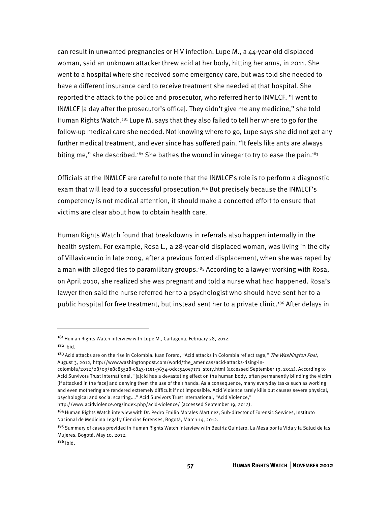can result in unwanted pregnancies or HIV infection. Lupe M., a 44-year-old displaced woman, said an unknown attacker threw acid at her body, hitting her arms, in 2011. She went to a hospital where she received some emergency care, but was told she needed to have a different insurance card to receive treatment she needed at that hospital. She reported the attack to the police and prosecutor, who referred her to INMLCF. "I went to INMLCF [a day after the prosecutor's office]. They didn't give me any medicine," she told Human Rights Watch.181 Lupe M. says that they also failed to tell her where to go for the follow-up medical care she needed. Not knowing where to go, Lupe says she did not get any further medical treatment, and ever since has suffered pain. "It feels like ants are always biting me," she described.<sup>182</sup> She bathes the wound in vinegar to try to ease the pain.<sup>183</sup>

Officials at the INMLCF are careful to note that the INMLCF's role is to perform a diagnostic exam that will lead to a successful prosecution.<sup>184</sup> But precisely because the INMLCF's competency is not medical attention, it should make a concerted effort to ensure that victims are clear about how to obtain health care.

Human Rights Watch found that breakdowns in referrals also happen internally in the health system. For example, Rosa L., a 28-year-old displaced woman, was living in the city of Villavicencio in late 2009, after a previous forced displacement, when she was raped by a man with alleged ties to paramilitary groups.<sup>185</sup> According to a lawyer working with Rosa, on April 2010, she realized she was pregnant and told a nurse what had happened. Rosa's lawyer then said the nurse referred her to a psychologist who should have sent her to a public hospital for free treatment, but instead sent her to a private clinic.186 After delays in

<sup>&</sup>lt;sup>181</sup> Human Rights Watch interview with Lupe M., Cartagena, February 28, 2012. <sup>182</sup> Ibid.

<sup>&</sup>lt;sup>183</sup> Acid attacks are on the rise in Colombia. Juan Forero, "Acid attacks in Colombia reflect rage," The Washington Post, August 3, 2012, http://www.washingtonpost.com/world/the\_americas/acid-attacks-rising-in-

colombia/2012/08/03/e8c85528-c843-11e1-9634-0dcc540e7171\_story.html (accessed September 19, 2012). According to Acid Survivors Trust International, "[a]cid has a devastating effect on the human body, often permanently blinding the victim [if attacked in the face] and denying them the use of their hands. As a consequence, many everyday tasks such as working and even mothering are rendered extremely difficult if not impossible. Acid Violence rarely kills but causes severe physical, psychological and social scarring.…" Acid Survivors Trust International, "Acid Violence,"

http://www.acidviolence.org/index.php/acid-violence/ (accessed September 19, 2012).

<sup>184</sup> Human Rights Watch interview with Dr. Pedro Emilio Morales Martinez, Sub-director of Forensic Services, Instituto Nacional de Medicina Legal y Ciencias Forenses, Bogotá, March 14, 2012.

<sup>185</sup> Summary of cases provided in Human Rights Watch interview with Beatriz Quintero, La Mesa por la Vida y la Salud de las Mujeres, Bogotá, May 10, 2012.

 $186$  Ibid.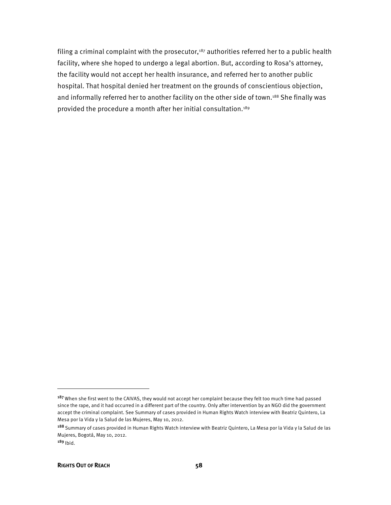filing a criminal complaint with the prosecutor, $187$  authorities referred her to a public health facility, where she hoped to undergo a legal abortion. But, according to Rosa's attorney, the facility would not accept her health insurance, and referred her to another public hospital. That hospital denied her treatment on the grounds of conscientious objection, and informally referred her to another facility on the other side of town.<sup>188</sup> She finally was provided the procedure a month after her initial consultation.189

j

<sup>&</sup>lt;sup>187</sup> When she first went to the CAIVAS, they would not accept her complaint because they felt too much time had passed since the rape, and it had occurred in a different part of the country. Only after intervention by an NGO did the government accept the criminal complaint. See Summary of cases provided in Human Rights Watch interview with Beatriz Quintero, La Mesa por la Vida y la Salud de las Mujeres, May 10, 2012.

<sup>188</sup> Summary of cases provided in Human Rights Watch interview with Beatriz Quintero, La Mesa por la Vida y la Salud de las Mujeres, Bogotá, May 10, 2012.

 $189$  Ibid.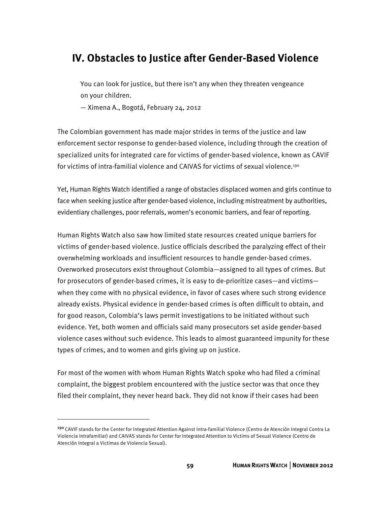# **IV. Obstacles to Justice after Gender-Based Violence**

You can look for justice, but there isn't any when they threaten vengeance on your children.

— Ximena A., Bogotá, February 24, 2012

The Colombian government has made major strides in terms of the justice and law enforcement sector response to gender-based violence, including through the creation of specialized units for integrated care for victims of gender-based violence, known as CAVIF for victims of intra-familial violence and CAIVAS for victims of sexual violence.190

Yet, Human Rights Watch identified a range of obstacles displaced women and girls continue to face when seeking justice after gender-based violence, including mistreatment by authorities, evidentiary challenges, poor referrals, women's economic barriers, and fear of reporting.

Human Rights Watch also saw how limited state resources created unique barriers for victims of gender-based violence. Justice officials described the paralyzing effect of their overwhelming workloads and insufficient resources to handle gender-based crimes. Overworked prosecutors exist throughout Colombia—assigned to all types of crimes. But for prosecutors of gender-based crimes, it is easy to de-prioritize cases—and victims when they come with no physical evidence, in favor of cases where such strong evidence already exists. Physical evidence in gender-based crimes is often difficult to obtain, and for good reason, Colombia's laws permit investigations to be initiated without such evidence. Yet, both women and officials said many prosecutors set aside gender-based violence cases without such evidence. This leads to almost guaranteed impunity for these types of crimes, and to women and girls giving up on justice.

For most of the women with whom Human Rights Watch spoke who had filed a criminal complaint, the biggest problem encountered with the justice sector was that once they filed their complaint, they never heard back. They did not know if their cases had been

<sup>190</sup>CAVIF stands for the Center for Integrated Attention Against Intra-familial Violence (Centro de Atención Integral Contra La Violencia Intrafamiliar) and CAIVAS stands for Center for Integrated Attention to Victims of Sexual Violence (Centro de Atención Integral a Victimas de Violencia Sexual).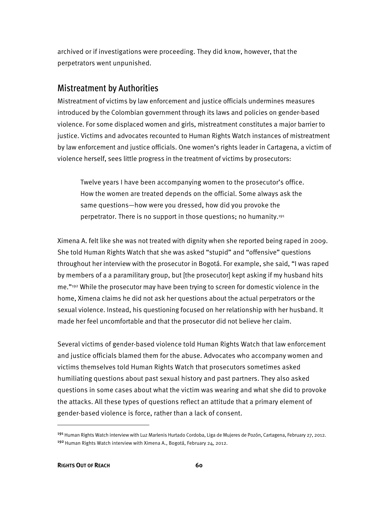archived or if investigations were proceeding. They did know, however, that the perpetrators went unpunished.

### Mistreatment by Authorities

Mistreatment of victims by law enforcement and justice officials undermines measures introduced by the Colombian government through its laws and policies on gender-based violence. For some displaced women and girls, mistreatment constitutes a major barrier to justice. Victims and advocates recounted to Human Rights Watch instances of mistreatment by law enforcement and justice officials. One women's rights leader in Cartagena, a victim of violence herself, sees little progress in the treatment of victims by prosecutors:

Twelve years I have been accompanying women to the prosecutor's office. How the women are treated depends on the official. Some always ask the same questions—how were you dressed, how did you provoke the perpetrator. There is no support in those questions; no humanity.191

Ximena A. felt like she was not treated with dignity when she reported being raped in 2009. She told Human Rights Watch that she was asked "stupid" and "offensive" questions throughout her interview with the prosecutor in Bogotá. For example, she said, "I was raped by members of a a paramilitary group, but [the prosecutor] kept asking if my husband hits me."192 While the prosecutor may have been trying to screen for domestic violence in the home, Ximena claims he did not ask her questions about the actual perpetrators or the sexual violence. Instead, his questioning focused on her relationship with her husband. It made her feel uncomfortable and that the prosecutor did not believe her claim.

Several victims of gender-based violence told Human Rights Watch that law enforcement and justice officials blamed them for the abuse. Advocates who accompany women and victims themselves told Human Rights Watch that prosecutors sometimes asked humiliating questions about past sexual history and past partners. They also asked questions in some cases about what the victim was wearing and what she did to provoke the attacks. All these types of questions reflect an attitude that a primary element of gender-based violence is force, rather than a lack of consent.

<sup>191</sup> Human Rights Watch interview with Luz Marlenis Hurtado Cordoba, Liga de Mujeres de Pozón, Cartagena, February 27, 2012. <sup>192</sup> Human Rights Watch interview with Ximena A., Bogotá, February 24, 2012.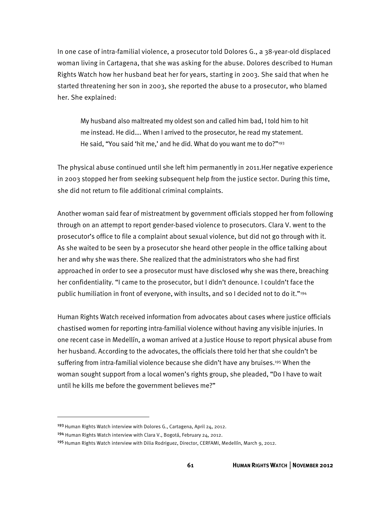In one case of intra-familial violence, a prosecutor told Dolores G., a 38-year-old displaced woman living in Cartagena, that she was asking for the abuse. Dolores described to Human Rights Watch how her husband beat her for years, starting in 2003. She said that when he started threatening her son in 2003, she reported the abuse to a prosecutor, who blamed her. She explained:

My husband also maltreated my oldest son and called him bad, I told him to hit me instead. He did…. When I arrived to the prosecutor, he read my statement. He said, "You said 'hit me,' and he did. What do you want me to do?"<sup>193</sup>

The physical abuse continued until she left him permanently in 2011.Her negative experience in 2003 stopped her from seeking subsequent help from the justice sector. During this time, she did not return to file additional criminal complaints.

Another woman said fear of mistreatment by government officials stopped her from following through on an attempt to report gender-based violence to prosecutors. Clara V. went to the prosecutor's office to file a complaint about sexual violence, but did not go through with it. As she waited to be seen by a prosecutor she heard other people in the office talking about her and why she was there. She realized that the administrators who she had first approached in order to see a prosecutor must have disclosed why she was there, breaching her confidentiality. "I came to the prosecutor, but I didn't denounce. I couldn't face the public humiliation in front of everyone, with insults, and so I decided not to do it."194

Human Rights Watch received information from advocates about cases where justice officials chastised women for reporting intra-familial violence without having any visible injuries. In one recent case in Medellín, a woman arrived at a Justice House to report physical abuse from her husband. According to the advocates, the officials there told her that she couldn't be suffering from intra-familial violence because she didn't have any bruises.<sup>195</sup> When the woman sought support from a local women's rights group, she pleaded, "Do I have to wait until he kills me before the government believes me?"

1

<sup>&</sup>lt;sup>193</sup> Human Rights Watch interview with Dolores G., Cartagena, April 24, 2012.

<sup>194</sup> Human Rights Watch interview with Clara V., Bogotá, February 24, 2012.

<sup>195</sup> Human Rights Watch interview with Dilia Rodriguez, Director, CERFAMI, Medellín, March 9, 2012.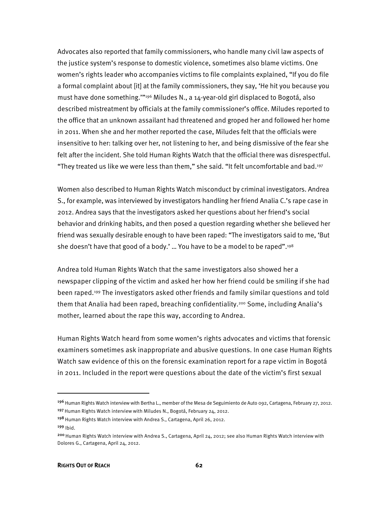Advocates also reported that family commissioners, who handle many civil law aspects of the justice system's response to domestic violence, sometimes also blame victims. One women's rights leader who accompanies victims to file complaints explained, "If you do file a formal complaint about [it] at the family commissioners, they say, 'He hit you because you must have done something.'"196 Miludes N., a 14-year-old girl displaced to Bogotá, also described mistreatment by officials at the family commissioner's office. Miludes reported to the office that an unknown assailant had threatened and groped her and followed her home in 2011. When she and her mother reported the case, Miludes felt that the officials were insensitive to her: talking over her, not listening to her, and being dismissive of the fear she felt after the incident. She told Human Rights Watch that the official there was disrespectful. "They treated us like we were less than them," she said. "It felt uncomfortable and bad.197

Women also described to Human Rights Watch misconduct by criminal investigators. Andrea S., for example, was interviewed by investigators handling her friend Analia C.'s rape case in 2012. Andrea says that the investigators asked her questions about her friend's social behavior and drinking habits, and then posed a question regarding whether she believed her friend was sexually desirable enough to have been raped: "The investigators said to me, 'But she doesn't have that good of a body.' ... You have to be a model to be raped".<sup>198</sup>

Andrea told Human Rights Watch that the same investigators also showed her a newspaper clipping of the victim and asked her how her friend could be smiling if she had been raped.199 The investigators asked other friends and family similar questions and told them that Analia had been raped, breaching confidentiality.<sup>200</sup> Some, including Analia's mother, learned about the rape this way, according to Andrea.

Human Rights Watch heard from some women's rights advocates and victims that forensic examiners sometimes ask inappropriate and abusive questions. In one case Human Rights Watch saw evidence of this on the forensic examination report for a rape victim in Bogotá in 2011. Included in the report were questions about the date of the victim's first sexual

<sup>&</sup>lt;sup>196</sup> Human Rights Watch interview with Bertha L., member of the Mesa de Seguimiento de Auto 092, Cartagena, February 27, 2012. <sup>197</sup> Human Rights Watch interview with Miludes N., Bogotá, February 24, 2012.

<sup>&</sup>lt;sup>198</sup> Human Rights Watch interview with Andrea S., Cartagena, April 26, 2012.

<sup>199</sup> Ibid.

<sup>&</sup>lt;sup>200</sup> Human Rights Watch interview with Andrea S., Cartagena, April 24, 2012; see also Human Rights Watch interview with Dolores G., Cartagena, April 24, 2012.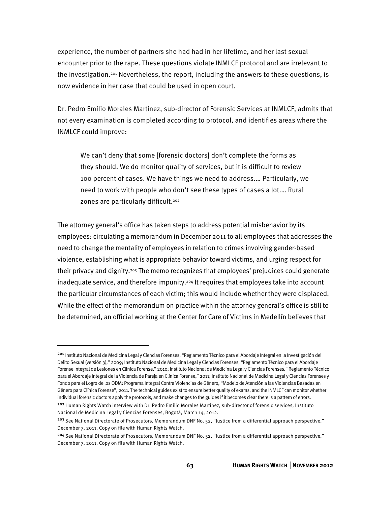experience, the number of partners she had had in her lifetime, and her last sexual encounter prior to the rape. These questions violate INMLCF protocol and are irrelevant to the investigation.201 Nevertheless, the report, including the answers to these questions, is now evidence in her case that could be used in open court.

Dr. Pedro Emilio Morales Martinez, sub-director of Forensic Services at INMLCF, admits that not every examination is completed according to protocol, and identifies areas where the INMLCF could improve:

We can't deny that some [forensic doctors] don't complete the forms as they should. We do monitor quality of services, but it is difficult to review 100 percent of cases. We have things we need to address.… Particularly, we need to work with people who don't see these types of cases a lot.… Rural zones are particularly difficult.<sup>202</sup>

The attorney general's office has taken steps to address potential misbehavior by its employees: circulating a memorandum in December 2011 to all employees that addresses the need to change the mentality of employees in relation to crimes involving gender-based violence, establishing what is appropriate behavior toward victims, and urging respect for their privacy and dignity.203 The memo recognizes that employees' prejudices could generate inadequate service, and therefore impunity.204 It requires that employees take into account the particular circumstances of each victim; this would include whether they were displaced. While the effect of the memorandum on practice within the attorney general's office is still to be determined, an official working at the Center for Care of Victims in Medellín believes that

<sup>201</sup> Instituto Nacional de Medicina Legal y Ciencias Forenses, "Reglamento Técnico para el Abordaje Integral en la Investigación del Delito Sexual (versión 3)," 2009; Instituto Nacional de Medicina Legal y Ciencias Forenses, "Reglamento Técnico para el Abordaje Forense Integral de Lesiones en Clínica Forense," 2010; Instituto Nacional de Medicina Legal y Ciencias Forenses, "Reglamento Técnico para el Abordaje Integral de la Violencia de Pareja en Clínica Forense," 2011; Instituto Nacional de Medicina Legal y Ciencias Forenses y Fondo para el Logro de los ODM: Programa Integral Contra Violencias de Género, "Modelo de Atención a las Violencias Basadas en Género para Clínica Forense", 2011. The technical guides exist to ensure better quality of exams, and the INMLCF can monitor whether individual forensic doctors apply the protocols, and make changes to the guides if it becomes clear there is a pattern of errors.

<sup>&</sup>lt;sup>202</sup> Human Rights Watch interview with Dr. Pedro Emilio Morales Martinez, sub-director of forensic services, Instituto Nacional de Medicina Legal y Ciencias Forenses, Bogotá, March 14, 2012.

<sup>&</sup>lt;sup>203</sup> See National Directorate of Prosecutors, Memorandum DNF No. 52, "Justice from a differential approach perspective," December 7, 2011. Copy on file with Human Rights Watch.

<sup>204</sup> See National Directorate of Prosecutors, Memorandum DNF No. 52, "Justice from a differential approach perspective," December 7, 2011. Copy on file with Human Rights Watch.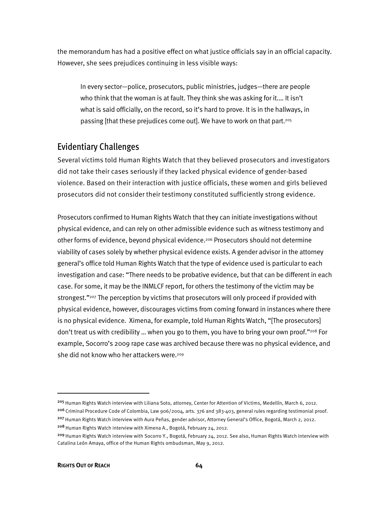the memorandum has had a positive effect on what justice officials say in an official capacity. However, she sees prejudices continuing in less visible ways:

In every sector—police, prosecutors, public ministries, judges—there are people who think that the woman is at fault. They think she was asking for it.… It isn't what is said officially, on the record, so it's hard to prove. It is in the hallways, in passing [that these prejudices come out]. We have to work on that part.205

## Evidentiary Challenges

Several victims told Human Rights Watch that they believed prosecutors and investigators did not take their cases seriously if they lacked physical evidence of gender-based violence. Based on their interaction with justice officials, these women and girls believed prosecutors did not consider their testimony constituted sufficiently strong evidence.

Prosecutors confirmed to Human Rights Watch that they can initiate investigations without physical evidence, and can rely on other admissible evidence such as witness testimony and other forms of evidence, beyond physical evidence.<sup>206</sup> Prosecutors should not determine viability of cases solely by whether physical evidence exists. A gender advisor in the attorney general's office told Human Rights Watch that the type of evidence used is particular to each investigation and case: "There needs to be probative evidence, but that can be different in each case. For some, it may be the INMLCF report, for others the testimony of the victim may be strongest."<sup>207</sup> The perception by victims that prosecutors will only proceed if provided with physical evidence, however, discourages victims from coming forward in instances where there is no physical evidence. Ximena, for example, told Human Rights Watch, "[The prosecutors] don't treat us with credibility ... when you go to them, you have to bring your own proof."208 For example, Socorro's 2009 rape case was archived because there was no physical evidence, and she did not know who her attackers were.<sup>209</sup>

<sup>&</sup>lt;sup>205</sup> Human Rights Watch interview with Liliana Soto, attorney, Center for Attention of Victims, Medellín, March 6, 2012.  $206$  Criminal Procedure Code of Colombia, Law 906/2004, arts. 376 and 383-403, general rules regarding testimonial proof. <sup>207</sup> Human Rights Watch interview with Aura Peñas, gender advisor, Attorney General's Office, Bogotá, March 2, 2012. <sup>208</sup> Human Rights Watch interview with Ximena A., Bogotá, February 24, 2012.

<sup>&</sup>lt;sup>209</sup> Human Rights Watch interview with Socorro Y., Bogotá, February 24, 2012. See also, Human Rights Watch interview with Catalina León Amaya, office of the Human Rights ombudsman, May 9, 2012.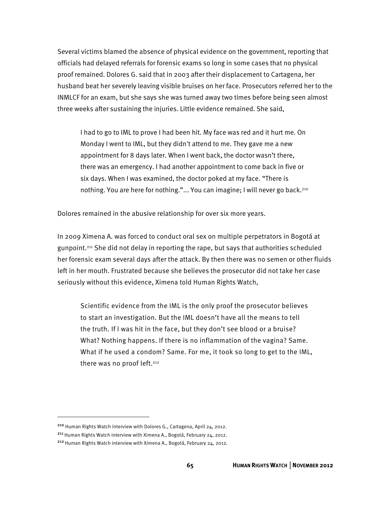Several victims blamed the absence of physical evidence on the government, reporting that officials had delayed referrals for forensic exams so long in some cases that no physical proof remained. Dolores G. said that in 2003 after their displacement to Cartagena, her husband beat her severely leaving visible bruises on her face. Prosecutors referred her to the INMLCF for an exam, but she says she was turned away two times before being seen almost three weeks after sustaining the injuries. Little evidence remained. She said,

I had to go to IML to prove I had been hit. My face was red and it hurt me. On Monday I went to IML, but they didn't attend to me. They gave me a new appointment for 8 days later. When I went back, the doctor wasn't there, there was an emergency. I had another appointment to come back in five or six days. When I was examined, the doctor poked at my face. "There is nothing. You are here for nothing."... You can imagine; I will never go back.210

Dolores remained in the abusive relationship for over six more years.

In 2009 Ximena A. was forced to conduct oral sex on multiple perpetrators in Bogotá at gunpoint.211 She did not delay in reporting the rape, but says that authorities scheduled her forensic exam several days after the attack. By then there was no semen or other fluids left in her mouth. Frustrated because she believes the prosecutor did not take her case seriously without this evidence, Ximena told Human Rights Watch,

Scientific evidence from the IML is the only proof the prosecutor believes to start an investigation. But the IML doesn't have all the means to tell the truth. If I was hit in the face, but they don't see blood or a bruise? What? Nothing happens. If there is no inflammation of the vagina? Same. What if he used a condom? Same. For me, it took so long to get to the IML, there was no proof left.<sup>212</sup>

<sup>210</sup> Human Rights Watch interview with Dolores G., Cartagena, April 24, 2012.

<sup>&</sup>lt;sup>211</sup> Human Rights Watch interview with Ximena A., Bogotá, February 24, 2012.

<sup>&</sup>lt;sup>212</sup> Human Rights Watch interview with Ximena A., Bogotá, February 24, 2012.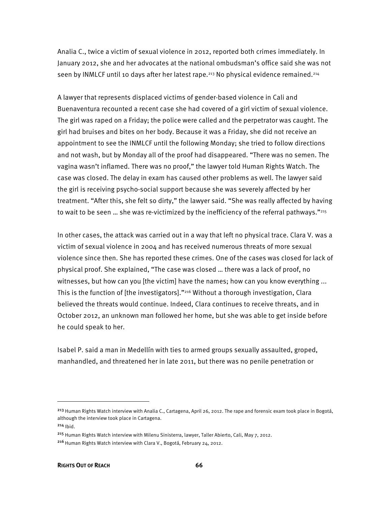Analia C., twice a victim of sexual violence in 2012, reported both crimes immediately. In January 2012, she and her advocates at the national ombudsman's office said she was not seen by INMLCF until 10 days after her latest rape.<sup>213</sup> No physical evidence remained.<sup>214</sup>

A lawyer that represents displaced victims of gender-based violence in Cali and Buenaventura recounted a recent case she had covered of a girl victim of sexual violence. The girl was raped on a Friday; the police were called and the perpetrator was caught. The girl had bruises and bites on her body. Because it was a Friday, she did not receive an appointment to see the INMLCF until the following Monday; she tried to follow directions and not wash, but by Monday all of the proof had disappeared. "There was no semen. The vagina wasn't inflamed. There was no proof," the lawyer told Human Rights Watch. The case was closed. The delay in exam has caused other problems as well. The lawyer said the girl is receiving psycho-social support because she was severely affected by her treatment. "After this, she felt so dirty," the lawyer said. "She was really affected by having to wait to be seen ... she was re-victimized by the inefficiency of the referral pathways."<sup>215</sup>

In other cases, the attack was carried out in a way that left no physical trace. Clara V. was a victim of sexual violence in 2004 and has received numerous threats of more sexual violence since then. She has reported these crimes. One of the cases was closed for lack of physical proof. She explained, "The case was closed … there was a lack of proof, no witnesses, but how can you [the victim] have the names; how can you know everything ... This is the function of [the investigators]."216 Without a thorough investigation, Clara believed the threats would continue. Indeed, Clara continues to receive threats, and in October 2012, an unknown man followed her home, but she was able to get inside before he could speak to her.

Isabel P. said a man in Medellín with ties to armed groups sexually assaulted, groped, manhandled, and threatened her in late 2011, but there was no penile penetration or

<sup>&</sup>lt;sup>213</sup> Human Rights Watch interview with Analia C., Cartagena, April 26, 2012. The rape and forensic exam took place in Bogotá, although the interview took place in Cartagena.

<sup>214</sup> Ibid.

<sup>&</sup>lt;sup>215</sup> Human Rights Watch interview with Milenu Sinisterra, lawyer, Taller Abierto, Cali, May 7, 2012.

<sup>&</sup>lt;sup>216</sup> Human Rights Watch interview with Clara V., Bogotá, February 24, 2012.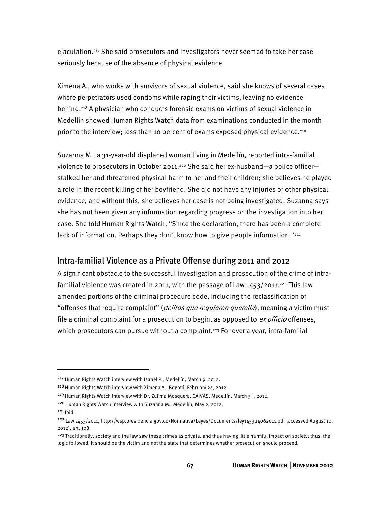ejaculation.217 She said prosecutors and investigators never seemed to take her case seriously because of the absence of physical evidence.

Ximena A., who works with survivors of sexual violence, said she knows of several cases where perpetrators used condoms while raping their victims, leaving no evidence behind.218 A physician who conducts forensic exams on victims of sexual violence in Medellín showed Human Rights Watch data from examinations conducted in the month prior to the interview; less than 10 percent of exams exposed physical evidence.219

Suzanna M., a 31-year-old displaced woman living in Medellín, reported intra-familial violence to prosecutors in October 2011.<sup>220</sup> She said her ex-husband—a police officer stalked her and threatened physical harm to her and their children; she believes he played a role in the recent killing of her boyfriend. She did not have any injuries or other physical evidence, and without this, she believes her case is not being investigated. Suzanna says she has not been given any information regarding progress on the investigation into her case. She told Human Rights Watch, "Since the declaration, there has been a complete lack of information. Perhaps they don't know how to give people information."<sup>221</sup>

# Intra-familial Violence as a Private Offense during 2011 and 2012

A significant obstacle to the successful investigation and prosecution of the crime of intrafamilial violence was created in 2011, with the passage of Law  $1453/2011.^{222}$  This law amended portions of the criminal procedure code, including the reclassification of "offenses that require complaint" (*delitos que requieren querella*), meaning a victim must file a criminal complaint for a prosecution to begin, as opposed to *ex officio* offenses, which prosecutors can pursue without a complaint.<sup>223</sup> For over a year, intra-familial

j

<sup>217</sup> Human Rights Watch interview with Isabel P., Medellín, March 9, 2012.

<sup>&</sup>lt;sup>218</sup> Human Rights Watch interview with Ximena A., Bogotá, February 24, 2012.

<sup>&</sup>lt;sup>219</sup> Human Rights Watch interview with Dr. Zulima Mosquera, CAIVAS, Medellín, March 5<sup>th</sup>, 2012.

<sup>&</sup>lt;sup>220</sup> Human Rights Watch interview with Suzanna M., Medellín, May 2, 2012.

 $221$  Ibid.

<sup>222</sup> Law 1453/2011, http://wsp.presidencia.gov.co/Normativa/Leyes/Documents/ley145324062011.pdf (accessed August 10, 2012), art. 108.

<sup>&</sup>lt;sup>223</sup> Traditionally, society and the law saw these crimes as private, and thus having little harmful impact on society; thus, the logic followed, it should be the victim and not the state that determines whether prosecution should proceed.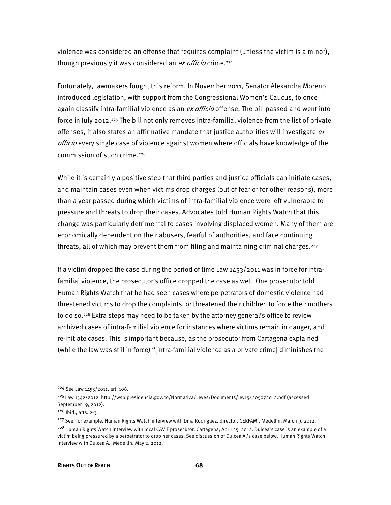violence was considered an offense that requires complaint (unless the victim is a minor), though previously it was considered an ex officio crime.<sup>224</sup>

Fortunately, lawmakers fought this reform. In November 2011, Senator Alexandra Moreno introduced legislation, with support from the Congressional Women's Caucus, to once again classify intra-familial violence as an ex officio offense. The bill passed and went into force in July 2012.225 The bill not only removes intra-familial violence from the list of private offenses, it also states an affirmative mandate that justice authorities will investigate  $ex$ officio every single case of violence against women where officials have knowledge of the commission of such crime.226

While it is certainly a positive step that third parties and justice officials can initiate cases, and maintain cases even when victims drop charges (out of fear or for other reasons), more than a year passed during which victims of intra-familial violence were left vulnerable to pressure and threats to drop their cases. Advocates told Human Rights Watch that this change was particularly detrimental to cases involving displaced women. Many of them are economically dependent on their abusers, fearful of authorities, and face continuing threats, all of which may prevent them from filing and maintaining criminal charges.<sup>227</sup>

If a victim dropped the case during the period of time Law 1453/2011 was in force for intrafamilial violence, the prosecutor's office dropped the case as well. One prosecutor told Human Rights Watch that he had seen cases where perpetrators of domestic violence had threatened victims to drop the complaints, or threatened their children to force their mothers to do so.<sup>228</sup> Extra steps may need to be taken by the attorney general's office to review archived cases of intra-familial violence for instances where victims remain in danger, and re-initiate cases. This is important because, as the prosecutor from Cartagena explained (while the law was still in force) "[intra-familial violence as a private crime] diminishes the

j

<sup>224</sup> See Law 1453/2011, art. 108.

<sup>225</sup>Law 1542/2012, http://wsp.presidencia.gov.co/Normativa/Leyes/Documents/ley154205072012.pdf (accessed September 19, 2012).

<sup>226</sup> Ibid., arts. 2-3.

<sup>&</sup>lt;sup>227</sup> See, for example, Human Rights Watch interview with Dilia Rodriguez, director, CERFAMI, Medellín, March 9, 2012. 228 Human Rights Watch interview with local CAVIF prosecutor, Cartagena, April 25, 2012. Dulcea's case is an example of a victim being pressured by a perpetrator to drop her cases. See discussion of Dulcea A.'s case below. Human Rights Watch interview with Dulcea A., Medellín, May 2, 2012.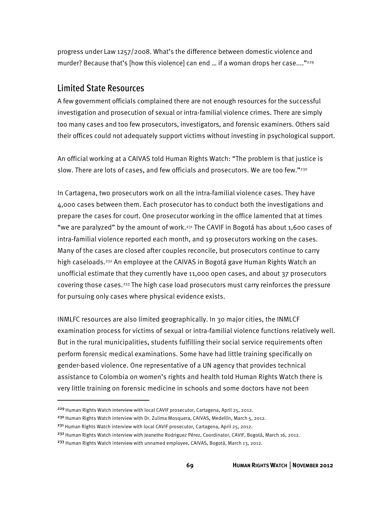progress under Law 1257/2008. What's the difference between domestic violence and murder? Because that's [how this violence] can end ... if a woman drops her case...."<sup>229</sup>

#### Limited State Resources

A few government officials complained there are not enough resources for the successful investigation and prosecution of sexual or intra-familial violence crimes. There are simply too many cases and too few prosecutors, investigators, and forensic examiners. Others said their offices could not adequately support victims without investing in psychological support.

An official working at a CAIVAS told Human Rights Watch: "The problem is that justice is slow. There are lots of cases, and few officials and prosecutors. We are too few."<sup>230</sup>

In Cartagena, two prosecutors work on all the intra-familial violence cases. They have 4,000 cases between them. Each prosecutor has to conduct both the investigations and prepare the cases for court. One prosecutor working in the office lamented that at times "we are paralyzed" by the amount of work.<sup>231</sup> The CAVIF in Bogotá has about 1,600 cases of intra-familial violence reported each month, and 19 prosecutors working on the cases. Many of the cases are closed after couples reconcile, but prosecutors continue to carry high caseloads.<sup>232</sup> An employee at the CAIVAS in Bogotá gave Human Rights Watch an unofficial estimate that they currently have 11,000 open cases, and about 37 prosecutors covering those cases.233 The high case load prosecutors must carry reinforces the pressure for pursuing only cases where physical evidence exists.

INMLFC resources are also limited geographically. In 30 major cities, the INMLCF examination process for victims of sexual or intra-familial violence functions relatively well. But in the rural municipalities, students fulfilling their social service requirements often perform forensic medical examinations. Some have had little training specifically on gender-based violence. One representative of a UN agency that provides technical assistance to Colombia on women's rights and health told Human Rights Watch there is very little training on forensic medicine in schools and some doctors have not been

j

<sup>231</sup> Human Rights Watch interview with local CAVIF prosecutor, Cartagena, April 25, 2012.

<sup>&</sup>lt;sup>229</sup> Human Rights Watch interview with local CAVIF prosecutor, Cartagena, April 25, 2012.

<sup>&</sup>lt;sup>230</sup> Human Rights Watch interview with Dr. Zulima Mosquera, CAIVAS, Medellín, March 5, 2012.

<sup>&</sup>lt;sup>232</sup> Human Rights Watch interview with Jeanethe Rodriguez Pérez, Coordinator, CAVIF, Bogotá, March 16, 2012.

<sup>&</sup>lt;sup>233</sup> Human Rights Watch interview with unnamed employee, CAIVAS, Bogotá, March 13, 2012.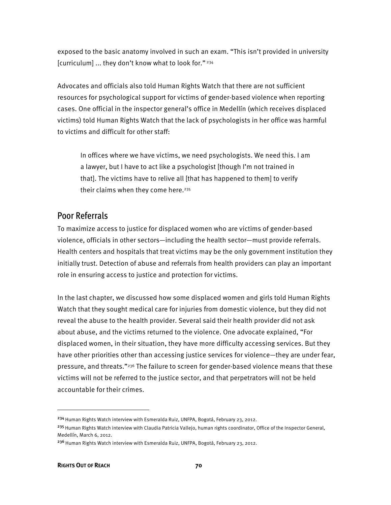exposed to the basic anatomy involved in such an exam. "This isn't provided in university [curriculum] ... they don't know what to look for." 234

Advocates and officials also told Human Rights Watch that there are not sufficient resources for psychological support for victims of gender-based violence when reporting cases. One official in the inspector general's office in Medellín (which receives displaced victims) told Human Rights Watch that the lack of psychologists in her office was harmful to victims and difficult for other staff:

In offices where we have victims, we need psychologists. We need this. I am a lawyer, but I have to act like a psychologist [though I'm not trained in that]. The victims have to relive all [that has happened to them] to verify their claims when they come here.<sup>235</sup>

#### Poor Referrals

To maximize access to justice for displaced women who are victims of gender-based violence, officials in other sectors—including the health sector—must provide referrals. Health centers and hospitals that treat victims may be the only government institution they initially trust. Detection of abuse and referrals from health providers can play an important role in ensuring access to justice and protection for victims.

In the last chapter, we discussed how some displaced women and girls told Human Rights Watch that they sought medical care for injuries from domestic violence, but they did not reveal the abuse to the health provider. Several said their health provider did not ask about abuse, and the victims returned to the violence. One advocate explained, "For displaced women, in their situation, they have more difficulty accessing services. But they have other priorities other than accessing justice services for violence—they are under fear, pressure, and threats."236 The failure to screen for gender-based violence means that these victims will not be referred to the justice sector, and that perpetrators will not be held accountable for their crimes.

j

<sup>&</sup>lt;sup>234</sup> Human Rights Watch interview with Esmeralda Ruiz, UNFPA, Bogotá, February 23, 2012.

<sup>&</sup>lt;sup>235</sup> Human Rights Watch interview with Claudia Patricia Vallejo, human rights coordinator, Office of the Inspector General, Medellín, March 6, 2012.

<sup>&</sup>lt;sup>236</sup> Human Rights Watch interview with Esmeralda Ruiz, UNFPA, Bogotá, February 23, 2012.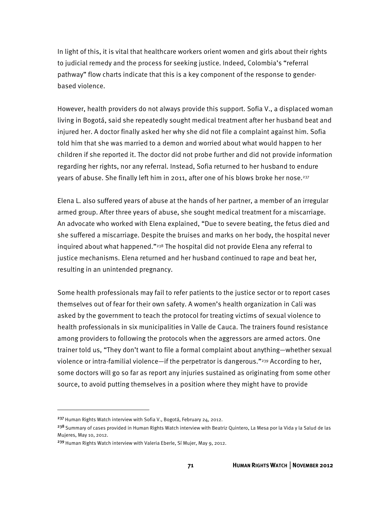In light of this, it is vital that healthcare workers orient women and girls about their rights to judicial remedy and the process for seeking justice. Indeed, Colombia's "referral pathway" flow charts indicate that this is a key component of the response to genderbased violence.

However, health providers do not always provide this support. Sofia V., a displaced woman living in Bogotá, said she repeatedly sought medical treatment after her husband beat and injured her. A doctor finally asked her why she did not file a complaint against him. Sofia told him that she was married to a demon and worried about what would happen to her children if she reported it. The doctor did not probe further and did not provide information regarding her rights, nor any referral. Instead, Sofia returned to her husband to endure years of abuse. She finally left him in 2011, after one of his blows broke her nose.237

Elena L. also suffered years of abuse at the hands of her partner, a member of an irregular armed group. After three years of abuse, she sought medical treatment for a miscarriage. An advocate who worked with Elena explained, "Due to severe beating, the fetus died and she suffered a miscarriage. Despite the bruises and marks on her body, the hospital never inquired about what happened."238 The hospital did not provide Elena any referral to justice mechanisms. Elena returned and her husband continued to rape and beat her, resulting in an unintended pregnancy.

Some health professionals may fail to refer patients to the justice sector or to report cases themselves out of fear for their own safety. A women's health organization in Cali was asked by the government to teach the protocol for treating victims of sexual violence to health professionals in six municipalities in Valle de Cauca. The trainers found resistance among providers to following the protocols when the aggressors are armed actors. One trainer told us, "They don't want to file a formal complaint about anything—whether sexual violence or intra-familial violence—if the perpetrator is dangerous."239 According to her, some doctors will go so far as report any injuries sustained as originating from some other source, to avoid putting themselves in a position where they might have to provide

-

<sup>&</sup>lt;sup>237</sup> Human Rights Watch interview with Sofia V., Bogotá, February 24, 2012.

<sup>&</sup>lt;sup>238</sup> Summary of cases provided in Human Rights Watch interview with Beatriz Quintero, La Mesa por la Vida y la Salud de las Mujeres, May 10, 2012.

<sup>&</sup>lt;sup>239</sup> Human Rights Watch interview with Valeria Eberle, Sí Mujer, May 9, 2012.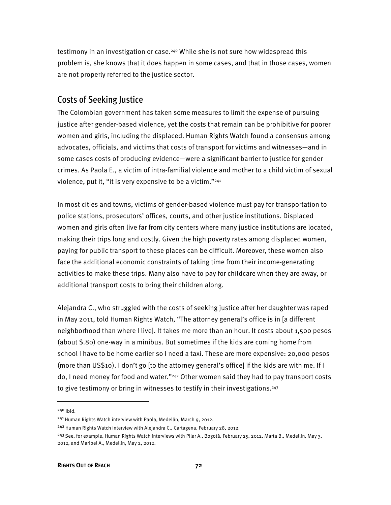testimony in an investigation or case.240 While she is not sure how widespread this problem is, she knows that it does happen in some cases, and that in those cases, women are not properly referred to the justice sector.

#### Costs of Seeking Justice

The Colombian government has taken some measures to limit the expense of pursuing justice after gender-based violence, yet the costs that remain can be prohibitive for poorer women and girls, including the displaced. Human Rights Watch found a consensus among advocates, officials, and victims that costs of transport for victims and witnesses—and in some cases costs of producing evidence—were a significant barrier to justice for gender crimes. As Paola E., a victim of intra-familial violence and mother to a child victim of sexual violence, put it, "it is very expensive to be a victim."241

In most cities and towns, victims of gender-based violence must pay for transportation to police stations, prosecutors' offices, courts, and other justice institutions. Displaced women and girls often live far from city centers where many justice institutions are located, making their trips long and costly. Given the high poverty rates among displaced women, paying for public transport to these places can be difficult. Moreover, these women also face the additional economic constraints of taking time from their income-generating activities to make these trips. Many also have to pay for childcare when they are away, or additional transport costs to bring their children along.

Alejandra C., who struggled with the costs of seeking justice after her daughter was raped in May 2011, told Human Rights Watch, "The attorney general's office is in [a different neighborhood than where I live]. It takes me more than an hour. It costs about 1,500 pesos (about \$.80) one-way in a minibus. But sometimes if the kids are coming home from school I have to be home earlier so I need a taxi. These are more expensive: 20,000 pesos (more than US\$10). I don't go [to the attorney general's office] if the kids are with me. If I do, I need money for food and water."242 Other women said they had to pay transport costs to give testimony or bring in witnesses to testify in their investigations.<sup>243</sup>

<sup>240</sup> Ibid.

<sup>&</sup>lt;sup>241</sup> Human Rights Watch interview with Paola, Medellín, March 9, 2012.

<sup>&</sup>lt;sup>242</sup> Human Rights Watch interview with Alejandra C., Cartagena, February 28, 2012.

<sup>&</sup>lt;sup>243</sup> See, for example, Human Rights Watch interviews with Pilar A., Bogotá, February 25, 2012, Marta B., Medellín, May 3, 2012, and Maribel A., Medellín, May 2, 2012.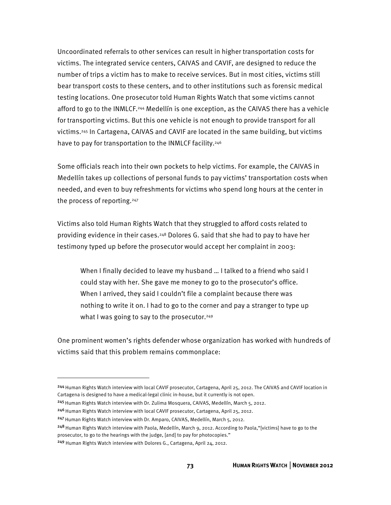Uncoordinated referrals to other services can result in higher transportation costs for victims. The integrated service centers, CAIVAS and CAVIF, are designed to reduce the number of trips a victim has to make to receive services. But in most cities, victims still bear transport costs to these centers, and to other institutions such as forensic medical testing locations. One prosecutor told Human Rights Watch that some victims cannot afford to go to the INMLCF.244 Medellín is one exception, as the CAIVAS there has a vehicle for transporting victims. But this one vehicle is not enough to provide transport for all victims.245 In Cartagena, CAIVAS and CAVIF are located in the same building, but victims have to pay for transportation to the INMLCF facility.<sup>246</sup>

Some officials reach into their own pockets to help victims. For example, the CAIVAS in Medellín takes up collections of personal funds to pay victims' transportation costs when needed, and even to buy refreshments for victims who spend long hours at the center in the process of reporting.247

Victims also told Human Rights Watch that they struggled to afford costs related to providing evidence in their cases.248 Dolores G. said that she had to pay to have her testimony typed up before the prosecutor would accept her complaint in 2003:

When I finally decided to leave my husband … I talked to a friend who said I could stay with her. She gave me money to go to the prosecutor's office. When I arrived, they said I couldn't file a complaint because there was nothing to write it on. I had to go to the corner and pay a stranger to type up what I was going to say to the prosecutor.<sup>249</sup>

One prominent women's rights defender whose organization has worked with hundreds of victims said that this problem remains commonplace:

<sup>248</sup> Human Rights Watch interview with Paola, Medellín, March 9, 2012. According to Paola, "[victims] have to go to the prosecutor, to go to the hearings with the judge, [and] to pay for photocopies."

<sup>244</sup> Human Rights Watch interview with local CAVIF prosecutor, Cartagena, April 25, 2012. The CAIVAS and CAVIF location in Cartagena is designed to have a medical-legal clinic in-house, but it currently is not open.

<sup>&</sup>lt;sup>245</sup> Human Rights Watch interview with Dr. Zulima Mosquera, CAIVAS, Medellín, March 5, 2012.

<sup>&</sup>lt;sup>246</sup> Human Rights Watch interview with local CAVIF prosecutor, Cartagena, April 25, 2012.

<sup>&</sup>lt;sup>247</sup> Human Rights Watch interview with Dr. Amparo, CAIVAS, Medellín, March 5, 2012.

<sup>249</sup> Human Rights Watch interview with Dolores G., Cartagena, April 24, 2012.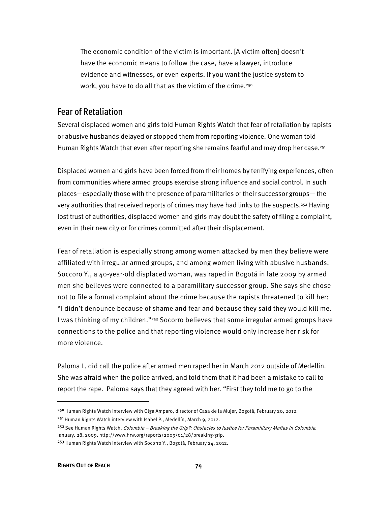The economic condition of the victim is important. [A victim often] doesn't have the economic means to follow the case, have a lawyer, introduce evidence and witnesses, or even experts. If you want the justice system to work, you have to do all that as the victim of the crime.<sup>250</sup>

#### Fear of Retaliation

Several displaced women and girls told Human Rights Watch that fear of retaliation by rapists or abusive husbands delayed or stopped them from reporting violence. One woman told Human Rights Watch that even after reporting she remains fearful and may drop her case.<sup>251</sup>

Displaced women and girls have been forced from their homes by terrifying experiences, often from communities where armed groups exercise strong influence and social control. In such places—especially those with the presence of paramilitaries or their successor groups— the very authorities that received reports of crimes may have had links to the suspects.<sup>252</sup> Having lost trust of authorities, displaced women and girls may doubt the safety of filing a complaint, even in their new city or for crimes committed after their displacement.

Fear of retaliation is especially strong among women attacked by men they believe were affiliated with irregular armed groups, and among women living with abusive husbands. Soccoro Y., a 40-year-old displaced woman, was raped in Bogotá in late 2009 by armed men she believes were connected to a paramilitary successor group. She says she chose not to file a formal complaint about the crime because the rapists threatened to kill her: "I didn't denounce because of shame and fear and because they said they would kill me. I was thinking of my children."253 Socorro believes that some irregular armed groups have connections to the police and that reporting violence would only increase her risk for more violence.

Paloma L. did call the police after armed men raped her in March 2012 outside of Medellín. She was afraid when the police arrived, and told them that it had been a mistake to call to report the rape. Paloma says that they agreed with her. "First they told me to go to the

<sup>&</sup>lt;sup>250</sup> Human Rights Watch interview with Olga Amparo, director of Casa de la Mujer, Bogotá, February 20, 2012. <sup>251</sup> Human Rights Watch interview with Isabel P., Medellín, March 9, 2012.

<sup>&</sup>lt;sup>252</sup> See Human Rights Watch, *Colombia – Breaking the Grip?: Obstacles to Justice for Paramilitary Mafias in Colombia*, January, 28, 2009, http://www.hrw.org/reports/2009/01/28/breaking-grip.

<sup>253</sup> Human Rights Watch interview with Socorro Y., Bogotá, February 24, 2012.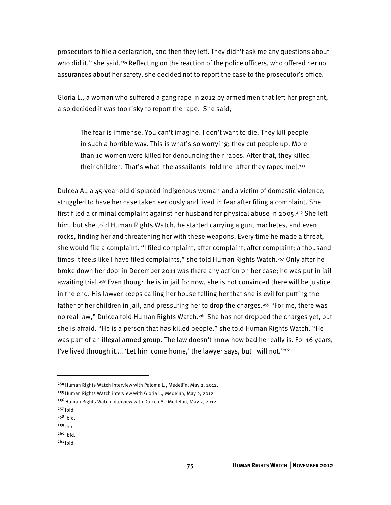prosecutors to file a declaration, and then they left. They didn't ask me any questions about who did it," she said.<sup>254</sup> Reflecting on the reaction of the police officers, who offered her no assurances about her safety, she decided not to report the case to the prosecutor's office.

Gloria L., a woman who suffered a gang rape in 2012 by armed men that left her pregnant, also decided it was too risky to report the rape. She said,

The fear is immense. You can't imagine. I don't want to die. They kill people in such a horrible way. This is what's so worrying; they cut people up. More than 10 women were killed for denouncing their rapes. After that, they killed their children. That's what [the assailants] told me [after they raped me].<sup>255</sup>

Dulcea A., a 45-year-old displaced indigenous woman and a victim of domestic violence, struggled to have her case taken seriously and lived in fear after filing a complaint. She first filed a criminal complaint against her husband for physical abuse in 2005.<sup>256</sup> She left him, but she told Human Rights Watch, he started carrying a gun, machetes, and even rocks, finding her and threatening her with these weapons. Every time he made a threat, she would file a complaint. "I filed complaint, after complaint, after complaint; a thousand times it feels like I have filed complaints," she told Human Rights Watch.<sup>257</sup> Only after he broke down her door in December 2011 was there any action on her case; he was put in jail awaiting trial.<sup>258</sup> Even though he is in jail for now, she is not convinced there will be justice in the end. His lawyer keeps calling her house telling her that she is evil for putting the father of her children in jail, and pressuring her to drop the charges.<sup>259</sup> "For me, there was no real law," Dulcea told Human Rights Watch.<sup>260</sup> She has not dropped the charges yet, but she is afraid. "He is a person that has killed people," she told Human Rights Watch. "He was part of an illegal armed group. The law doesn't know how bad he really is. For 16 years, I've lived through it.... 'Let him come home,' the lawyer says, but I will not." $261$ 

-

**75 HUMAN RIGHTS WATCH** │**NOVEMBER 2012** 

<sup>&</sup>lt;sup>254</sup> Human Rights Watch interview with Paloma L., Medellín, May 2, 2012.

<sup>&</sup>lt;sup>255</sup> Human Rights Watch interview with Gloria L., Medellín, May 2, 2012.

<sup>&</sup>lt;sup>256</sup> Human Rights Watch interview with Dulcea A., Medellín, May 2, 2012.

 $257$  Ibid.

 $258$  Ibid.

 $259$  Ibid.  $260$  Ibid.

 $261$  Ibid.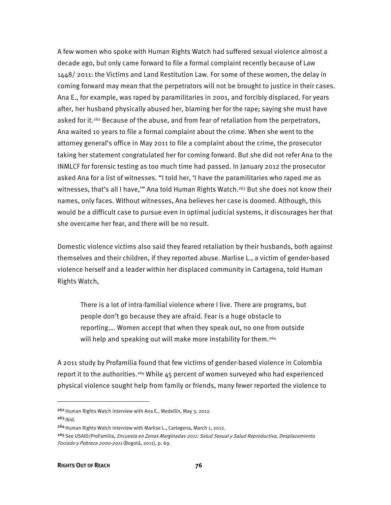A few women who spoke with Human Rights Watch had suffered sexual violence almost a decade ago, but only came forward to file a formal complaint recently because of Law 1448/ 2011: the Victims and Land Restitution Law. For some of these women, the delay in coming forward may mean that the perpetrators will not be brought to justice in their cases. Ana E., for example, was raped by paramilitaries in 2001, and forcibly displaced. For years after, her husband physically abused her, blaming her for the rape; saying she must have asked for it.<sup>262</sup> Because of the abuse, and from fear of retaliation from the perpetrators, Ana waited 10 years to file a formal complaint about the crime. When she went to the attorney general's office in May 2011 to file a complaint about the crime, the prosecutor taking her statement congratulated her for coming forward. But she did not refer Ana to the INMLCF for forensic testing as too much time had passed. In January 2012 the prosecutor asked Ana for a list of witnesses. "I told her, 'I have the paramilitaries who raped me as witnesses, that's all I have," Ana told Human Rights Watch.<sup>263</sup> But she does not know their names, only faces. Without witnesses, Ana believes her case is doomed. Although, this would be a difficult case to pursue even in optimal judicial systems, it discourages her that she overcame her fear, and there will be no result.

Domestic violence victims also said they feared retaliation by their husbands, both against themselves and their children, if they reported abuse. Marlise L., a victim of gender-based violence herself and a leader within her displaced community in Cartagena, told Human Rights Watch,

There is a lot of intra-familial violence where I live. There are programs, but people don't go because they are afraid. Fear is a huge obstacle to reporting…. Women accept that when they speak out, no one from outside will help and speaking out will make more instability for them.<sup>264</sup>

A 2011 study by Profamilia found that few victims of gender-based violence in Colombia report it to the authorities.<sup>265</sup> While  $45$  percent of women surveyed who had experienced physical violence sought help from family or friends, many fewer reported the violence to

1

<sup>&</sup>lt;sup>262</sup> Human Rights Watch interview with Ana E., Medellín, May 3, 2012.

 $263$  Ibid.

<sup>&</sup>lt;sup>264</sup> Human Rights Watch interview with Marlise L., Cartagena, March 1, 2012.

<sup>&</sup>lt;sup>265</sup> See USAID/ProFamilia, *Encuesta en Zonas Marginadas 2011: Salud Sexual y Salud Reproductiva, Desplazamiento* Forzado y Pobreza 2000-2011 (Bogotá, 2011), p. 69.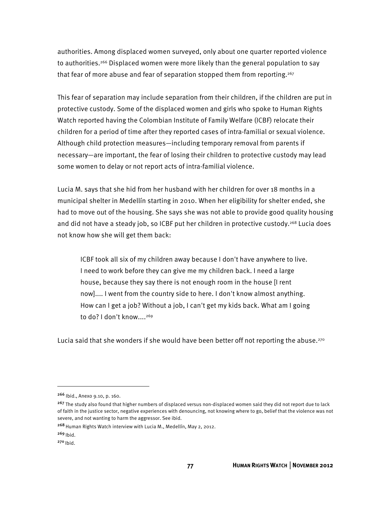authorities. Among displaced women surveyed, only about one quarter reported violence to authorities.<sup>266</sup> Displaced women were more likely than the general population to say that fear of more abuse and fear of separation stopped them from reporting.<sup>267</sup>

This fear of separation may include separation from their children, if the children are put in protective custody. Some of the displaced women and girls who spoke to Human Rights Watch reported having the Colombian Institute of Family Welfare (ICBF) relocate their children for a period of time after they reported cases of intra-familial or sexual violence. Although child protection measures—including temporary removal from parents if necessary—are important, the fear of losing their children to protective custody may lead some women to delay or not report acts of intra-familial violence.

Lucia M. says that she hid from her husband with her children for over 18 months in a municipal shelter in Medellín starting in 2010. When her eligibility for shelter ended, she had to move out of the housing. She says she was not able to provide good quality housing and did not have a steady job, so ICBF put her children in protective custody.<sup>268</sup> Lucia does not know how she will get them back:

ICBF took all six of my children away because I don't have anywhere to live. I need to work before they can give me my children back. I need a large house, because they say there is not enough room in the house [I rent now].... I went from the country side to here. I don't know almost anything. How can I get a job? Without a job, I can't get my kids back. What am I going to do? I don't know....<sup>269</sup>

Lucia said that she wonders if she would have been better off not reporting the abuse.<sup>270</sup>

<sup>266</sup> Ibid., Anexo 9.10, p. 160.

<sup>&</sup>lt;sup>267</sup> The study also found that higher numbers of displaced versus non-displaced women said they did not report due to lack of faith in the justice sector, negative experiences with denouncing, not knowing where to go, belief that the violence was not severe, and not wanting to harm the aggressor. See ibid.

<sup>&</sup>lt;sup>268</sup> Human Rights Watch interview with Lucia M., Medellín, May 2, 2012.

 $269$  Ibid.

 $270$  Ibid.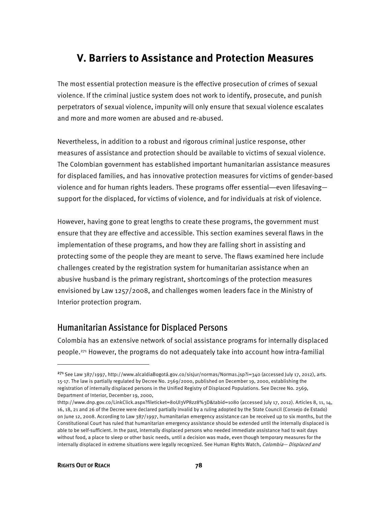## **V. Barriers to Assistance and Protection Measures**

The most essential protection measure is the effective prosecution of crimes of sexual violence. If the criminal justice system does not work to identify, prosecute, and punish perpetrators of sexual violence, impunity will only ensure that sexual violence escalates and more and more women are abused and re-abused.

Nevertheless, in addition to a robust and rigorous criminal justice response, other measures of assistance and protection should be available to victims of sexual violence. The Colombian government has established important humanitarian assistance measures for displaced families, and has innovative protection measures for victims of gender-based violence and for human rights leaders. These programs offer essential—even lifesaving support for the displaced, for victims of violence, and for individuals at risk of violence.

However, having gone to great lengths to create these programs, the government must ensure that they are effective and accessible. This section examines several flaws in the implementation of these programs, and how they are falling short in assisting and protecting some of the people they are meant to serve. The flaws examined here include challenges created by the registration system for humanitarian assistance when an abusive husband is the primary registrant, shortcomings of the protection measures envisioned by Law 1257/2008, and challenges women leaders face in the Ministry of Interior protection program.

#### Humanitarian Assistance for Displaced Persons

Colombia has an extensive network of social assistance programs for internally displaced people.271 However, the programs do not adequately take into account how intra-familial

-

<sup>271</sup>See Law 387/1997, http://www.alcaldiaBogotá.gov.co/sisjur/normas/Norma1.jsp?i=340 (accessed July 17, 2012), arts. 15-17. The law is partially regulated by Decree No. 2569/2000, published on December 19, 2000, establishing the registration of internally displaced persons in the Unified Registry of Displaced Populations. See Decree No. 2569, Department of Interior, December 19, 2000,

thttp://www.dnp.gov.co/LinkClick.aspx?fileticket=80Ul3VP8zz8%3D&tabid=1080 (accessed July 17, 2012). Articles 8, 11, 14, 16, 18, 21 and 26 of the Decree were declared partially invalid by a ruling adopted by the State Council (Consejo de Estado) on June 12, 2008. According to Law 387/1997, humanitarian emergency assistance can be received up to six months, but the Constitutional Court has ruled that humanitarian emergency assistance should be extended until the internally displaced is able to be self-sufficient. In the past, internally displaced persons who needed immediate assistance had to wait days without food, a place to sleep or other basic needs, until a decision was made, even though temporary measures for the internally displaced in extreme situations were legally recognized. See Human Rights Watch, Colombia— Displaced and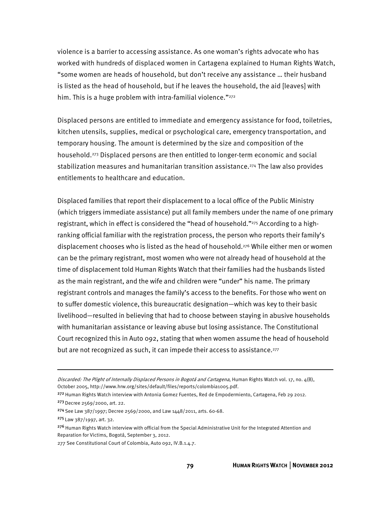violence is a barrier to accessing assistance. As one woman's rights advocate who has worked with hundreds of displaced women in Cartagena explained to Human Rights Watch, "some women are heads of household, but don't receive any assistance … their husband is listed as the head of household, but if he leaves the household, the aid [leaves] with him. This is a huge problem with intra-familial violence."<sup>272</sup>

Displaced persons are entitled to immediate and emergency assistance for food, toiletries, kitchen utensils, supplies, medical or psychological care, emergency transportation, and temporary housing. The amount is determined by the size and composition of the household.273 Displaced persons are then entitled to longer-term economic and social stabilization measures and humanitarian transition assistance.274 The law also provides entitlements to healthcare and education.

Displaced families that report their displacement to a local office of the Public Ministry (which triggers immediate assistance) put all family members under the name of one primary registrant, which in effect is considered the "head of household."275 According to a highranking official familiar with the registration process, the person who reports their family's displacement chooses who is listed as the head of household.276 While either men or women can be the primary registrant, most women who were not already head of household at the time of displacement told Human Rights Watch that their families had the husbands listed as the main registrant, and the wife and children were "under" his name. The primary registrant controls and manages the family's access to the benefits. For those who went on to suffer domestic violence, this bureaucratic designation—which was key to their basic livelihood—resulted in believing that had to choose between staying in abusive households with humanitarian assistance or leaving abuse but losing assistance. The Constitutional Court recognized this in Auto 092, stating that when women assume the head of household but are not recognized as such, it can impede their access to assistance.<sup>277</sup>

j

277 See Constitutional Court of Colombia, Auto 092, IV.B.1.4.7.

Discarded: The Plight of Internally Displaced Persons in Bogotá and Cartagena, Human Rights Watch vol. 17, no. 4(B), October 2005, http://www.hrw.org/sites/default/files/reports/colombia1005.pdf.

<sup>&</sup>lt;sup>272</sup> Human Rights Watch interview with Antonia Gomez Fuentes, Red de Empodermiento, Cartagena, Feb 29 2012. <sup>273</sup>Decree 2569/2000, art. 22.

<sup>274</sup>See Law 387/1997; Decree 2569/2000, and Law 1448/2011, arts. 60-68.

<sup>275</sup>Law 387/1997, art. 32.

<sup>276</sup> Human Rights Watch interview with official from the Special Administrative Unit for the Integrated Attention and Reparation for Victims, Bogotá, September 3, 2012.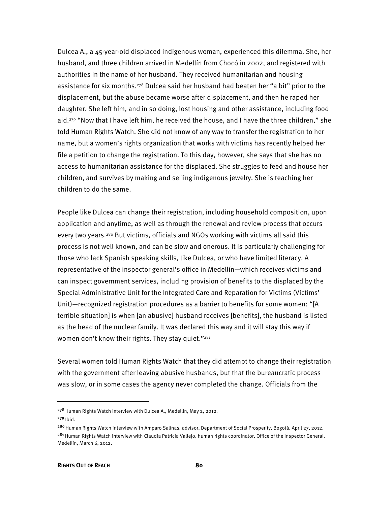Dulcea A., a 45-year-old displaced indigenous woman, experienced this dilemma. She, her husband, and three children arrived in Medellín from Chocó in 2002, and registered with authorities in the name of her husband. They received humanitarian and housing assistance for six months.278 Dulcea said her husband had beaten her "a bit" prior to the displacement, but the abuse became worse after displacement, and then he raped her daughter. She left him, and in so doing, lost housing and other assistance, including food aid.279 "Now that I have left him, he received the house, and I have the three children," she told Human Rights Watch. She did not know of any way to transfer the registration to her name, but a women's rights organization that works with victims has recently helped her file a petition to change the registration. To this day, however, she says that she has no access to humanitarian assistance for the displaced. She struggles to feed and house her children, and survives by making and selling indigenous jewelry. She is teaching her children to do the same.

People like Dulcea can change their registration, including household composition, upon application and anytime, as well as through the renewal and review process that occurs every two years.280 But victims, officials and NGOs working with victims all said this process is not well known, and can be slow and onerous. It is particularly challenging for those who lack Spanish speaking skills, like Dulcea, or who have limited literacy. A representative of the inspector general's office in Medellín—which receives victims and can inspect government services, including provision of benefits to the displaced by the Special Administrative Unit for the Integrated Care and Reparation for Victims (Victims' Unit)—recognized registration procedures as a barrier to benefits for some women: "[A terrible situation] is when [an abusive] husband receives [benefits], the husband is listed as the head of the nuclear family. It was declared this way and it will stay this way if women don't know their rights. They stay quiet."<sup>281</sup>

Several women told Human Rights Watch that they did attempt to change their registration with the government after leaving abusive husbands, but that the bureaucratic process was slow, or in some cases the agency never completed the change. Officials from the

<sup>&</sup>lt;sup>278</sup> Human Rights Watch interview with Dulcea A., Medellín, May 2, 2012.

 $279$  Ibid.

<sup>&</sup>lt;sup>280</sup> Human Rights Watch interview with Amparo Salinas, advisor, Department of Social Prosperity, Bogotá, April 27, 2012. <sup>281</sup> Human Rights Watch interview with Claudia Patricia Vallejo, human rights coordinator, Office of the Inspector General, Medellín, March 6, 2012.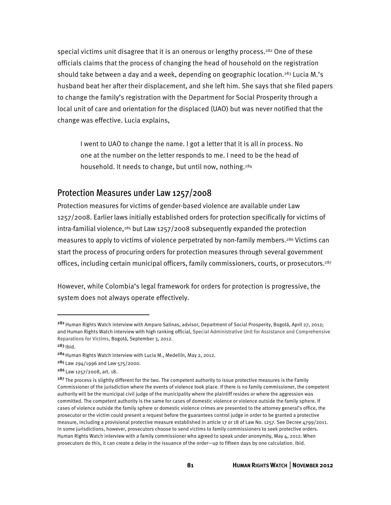special victims unit disagree that it is an onerous or lengthy process.<sup>282</sup> One of these officials claims that the process of changing the head of household on the registration should take between a day and a week, depending on geographic location.<sup>283</sup> Lucia M.'s husband beat her after their displacement, and she left him. She says that she filed papers to change the family's registration with the Department for Social Prosperity through a local unit of care and orientation for the displaced (UAO) but was never notified that the change was effective. Lucia explains,

I went to UAO to change the name. I got a letter that it is all in process. No one at the number on the letter responds to me. I need to be the head of household. It needs to change, but until now, nothing.<sup>284</sup>

#### Protection Measures under Law 1257/2008

Protection measures for victims of gender-based violence are available under Law 1257/2008. Earlier laws initially established orders for protection specifically for victims of  $intra$ -familial violence, $285$  but Law 1257/2008 subsequently expanded the protection measures to apply to victims of violence perpetrated by non-family members.<sup>286</sup> Victims can start the process of procuring orders for protection measures through several government offices, including certain municipal officers, family commissioners, courts, or prosecutors.287

However, while Colombia's legal framework for orders for protection is progressive, the system does not always operate effectively.

<sup>&</sup>lt;sup>282</sup> Human Rights Watch interview with Amparo Salinas, advisor, Department of Social Prosperity, Bogotá, April 27, 2012; and Human Rights Watch interview with high ranking official, Special Administrative Unit for Assistance and Comprehensive Reparations for Victims, Bogotá, September 3, 2012.

 $283$  Ibid.

<sup>&</sup>lt;sup>284</sup> Human Rights Watch interview with Lucia M., Medellín, May 2, 2012.

<sup>285</sup>Law 294/1996 and Law 575/2000.

<sup>286</sup>Law 1257/2008, art. 18.

<sup>&</sup>lt;sup>287</sup> The process is slightly different for the two. The competent authority to issue protective measures is the Family Commissioner of the jurisdiction where the events of violence took place. If there is no family commissioner, the competent authority will be the municipal civil judge of the municipality where the plaintiff resides or where the aggression was committed. The competent authority is the same for cases of domestic violence or violence outside the family sphere. If cases of violence outside the family sphere or domestic violence crimes are presented to the attorney general's office, the prosecutor or the victim could present a request before the guarantees control judge in order to be granted a protective measure, including a provisional protective measure established in article 17 or 18 of Law No. 1257. See Decree 4799/2011. In some jurisdictions, however, prosecutors choose to send victims to family commissioners to seek protective orders. Human Rights Watch interview with a family commissioner who agreed to speak under anonymity, May 4, 2012. When prosecutors do this, it can create a delay in the issuance of the order—up to fifteen days by one calculation. Ibid.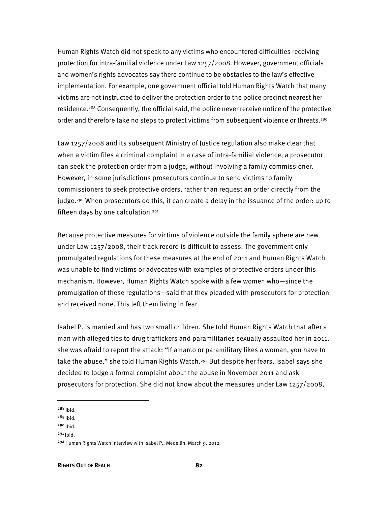Human Rights Watch did not speak to any victims who encountered difficulties receiving protection for intra-familial violence under Law 1257/2008. However, government officials and women's rights advocates say there continue to be obstacles to the law's effective implementation. For example, one government official told Human Rights Watch that many victims are not instructed to deliver the protection order to the police precinct nearest her residence.288 Consequently, the official said, the police never receive notice of the protective order and therefore take no steps to protect victims from subsequent violence or threats.<sup>289</sup>

Law 1257/2008 and its subsequent Ministry of Justice regulation also make clear that when a victim files a criminal complaint in a case of intra-familial violence, a prosecutor can seek the protection order from a judge, without involving a family commissioner. However, in some jurisdictions prosecutors continue to send victims to family commissioners to seek protective orders, rather than request an order directly from the judge.290 When prosecutors do this, it can create a delay in the issuance of the order: up to fifteen days by one calculation.291

Because protective measures for victims of violence outside the family sphere are new under Law 1257/2008, their track record is difficult to assess. The government only promulgated regulations for these measures at the end of 2011 and Human Rights Watch was unable to find victims or advocates with examples of protective orders under this mechanism. However, Human Rights Watch spoke with a few women who—since the promulgation of these regulations—said that they pleaded with prosecutors for protection and received none. This left them living in fear.

Isabel P. is married and has two small children. She told Human Rights Watch that after a man with alleged ties to drug traffickers and paramilitaries sexually assaulted her in 2011, she was afraid to report the attack: "If a narco or paramilitary likes a woman, you have to take the abuse," she told Human Rights Watch.<sup>292</sup> But despite her fears, Isabel says she decided to lodge a formal complaint about the abuse in November 2011 and ask prosecutors for protection. She did not know about the measures under Law 1257/2008,

 $288$  Ibid.

-

 $289$  Ibid.

 $291$  Ibid.

 $290$  Ibid.

<sup>292</sup>Human Rights Watch interview with Isabel P., Medellín, March 9, 2012.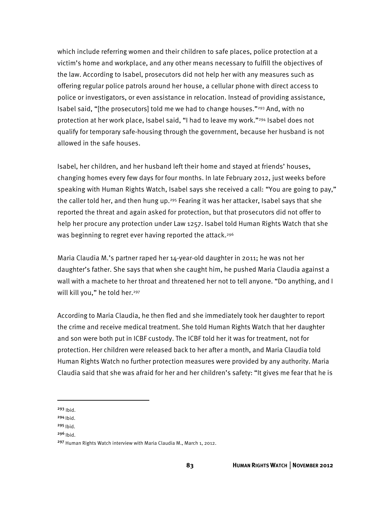which include referring women and their children to safe places, police protection at a victim's home and workplace, and any other means necessary to fulfill the objectives of the law. According to Isabel, prosecutors did not help her with any measures such as offering regular police patrols around her house, a cellular phone with direct access to police or investigators, or even assistance in relocation. Instead of providing assistance, Isabel said, "[the prosecutors] told me we had to change houses."293 And, with no protection at her work place, Isabel said, "I had to leave my work."294 Isabel does not qualify for temporary safe-housing through the government, because her husband is not allowed in the safe houses.

Isabel, her children, and her husband left their home and stayed at friends' houses, changing homes every few days for four months. In late February 2012, just weeks before speaking with Human Rights Watch, Isabel says she received a call: "You are going to pay," the caller told her, and then hung up.<sup>295</sup> Fearing it was her attacker, Isabel says that she reported the threat and again asked for protection, but that prosecutors did not offer to help her procure any protection under Law 1257. Isabel told Human Rights Watch that she was beginning to regret ever having reported the attack.<sup>296</sup>

Maria Claudia M.'s partner raped her 14-year-old daughter in 2011; he was not her daughter's father. She says that when she caught him, he pushed Maria Claudia against a wall with a machete to her throat and threatened her not to tell anyone. "Do anything, and I will kill you," he told her.<sup>297</sup>

According to Maria Claudia, he then fled and she immediately took her daughter to report the crime and receive medical treatment. She told Human Rights Watch that her daughter and son were both put in ICBF custody. The ICBF told her it was for treatment, not for protection. Her children were released back to her after a month, and Maria Claudia told Human Rights Watch no further protection measures were provided by any authority. Maria Claudia said that she was afraid for her and her children's safety: "It gives me fear that he is

<sup>293</sup> Ibid.

-

 $294$  Ibid.

 $295$  Ibid.

 $296$  Ibid.

<sup>297</sup> Human Rights Watch interview with Maria Claudia M., March 1, 2012.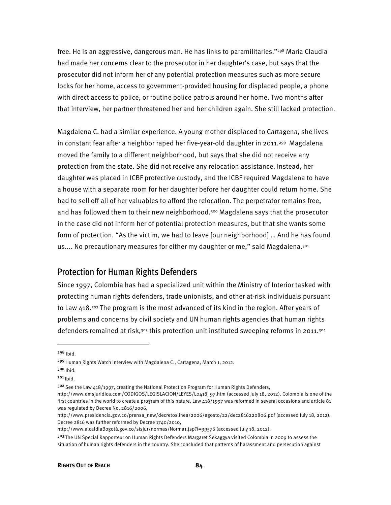free. He is an aggressive, dangerous man. He has links to paramilitaries."<sup>298</sup> Maria Claudia had made her concerns clear to the prosecutor in her daughter's case, but says that the prosecutor did not inform her of any potential protection measures such as more secure locks for her home, access to government-provided housing for displaced people, a phone with direct access to police, or routine police patrols around her home. Two months after that interview, her partner threatened her and her children again. She still lacked protection.

Magdalena C. had a similar experience. A young mother displaced to Cartagena, she lives in constant fear after a neighbor raped her five-year-old daughter in 2011.<sup>299</sup> Magdalena moved the family to a different neighborhood, but says that she did not receive any protection from the state. She did not receive any relocation assistance. Instead, her daughter was placed in ICBF protective custody, and the ICBF required Magdalena to have a house with a separate room for her daughter before her daughter could return home. She had to sell off all of her valuables to afford the relocation. The perpetrator remains free, and has followed them to their new neighborhood.300 Magdalena says that the prosecutor in the case did not inform her of potential protection measures, but that she wants some form of protection. "As the victim, we had to leave [our neighborhood] … And he has found us.... No precautionary measures for either my daughter or me," said Magdalena.<sup>301</sup>

#### Protection for Human Rights Defenders

Since 1997, Colombia has had a specialized unit within the Ministry of Interior tasked with protecting human rights defenders, trade unionists, and other at-risk individuals pursuant to Law 418.<sup>302</sup> The program is the most advanced of its kind in the region. After years of problems and concerns by civil society and UN human rights agencies that human rights defenders remained at risk,<sup>303</sup> this protection unit instituted sweeping reforms in 2011.<sup>304</sup>

 $298$  Ibid.

 $\overline{a}$ 

<sup>300</sup> Ibid.

<sup>&</sup>lt;sup>299</sup> Human Rights Watch interview with Magdalena C., Cartagena, March 1, 2012.

 $301$  Ibid.

 $302$  See the Law 418/1997, creating the National Protection Program for Human Rights Defenders,

http://www.dmsjuridica.com/CODIGOS/LEGISLACION/LEYES/L0418\_97.htm (accessed July 18, 2012). Colombia is one of the first countries in the world to create a program of this nature. Law 418/1997 was reformed in several occasions and article 81 was regulated by Decree No. 2816/2006,

http://www.presidencia.gov.co/prensa\_new/decretoslinea/2006/agosto/22/dec2816220806.pdf (accessed July 18, 2012). Decree 2816 was further reformed by Decree 1740/2010,

http://www.alcaldiaBogotá.gov.co/sisjur/normas/Norma1.jsp?i=39576 (accessed July 18, 2012).

<sup>&</sup>lt;sup>303</sup> The UN Special Rapporteur on Human Rights Defenders Margaret Sekaggya visited Colombia in 2009 to assess the situation of human rights defenders in the country. She concluded that patterns of harassment and persecution against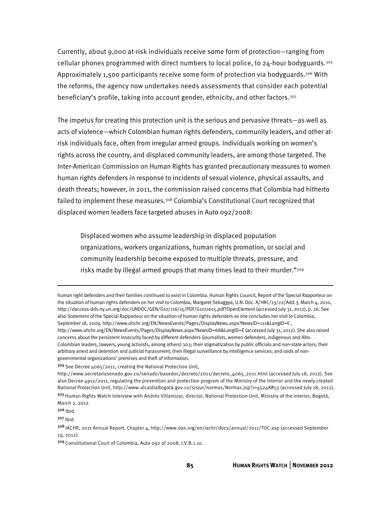Currently, about 9,000 at-risk individuals receive some form of protection—ranging from cellular phones programmed with direct numbers to local police, to 24-hour bodyguards.305 Approximately 1,500 participants receive some form of protection via bodyguards.<sup>306</sup> With the reforms, the agency now undertakes needs assessments that consider each potential beneficiary's profile, taking into account gender, ethnicity, and other factors.307

The impetus for creating this protection unit is the serious and pervasive threats—as well as acts of violence—which Colombian human rights defenders, community leaders, and other atrisk individuals face, often from irregular armed groups. Individuals working on women's rights across the country, and displaced community leaders, are among those targeted. The Inter-American Commission on Human Rights has granted precautionary measures to women human rights defenders in response to incidents of sexual violence, physical assaults, and death threats; however, in 2011, the commission raised concerns that Colombia had hitherto failed to implement these measures.308 Colombia's Constitutional Court recognized that displaced women leaders face targeted abuses in Auto 092/2008:

Displaced women who assume leadership in displaced population organizations, workers organizations, human rights promotion, or social and community leadership become exposed to multiple threats, pressure, and risks made by illegal armed groups that many times lead to their murder."<sup>309</sup>

-

human right defenders and their families continued to exist in Colombia. Human Rights Council, Report of the Special Rapporteur on the situation of human rights defenders on her visit to Colombia, Margaret Sekaggya, U.N. Doc. A/HRC/13/22/Add.3, March 4, 2010, http://daccess-dds-ny.un.org/doc/UNDOC/GEN/G10/116/15/PDF/G1011615.pdf?OpenElement (accessed July 31, 2012), p. 26. See also Statement of the Special Rapporteur on the situation of human rights defenders as she concludes her visit to Colombia, September 18, 2009, http://www.ohchr.org/EN/NewsEvents/Pages/DisplayNews.aspx?NewsID=111&LangID=E , http://www.ohchr.org/EN/NewsEvents/Pages/DisplayNews.aspx?NewsID=68&LangID=E (accessed July 31, 2012). She also raised concerns about the persistent insecurity faced by different defenders (journalists, women defenders, indigenous and Afro-Colombian leaders, lawyers, young activists, among others) 303; their stigmatization by public officials and non-state actors; their arbitrary arrest and detention and judicial harassment; their illegal surveillance by intelligence services; and raids of nongovernmental organizations' premises and theft of information.

<sup>304</sup> See Decree 4065/2011, creating the National Protection Unit,

http://www.secretariasenado.gov.co/senado/basedoc/decreto/2011/decreto\_4065\_2011.html (accessed July 18, 2012). See also Decree 4912/2011, regulating the prevention and protection program of the Ministry of the Interior and the newly created National Protection Unit, http://www.alcaldiaBogotá.gov.co/sisjur/normas/Norma1.jsp?i=45248#53 (accessed July 18, 2012).

<sup>3</sup>º5 Human Rights Watch interview with Andrés Villamizar, director, National Protection Unit, Ministry of the Interior, Bogotá, March 2, 2012.

 $306$  Ibid.

<sup>307</sup> Ibid.

<sup>308</sup>IACHR, 2011 Annual Report, Chapter 4, http://www.oas.org/en/iachr/docs/annual/2011/TOC.asp (accessed September 19, 2012).

<sup>309</sup>Constitutional Court of Colombia, Auto 092 of 2008, I.V.B.1.10.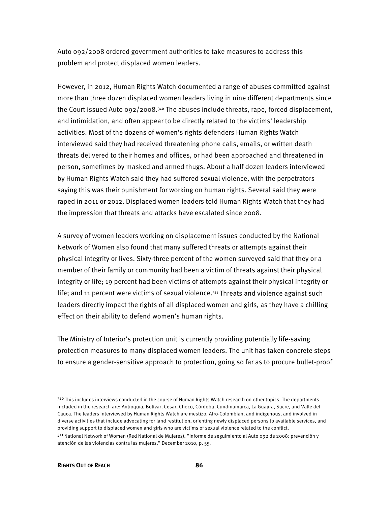Auto 092/2008 ordered government authorities to take measures to address this problem and protect displaced women leaders.

However, in 2012, Human Rights Watch documented a range of abuses committed against more than three dozen displaced women leaders living in nine different departments since the Court issued Auto  $992/2008$ .<sup>310</sup> The abuses include threats, rape, forced displacement, and intimidation, and often appear to be directly related to the victims' leadership activities. Most of the dozens of women's rights defenders Human Rights Watch interviewed said they had received threatening phone calls, emails, or written death threats delivered to their homes and offices, or had been approached and threatened in person, sometimes by masked and armed thugs. About a half dozen leaders interviewed by Human Rights Watch said they had suffered sexual violence, with the perpetrators saying this was their punishment for working on human rights. Several said they were raped in 2011 or 2012. Displaced women leaders told Human Rights Watch that they had the impression that threats and attacks have escalated since 2008.

A survey of women leaders working on displacement issues conducted by the National Network of Women also found that many suffered threats or attempts against their physical integrity or lives. Sixty-three percent of the women surveyed said that they or a member of their family or community had been a victim of threats against their physical integrity or life; 19 percent had been victims of attempts against their physical integrity or life; and 11 percent were victims of sexual violence.311 Threats and violence against such leaders directly impact the rights of all displaced women and girls, as they have a chilling effect on their ability to defend women's human rights.

The Ministry of Interior's protection unit is currently providing potentially life-saving protection measures to many displaced women leaders. The unit has taken concrete steps to ensure a gender-sensitive approach to protection, going so far as to procure bullet-proof

<sup>310</sup> This includes interviews conducted in the course of Human Rights Watch research on other topics. The departments included in the research are: Antioquia, Bolívar, Cesar, Chocó, Córdoba, Cundinamarca, La Guajira, Sucre, and Valle del Cauca. The leaders interviewed by Human Rights Watch are mestizo, Afro-Colombian, and indigenous, and involved in diverse activities that include advocating for land restitution, orienting newly displaced persons to available services, and providing support to displaced women and girls who are victims of sexual violence related to the conflict.

<sup>311</sup> National Network of Women (Red National de Mujeres), "Informe de seguimiento al Auto 092 de 2008: prevención y atención de las violencias contra las mujeres," December 2010, p. 55.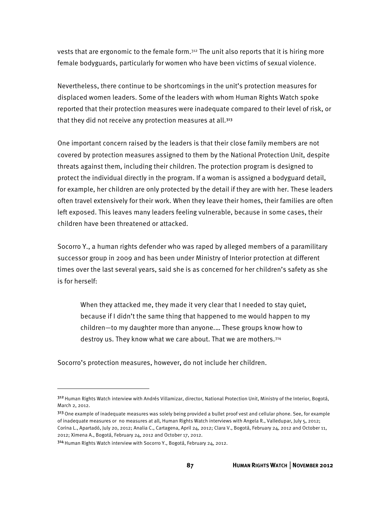vests that are ergonomic to the female form. $312$  The unit also reports that it is hiring more female bodyguards, particularly for women who have been victims of sexual violence.

Nevertheless, there continue to be shortcomings in the unit's protection measures for displaced women leaders. Some of the leaders with whom Human Rights Watch spoke reported that their protection measures were inadequate compared to their level of risk, or that they did not receive any protection measures at all.<sup>313</sup>

One important concern raised by the leaders is that their close family members are not covered by protection measures assigned to them by the National Protection Unit, despite threats against them, including their children. The protection program is designed to protect the individual directly in the program. If a woman is assigned a bodyguard detail, for example, her children are only protected by the detail if they are with her. These leaders often travel extensively for their work. When they leave their homes, their families are often left exposed. This leaves many leaders feeling vulnerable, because in some cases, their children have been threatened or attacked.

Socorro Y., a human rights defender who was raped by alleged members of a paramilitary successor group in 2009 and has been under Ministry of Interior protection at different times over the last several years, said she is as concerned for her children's safety as she is for herself:

When they attacked me, they made it very clear that I needed to stay quiet, because if I didn't the same thing that happened to me would happen to my children—to my daughter more than anyone.… These groups know how to destroy us. They know what we care about. That we are mothers.314

Socorro's protection measures, however, do not include her children.

-

<sup>&</sup>lt;sup>312</sup> Human Rights Watch interview with Andrés Villamizar, director, National Protection Unit, Ministry of the Interior, Bogotá, March 2, 2012.

<sup>313</sup> One example of inadequate measures was solely being provided a bullet proof vest and cellular phone. See, for example of inadequate measures or no measures at all, Human Rights Watch interviews with Angela R., Valledupar, July 5, 2012; Corina L., Apartadó, July 20, 2012; Analia C., Cartagena, April 24, 2012; Clara V., Bogotá, February 24, 2012 and October 11, 2012; Ximena A., Bogotá, February 24, 2012 and October 17, 2012.

<sup>314</sup> Human Rights Watch interview with Socorro Y., Bogotá, February 24, 2012.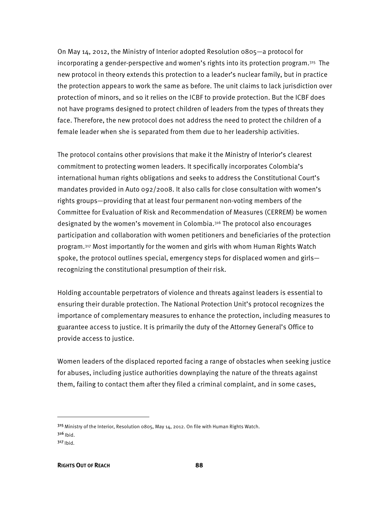On May 14, 2012, the Ministry of Interior adopted Resolution 0805—a protocol for incorporating a gender-perspective and women's rights into its protection program.<sup>315</sup> The new protocol in theory extends this protection to a leader's nuclear family, but in practice the protection appears to work the same as before. The unit claims to lack jurisdiction over protection of minors, and so it relies on the ICBF to provide protection. But the ICBF does not have programs designed to protect children of leaders from the types of threats they face. Therefore, the new protocol does not address the need to protect the children of a female leader when she is separated from them due to her leadership activities.

The protocol contains other provisions that make it the Ministry of Interior's clearest commitment to protecting women leaders. It specifically incorporates Colombia's international human rights obligations and seeks to address the Constitutional Court's mandates provided in Auto 092/2008. It also calls for close consultation with women's rights groups—providing that at least four permanent non-voting members of the Committee for Evaluation of Risk and Recommendation of Measures (CERREM) be women designated by the women's movement in Colombia.316 The protocol also encourages participation and collaboration with women petitioners and beneficiaries of the protection program.317 Most importantly for the women and girls with whom Human Rights Watch spoke, the protocol outlines special, emergency steps for displaced women and girls recognizing the constitutional presumption of their risk.

Holding accountable perpetrators of violence and threats against leaders is essential to ensuring their durable protection. The National Protection Unit's protocol recognizes the importance of complementary measures to enhance the protection, including measures to guarantee access to justice. It is primarily the duty of the Attorney General's Office to provide access to justice.

Women leaders of the displaced reported facing a range of obstacles when seeking justice for abuses, including justice authorities downplaying the nature of the threats against them, failing to contact them after they filed a criminal complaint, and in some cases,

-

<sup>315</sup> Ministry of the Interior, Resolution 0805, May 14, 2012. On file with Human Rights Watch.  $316$  Ibid.

 $317$  Ibid.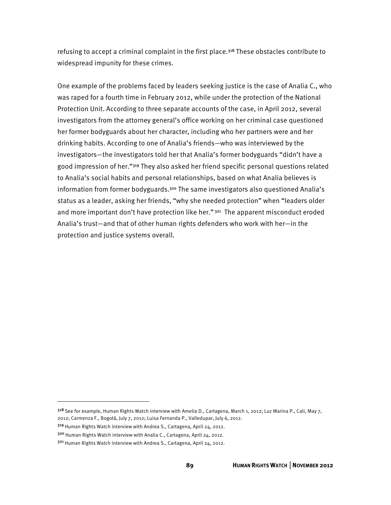refusing to accept a criminal complaint in the first place.318 These obstacles contribute to widespread impunity for these crimes.

One example of the problems faced by leaders seeking justice is the case of Analia C., who was raped for a fourth time in February 2012, while under the protection of the National Protection Unit. According to three separate accounts of the case, in April 2012, several investigators from the attorney general's office working on her criminal case questioned her former bodyguards about her character, including who her partners were and her drinking habits. According to one of Analia's friends—who was interviewed by the investigators—the investigators told her that Analia's former bodyguards "didn't have a good impression of her."319 They also asked her friend specific personal questions related to Analia's social habits and personal relationships, based on what Analia believes is information from former bodyguards.<sup>320</sup> The same investigators also questioned Analia's status as a leader, asking her friends, "why she needed protection" when "leaders older and more important don't have protection like her." 321 The apparent misconduct eroded Analia's trust—and that of other human rights defenders who work with her—in the protection and justice systems overall.

<sup>&</sup>lt;sup>318</sup> See for example, Human Rights Watch interview with Amelia D., Cartagena, March 1, 2012; Luz Marina P., Cali, May 7, 2012; Carmenza F., Bogotá, July 7, 2012; Luisa Fernanda P., Valledupar, July 6, 2012.

<sup>319</sup> Human Rights Watch interview with Andrea S., Cartagena, April 24, 2012.

<sup>320</sup> Human Rights Watch interview with Analia C., Cartagena, April 24, 2012.

<sup>321</sup> Human Rights Watch interview with Andrea S., Cartagena, April 24, 2012.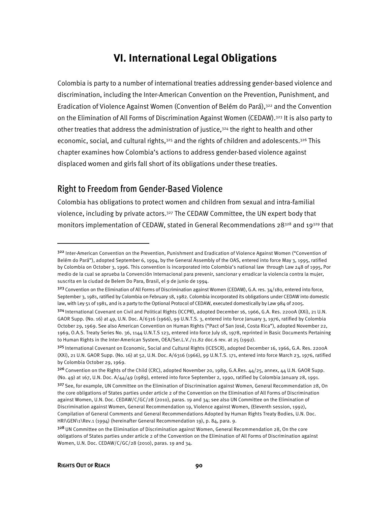### **VI. International Legal Obligations**

Colombia is party to a number of international treaties addressing gender-based violence and discrimination, including the Inter-American Convention on the Prevention, Punishment, and Eradication of Violence Against Women (Convention of Belém do Pará),322 and the Convention on the Elimination of All Forms of Discrimination Against Women (CEDAW).323 It is also party to other treaties that address the administration of justice,324 the right to health and other economic, social, and cultural rights,<sup>325</sup> and the rights of children and adolescents,<sup>326</sup> This chapter examines how Colombia's actions to address gender-based violence against displaced women and girls fall short of its obligations under these treaties.

#### Right to Freedom from Gender-Based Violence

Colombia has obligations to protect women and children from sexual and intra-familial violence, including by private actors.327 The CEDAW Committee, the UN expert body that monitors implementation of CEDAW, stated in General Recommendations 28<sup>328</sup> and 19<sup>329</sup> that

j

<sup>322</sup> Inter-American Convention on the Prevention, Punishment and Eradication of Violence Against Women ("Convention of Belém do Pará"), adopted September 6, 1994, by the General Assembly of the OAS, entered into force May 3, 1995, ratified by Colombia on October 3, 1996. This convention is incorporated into Colombia's national law through Law 248 of 1995, Por medio de la cual se aprueba la Convención Internacional para prevenir, sancionar y erradicar la violencia contra la mujer, suscrita en la ciudad de Belem Do Para, Brasil, el 9 de junio de 1994.

<sup>323</sup> Convention on the Elimination of All Forms of Discrimination against Women (CEDAW), G.A. res. 34/180, entered into force, September 3, 1981, ratified by Colombia on February 18, 1982. Colombia incorporated its obligations under CEDAW into domestic law, with Ley 51 of 1981, and is a party to the Optional Protocol of CEDAW, executed domestically by Law 984 of 2005.

<sup>324</sup> International Covenant on Civil and Political Rights (ICCPR), adopted December 16, 1966, G.A. Res. 2200A (XXi), 21 U.N. GAOR Supp. (No. 16) at 49, U.N. Doc. A/6316 (1966), 99 U.N.T.S. 3, entered into force January 3, 1976, ratified by Colombia October 29, 1969. See also American Convention on Human Rights ("Pact of San José, Costa Rica"), adopted November 22, 1969, O.A.S. Treaty Series No. 36, 1144 U.N.T.S 123, entered into force July 18, 1978, reprinted in Basic Documents Pertaining to Human Rights in the Inter-American System, OEA/Ser.L.V./11.82 doc.6 rev. at 25 (1992).

<sup>325</sup> International Covenant on Economic, Social and Cultural Rights (ICESCR), adopted December 16, 1966, G.A. Res. 2200A (XXi), 21 U.N. GAOR Supp. (No. 16) at 52, U.N. Doc. A/6316 (1966), 99 U.N.T.S. 171, entered into force March 23, 1976, ratified by Colombia October 29, 1969.

<sup>326</sup> Convention on the Rights of the Child (CRC), adopted November 20, 1989, G.A.Res. 44/25, annex, 44 U.N. GAOR Supp. (No. 49) at 167, U.N. Doc. A/44/49 (1989), entered into force September 2, 1990, ratified by Colombia January 28, 1991. 327 See, for example, UN Committee on the Elimination of Discrimination against Women, General Recommendation 28, On the core obligations of States parties under article 2 of the Convention on the Elimination of All Forms of Discrimination against Women, U.N. Doc. CEDAW/C/GC/28 (2010), paras. 19 and 34; see also UN Committee on the Elimination of Discrimination against Women, General Recommendation 19, Violence against Women, (Eleventh session, 1992), Compilation of General Comments and General Recommendations Adopted by Human Rights Treaty Bodies, U.N. Doc. HRI\GEN\1\Rev.1 (1994) (hereinafter General Recommendation 19), p. 84, para. 9.

<sup>328</sup> UN Committee on the Elimination of Discrimination against Women, General Recommendation 28, On the core obligations of States parties under article 2 of the Convention on the Elimination of All Forms of Discrimination against Women, U.N. Doc. CEDAW/C/GC/28 (2010), paras. 19 and 34.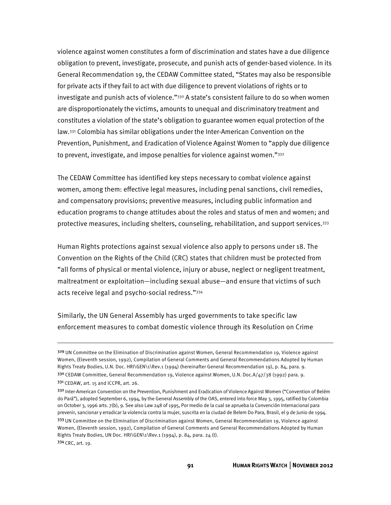violence against women constitutes a form of discrimination and states have a due diligence obligation to prevent, investigate, prosecute, and punish acts of gender-based violence. In its General Recommendation 19, the CEDAW Committee stated, "States may also be responsible for private acts if they fail to act with due diligence to prevent violations of rights or to investigate and punish acts of violence."<sup>330</sup> A state's consistent failure to do so when women are disproportionately the victims, amounts to unequal and discriminatory treatment and constitutes a violation of the state's obligation to guarantee women equal protection of the law.331 Colombia has similar obligations under the Inter-American Convention on the Prevention, Punishment, and Eradication of Violence Against Women to "apply due diligence to prevent, investigate, and impose penalties for violence against women." $332$ 

The CEDAW Committee has identified key steps necessary to combat violence against women, among them: effective legal measures, including penal sanctions, civil remedies, and compensatory provisions; preventive measures, including public information and education programs to change attitudes about the roles and status of men and women; and protective measures, including shelters, counseling, rehabilitation, and support services.333

Human Rights protections against sexual violence also apply to persons under 18. The Convention on the Rights of the Child (CRC) states that children must be protected from "all forms of physical or mental violence, injury or abuse, neglect or negligent treatment, maltreatment or exploitation—including sexual abuse—and ensure that victims of such acts receive legal and psycho-social redress."334

Similarly, the UN General Assembly has urged governments to take specific law enforcement measures to combat domestic violence through its Resolution on Crime

j

**91 HUMAN RIGHTS WATCH** │**NOVEMBER 2012** 

<sup>329</sup> UN Committee on the Elimination of Discrimination against Women, General Recommendation 19, Violence against Women, (Eleventh session, 1992), Compilation of General Comments and General Recommendations Adopted by Human Rights Treaty Bodies, U.N. Doc. HRI\GEN\1\Rev.1 (1994) (hereinafter General Recommendation 19), p. 84, para. 9.

<sup>33</sup>º CEDAW Committee, General Recommendation 19, Violence against Women, U.N. Doc.A/47/38 (1992) para. 9. 33<sup>1</sup> CEDAW, art. 15 and ICCPR, art. 26.

<sup>332</sup> Inter-American Convention on the Prevention, Punishment and Eradication of Violence Against Women ("Convention of Belém do Pará"), adopted September 6, 1994, by the General Assembly of the OAS, entered into force May 3, 1995, ratified by Colombia on October 3, 1996 arts. 7(b), 9. See also Law 248 of 1995, Por medio de la cual se aprueba la Convención Internacional para prevenir, sancionar y erradicar la violencia contra la mujer, suscrita en la ciudad de Belem Do Para, Brasil, el 9 de Junio de 1994.

<sup>333</sup> UN Committee on the Elimination of Discrimination against Women, General Recommendation 19, Violence against Women, (Eleventh session, 1992), Compilation of General Comments and General Recommendations Adopted by Human Rights Treaty Bodies, UN Doc. HRI\GEN\1\Rev.1 (1994), p. 84, para. 24 (t). <sup>334</sup>CRC, art. 19.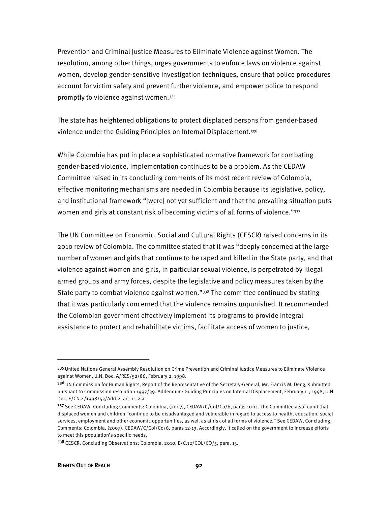Prevention and Criminal Justice Measures to Eliminate Violence against Women. The resolution, among other things, urges governments to enforce laws on violence against women, develop gender-sensitive investigation techniques, ensure that police procedures account for victim safety and prevent further violence, and empower police to respond promptly to violence against women.335

The state has heightened obligations to protect displaced persons from gender-based violence under the Guiding Principles on Internal Displacement.336

While Colombia has put in place a sophisticated normative framework for combating gender-based violence, implementation continues to be a problem. As the CEDAW Committee raised in its concluding comments of its most recent review of Colombia, effective monitoring mechanisms are needed in Colombia because its legislative, policy, and institutional framework "[were] not yet sufficient and that the prevailing situation puts women and girls at constant risk of becoming victims of all forms of violence."<sup>337</sup>

The UN Committee on Economic, Social and Cultural Rights (CESCR) raised concerns in its 2010 review of Colombia. The committee stated that it was "deeply concerned at the large number of women and girls that continue to be raped and killed in the State party, and that violence against women and girls, in particular sexual violence, is perpetrated by illegal armed groups and army forces, despite the legislative and policy measures taken by the State party to combat violence against women."338 The committee continued by stating that it was particularly concerned that the violence remains unpunished. It recommended the Colombian government effectively implement its programs to provide integral assistance to protect and rehabilitate victims, facilitate access of women to justice,

1

<sup>335</sup> United Nations General Assembly Resolution on Crime Prevention and Criminal Justice Measures to Eliminate Violence against Women, U.N. Doc. A/RES/52/86, February 2, 1998.

<sup>336</sup> UN Commission for Human Rights, Report of the Representative of the Secretary-General, Mr. Francis M. Deng, submitted pursuant to Commission resolution 1997/39. Addendum: Guiding Principles on Internal Displacement, February 11, 1998, U.N. Doc. E/CN.4/1998/53/Add.2, art. 11.2.a.

<sup>337</sup> See CEDAW, Concluding Comments: Colombia, (2007), CEDAW/C/Col/Co/6, paras 10-11. The Committee also found that displaced women and children "continue to be disadvantaged and vulnerable in regard to access to health, education, social services, employment and other economic opportunities, as well as at risk of all forms of violence." See CEDAW, Concluding Comments: Colombia, (2007), CEDAW/C/Col/Co/6, paras 12-13. Accordingly, it called on the government to increase efforts to meet this population's specific needs.

<sup>338</sup> CESCR, Concluding Observations: Colombia, 2010, E/C.12/COL/CO/5, para. 15.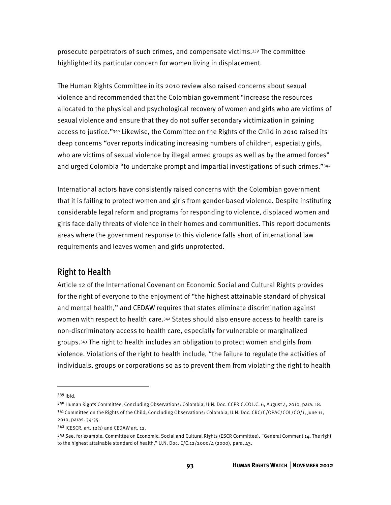prosecute perpetrators of such crimes, and compensate victims.339 The committee highlighted its particular concern for women living in displacement.

The Human Rights Committee in its 2010 review also raised concerns about sexual violence and recommended that the Colombian government "increase the resources allocated to the physical and psychological recovery of women and girls who are victims of sexual violence and ensure that they do not suffer secondary victimization in gaining access to justice."<sup>340</sup> Likewise, the Committee on the Rights of the Child in 2010 raised its deep concerns "over reports indicating increasing numbers of children, especially girls, who are victims of sexual violence by illegal armed groups as well as by the armed forces" and urged Colombia "to undertake prompt and impartial investigations of such crimes."341

International actors have consistently raised concerns with the Colombian government that it is failing to protect women and girls from gender-based violence. Despite instituting considerable legal reform and programs for responding to violence, displaced women and girls face daily threats of violence in their homes and communities. This report documents areas where the government response to this violence falls short of international law requirements and leaves women and girls unprotected.

#### Right to Health

Article 12 of the International Covenant on Economic Social and Cultural Rights provides for the right of everyone to the enjoyment of "the highest attainable standard of physical and mental health," and CEDAW requires that states eliminate discrimination against women with respect to health care.<sup>342</sup> States should also ensure access to health care is non-discriminatory access to health care, especially for vulnerable or marginalized groups.343 The right to health includes an obligation to protect women and girls from violence. Violations of the right to health include, "the failure to regulate the activities of individuals, groups or corporations so as to prevent them from violating the right to health

<sup>339</sup> Ibid.

<sup>340</sup> Human Rights Committee, Concluding Observations: Colombia, U.N. Doc. CCPR.C.COL.C. 6, August 4, 2010, para. 18. <sup>341</sup>Committee on the Rights of the Child, Concluding Observations: Colombia, U.N. Doc. CRC/C/OPAC/COL/CO/1, June 11, 2010, paras. 34-35.

<sup>342</sup> ICESCR, art. 12(1) and CEDAW art. 12.

<sup>343</sup> See, for example, Committee on Economic, Social and Cultural Rights (ESCR Committee), "General Comment 14, The right to the highest attainable standard of health," U.N. Doc. E/C.12/2000/4 (2000), para. 43.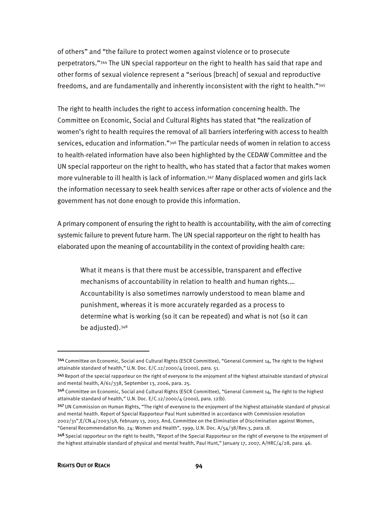of others" and "the failure to protect women against violence or to prosecute perpetrators."344 The UN special rapporteur on the right to health has said that rape and other forms of sexual violence represent a "serious [breach] of sexual and reproductive freedoms, and are fundamentally and inherently inconsistent with the right to health."345

The right to health includes the right to access information concerning health. The Committee on Economic, Social and Cultural Rights has stated that "the realization of women's right to health requires the removal of all barriers interfering with access to health services, education and information."<sup>346</sup> The particular needs of women in relation to access to health-related information have also been highlighted by the CEDAW Committee and the UN special rapporteur on the right to health, who has stated that a factor that makes women more vulnerable to ill health is lack of information.347 Many displaced women and girls lack the information necessary to seek health services after rape or other acts of violence and the government has not done enough to provide this information.

A primary component of ensuring the right to health is accountability, with the aim of correcting systemic failure to prevent future harm. The UN special rapporteur on the right to health has elaborated upon the meaning of accountability in the context of providing health care:

What it means is that there must be accessible, transparent and effective mechanisms of accountability in relation to health and human rights.… Accountability is also sometimes narrowly understood to mean blame and punishment, whereas it is more accurately regarded as a process to determine what is working (so it can be repeated) and what is not (so it can be adjusted).348

346 Committee on Economic, Social and Cultural Rights (ESCR Committee), "General Comment 14, The right to the highest attainable standard of health," U.N. Doc. E/C.12/2000/4 (2000), para. 12(b).

-

<sup>344</sup> Committee on Economic, Social and Cultural Rights (ESCR Committee), "General Comment 14, The right to the highest attainable standard of health," U.N. Doc. E/C.12/2000/4 (2000), para. 51.

<sup>&</sup>lt;sup>345</sup> Report of the special rapporteur on the right of everyone to the enjoyment of the highest attainable standard of physical and mental health, A/61/338, September 13, 2006, para. 25.

<sup>347</sup> UN Commission on Human Rights, "The right of everyone to the enjoyment of the highest attainable standard of physical and mental health. Report of Special Rapporteur Paul Hunt submitted in accordance with Commission resolution 2002/31",E/CN.4/2003/58, February 13, 2003. And, Committee on the Elimination of Discrimination against Women, "General Recommendation No. 24: Women and Health", 1999, U.N. Doc. A/54/38/Rev.3, para.18.

<sup>&</sup>lt;sup>348</sup> Special rapporteur on the right to health, "Report of the Special Rapporteur on the right of everyone to the enjoyment of the highest attainable standard of physical and mental health, Paul Hunt," January 17, 2007, A/HRC/4/28, para. 46.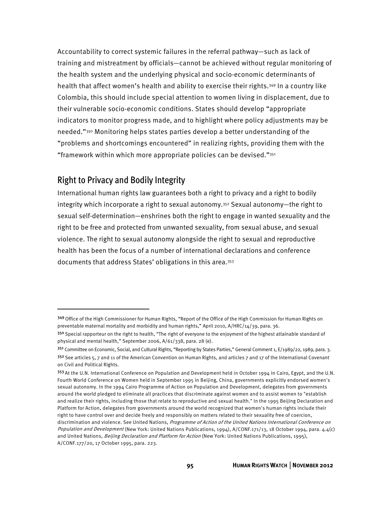Accountability to correct systemic failures in the referral pathway—such as lack of training and mistreatment by officials—cannot be achieved without regular monitoring of the health system and the underlying physical and socio-economic determinants of health that affect women's health and ability to exercise their rights.349 In a country like Colombia, this should include special attention to women living in displacement, due to their vulnerable socio-economic conditions. States should develop "appropriate indicators to monitor progress made, and to highlight where policy adjustments may be needed."350 Monitoring helps states parties develop a better understanding of the "problems and shortcomings encountered" in realizing rights, providing them with the "framework within which more appropriate policies can be devised." $351$ 

#### Right to Privacy and Bodily Integrity

 $\overline{a}$ 

International human rights law guarantees both a right to privacy and a right to bodily integrity which incorporate a right to sexual autonomy.<sup>352</sup> Sexual autonomy—the right to sexual self-determination—enshrines both the right to engage in wanted sexuality and the right to be free and protected from unwanted sexuality, from sexual abuse, and sexual violence. The right to sexual autonomy alongside the right to sexual and reproductive health has been the focus of a number of international declarations and conference documents that address States' obligations in this area.353

<sup>349</sup> Office of the High Commissioner for Human Rights, "Report of the Office of the High Commission for Human Rights on preventable maternal mortality and morbidity and human rights," April 2010, A/HRC/14/39, para. 36.

<sup>35</sup>º Special rapporteur on the right to health, "The right of everyone to the enjoyment of the highest attainable standard of physical and mental health," September 2006, A/61/338, para. 28 (e).

<sup>351</sup> Committee on Economic, Social, and Cultural Rights, "Reporting by States Parties," General Comment 1, E/1989/22, 1989, para. 3.  $352$  See articles 5, 7 and 11 of the American Convention on Human Rights, and articles 7 and 17 of the International Covenant on Civil and Political Rights.

<sup>353</sup> At the U.N. International Conference on Population and Development held in October 1994 in Cairo, Egypt, and the U.N. Fourth World Conference on Women held in September 1995 in Beijing, China, governments explicitly endorsed women's sexual autonomy. In the 1994 Cairo Programme of Action on Population and Development, delegates from governments around the world pledged to eliminate all practices that discriminate against women and to assist women to "establish and realize their rights, including those that relate to reproductive and sexual health." In the 1995 Beijing Declaration and Platform for Action, delegates from governments around the world recognized that women's human rights include their right to have control over and decide freely and responsibly on matters related to their sexuality free of coercion, discrimination and violence. See United Nations, Programme of Action of the United Nations International Conference on Population and Development (New York: United Nations Publications, 1994), A/CONF.171/13, 18 October 1994, para. 4.4(c) and United Nations, Beijing Declaration and Platform for Action (New York: United Nations Publications, 1995), A/CONF.177/20, 17 October 1995, para. 223.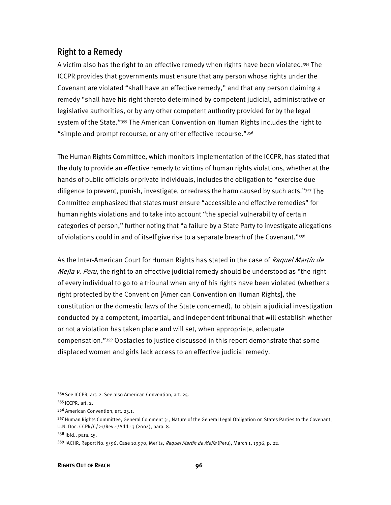#### Right to a Remedy

A victim also has the right to an effective remedy when rights have been violated.354 The ICCPR provides that governments must ensure that any person whose rights under the Covenant are violated "shall have an effective remedy," and that any person claiming a remedy "shall have his right thereto determined by competent judicial, administrative or legislative authorities, or by any other competent authority provided for by the legal system of the State."<sup>355</sup> The American Convention on Human Rights includes the right to "simple and prompt recourse, or any other effective recourse."356

The Human Rights Committee, which monitors implementation of the ICCPR, has stated that the duty to provide an effective remedy to victims of human rights violations, whether at the hands of public officials or private individuals, includes the obligation to "exercise due diligence to prevent, punish, investigate, or redress the harm caused by such acts."357 The Committee emphasized that states must ensure "accessible and effective remedies" for human rights violations and to take into account "the special vulnerability of certain categories of person," further noting that "a failure by a State Party to investigate allegations of violations could in and of itself give rise to a separate breach of the Covenant."358

As the Inter-American Court for Human Rights has stated in the case of *Raquel Martín de* Mejía v. Peru, the right to an effective judicial remedy should be understood as "the right of every individual to go to a tribunal when any of his rights have been violated (whether a right protected by the Convention [American Convention on Human Rights], the constitution or the domestic laws of the State concerned), to obtain a judicial investigation conducted by a competent, impartial, and independent tribunal that will establish whether or not a violation has taken place and will set, when appropriate, adequate compensation."359 Obstacles to justice discussed in this report demonstrate that some displaced women and girls lack access to an effective judicial remedy.

j

<sup>354</sup> See ICCPR, art. 2. See also American Convention, art. 25.

<sup>355</sup>ICCPR, art. 2.

<sup>356</sup> American Convention, art. 25.1.

<sup>357</sup> Human Rights Committee, General Comment 31, Nature of the General Legal Obligation on States Parties to the Covenant, U.N. Doc. CCPR/C/21/Rev.1/Add.13 (2004), para. 8.

<sup>358</sup> Ibid., para. 15.

<sup>359</sup> IACHR, Report No. 5/96, Case 10.970, Merits, Raquel Martín de Mejía (Peru), March 1, 1996, p. 22.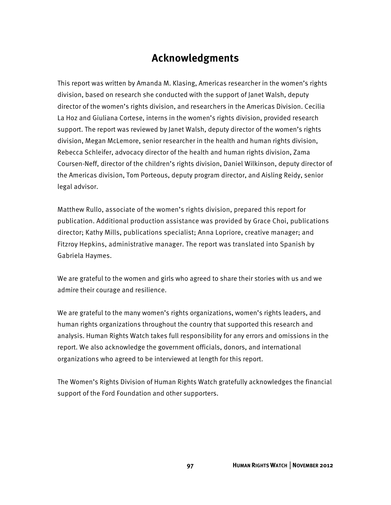## **Acknowledgments**

This report was written by Amanda M. Klasing, Americas researcher in the women's rights division, based on research she conducted with the support of Janet Walsh, deputy director of the women's rights division, and researchers in the Americas Division. Cecilia La Hoz and Giuliana Cortese, interns in the women's rights division, provided research support. The report was reviewed by Janet Walsh, deputy director of the women's rights division, Megan McLemore, senior researcher in the health and human rights division, Rebecca Schleifer, advocacy director of the health and human rights division, Zama Coursen-Neff, director of the children's rights division, Daniel Wilkinson, deputy director of the Americas division, Tom Porteous, deputy program director, and Aisling Reidy, senior legal advisor.

Matthew Rullo, associate of the women's rights division, prepared this report for publication. Additional production assistance was provided by Grace Choi, publications director; Kathy Mills, publications specialist; Anna Lopriore, creative manager; and Fitzroy Hepkins, administrative manager. The report was translated into Spanish by Gabriela Haymes.

We are grateful to the women and girls who agreed to share their stories with us and we admire their courage and resilience.

We are grateful to the many women's rights organizations, women's rights leaders, and human rights organizations throughout the country that supported this research and analysis. Human Rights Watch takes full responsibility for any errors and omissions in the report. We also acknowledge the government officials, donors, and international organizations who agreed to be interviewed at length for this report.

The Women's Rights Division of Human Rights Watch gratefully acknowledges the financial support of the Ford Foundation and other supporters.